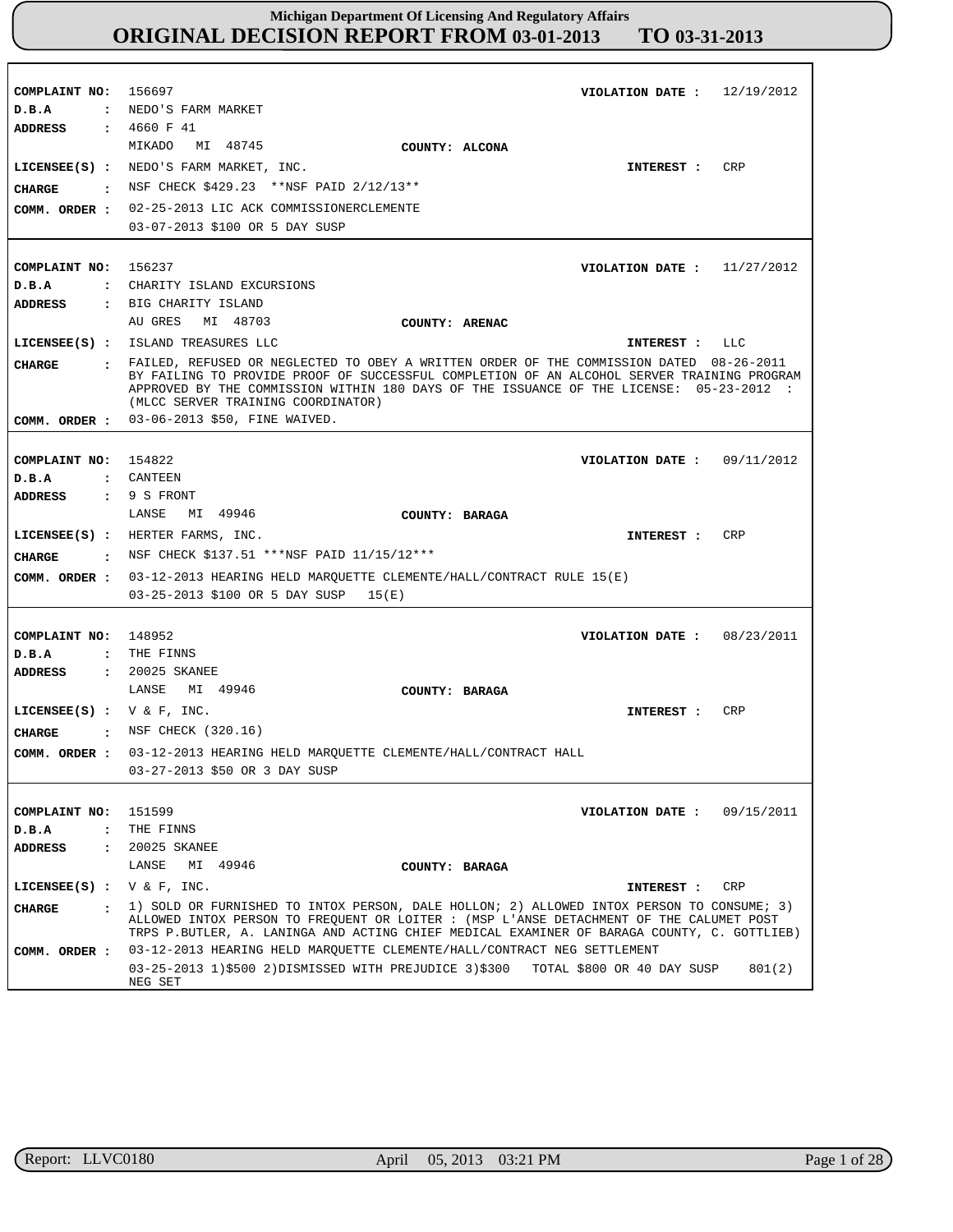| COMPLAINT NO: 156697<br>D.B.A<br>ADDRESS | VIOLATION DATE: $12/19/2012$<br>: NEDO'S FARM MARKET<br>: 4660 F 41                                                                                                                                                                                                                                                      |
|------------------------------------------|--------------------------------------------------------------------------------------------------------------------------------------------------------------------------------------------------------------------------------------------------------------------------------------------------------------------------|
| CIIARGE<br>COMM. ORDER :                 | MIKADO MI 48745<br>COUNTY: ALCONA<br>CRP<br>LICENSEE(S) : NEDO'S FARM MARKET, INC.<br>INTEREST :<br>: NSF CHECK \$429.23 ** NSF PAID 2/12/13 **<br>02-25-2013 LIC ACK COMMISSIONERCLEMENTE<br>03-07-2013 \$100 OR 5 DAY SUSP                                                                                             |
|                                          |                                                                                                                                                                                                                                                                                                                          |
| COMPLAINT NO: 156237                     | VIOLATION DATE : $11/27/2012$                                                                                                                                                                                                                                                                                            |
| D.B.A                                    | : CHARITY ISLAND EXCURSIONS                                                                                                                                                                                                                                                                                              |
| <b>ADDRESS</b>                           | : BIG CHARITY ISLAND                                                                                                                                                                                                                                                                                                     |
|                                          | AU GRES<br>MI 48703<br>COUNTY: ARENAC                                                                                                                                                                                                                                                                                    |
|                                          | LICENSEE(S) : ISLAND TREASURES LLC<br>INTEREST : LLC                                                                                                                                                                                                                                                                     |
| <b>CHARGE</b>                            | : FAILED, REFUSED OR NEGLECTED TO OBEY A WRITTEN ORDER OF THE COMMISSION DATED 08-26-2011<br>BY FAILING TO PROVIDE PROOF OF SUCCESSFUL COMPLETION OF AN ALCOHOL SERVER TRAINING PROGRAM<br>APPROVED BY THE COMMISSION WITHIN 180 DAYS OF THE ISSUANCE OF THE LICENSE: 05-23-2012 :<br>(MLCC SERVER TRAINING COORDINATOR) |
|                                          | COMM. ORDER : 03-06-2013 \$50, FINE WAIVED.                                                                                                                                                                                                                                                                              |
|                                          |                                                                                                                                                                                                                                                                                                                          |
| COMPLAINT NO: 154822                     | VIOLATION DATE: $09/11/2012$                                                                                                                                                                                                                                                                                             |
| D.B.A                                    | : CANTEEN                                                                                                                                                                                                                                                                                                                |
| ADDRESS                                  | : 9 S FRONT<br>MI 49946                                                                                                                                                                                                                                                                                                  |
|                                          | LANSE<br>COUNTY: BARAGA                                                                                                                                                                                                                                                                                                  |
|                                          | LICENSEE(S) : HERTER FARMS, INC.<br>CRP<br>INTEREST :                                                                                                                                                                                                                                                                    |
|                                          | <b>CHARGE :</b> NSF CHECK \$137.51 ***NSF PAID 11/15/12***                                                                                                                                                                                                                                                               |
|                                          | COMM. ORDER : 03-12-2013 HEARING HELD MARQUETTE CLEMENTE/HALL/CONTRACT RULE 15(E)                                                                                                                                                                                                                                        |
|                                          | 03-25-2013 \$100 OR 5 DAY SUSP<br>15(E)                                                                                                                                                                                                                                                                                  |
|                                          |                                                                                                                                                                                                                                                                                                                          |
| COMPLAINT NO: 148952                     | 08/23/2011<br>VIOLATION DATE :                                                                                                                                                                                                                                                                                           |
| D.B.A                                    | : THE FINNS                                                                                                                                                                                                                                                                                                              |
| <b>ADDRESS</b>                           | : 20025 SKANEE                                                                                                                                                                                                                                                                                                           |
|                                          | LANSE<br>MI 49946<br>COUNTY: BARAGA                                                                                                                                                                                                                                                                                      |
| LICENSEE(S) : $V & F$ , INC.             | CRP<br>INTEREST :                                                                                                                                                                                                                                                                                                        |
| CHARGE                                   | : NSF CHECK (320.16)                                                                                                                                                                                                                                                                                                     |
|                                          | COMM. ORDER: 03-12-2013 HEARING HELD MARQUETTE CLEMENTE/HALL/CONTRACT HALL                                                                                                                                                                                                                                               |
|                                          | 03-27-2013 \$50 OR 3 DAY SUSP                                                                                                                                                                                                                                                                                            |
|                                          |                                                                                                                                                                                                                                                                                                                          |
| COMPLAINT NO:                            | 151599<br>VIOLATION DATE: $09/15/2011$                                                                                                                                                                                                                                                                                   |
| D.B.A                                    | : THE FINNS                                                                                                                                                                                                                                                                                                              |
| ADDRESS                                  | : 20025 SKANEE                                                                                                                                                                                                                                                                                                           |
|                                          | MI 49946<br>LANSE<br>COUNTY: BARAGA                                                                                                                                                                                                                                                                                      |
| LICENSEE(S) : $V & F$ , INC.             | CRP<br>INTEREST :                                                                                                                                                                                                                                                                                                        |
| <b>CHARGE</b><br>$\sim$ $\sim$ $\sim$    | 1) SOLD OR FURNISHED TO INTOX PERSON, DALE HOLLON; 2) ALLOWED INTOX PERSON TO CONSUME; 3)<br>ALLOWED INTOX PERSON TO FREQUENT OR LOITER : (MSP L'ANSE DETACHMENT OF THE CALUMET POST<br>TRPS P.BUTLER, A. LANINGA AND ACTING CHIEF MEDICAL EXAMINER OF BARAGA COUNTY, C. GOTTLIEB)                                       |
| COMM. ORDER :                            | 03-12-2013 HEARING HELD MAROUETTE CLEMENTE/HALL/CONTRACT NEG SETTLEMENT                                                                                                                                                                                                                                                  |
|                                          | 03-25-2013 1)\$500 2)DISMISSED WITH PREJUDICE 3)\$300 TOTAL \$800 OR 40 DAY SUSP<br>801(2)<br>NEG SET                                                                                                                                                                                                                    |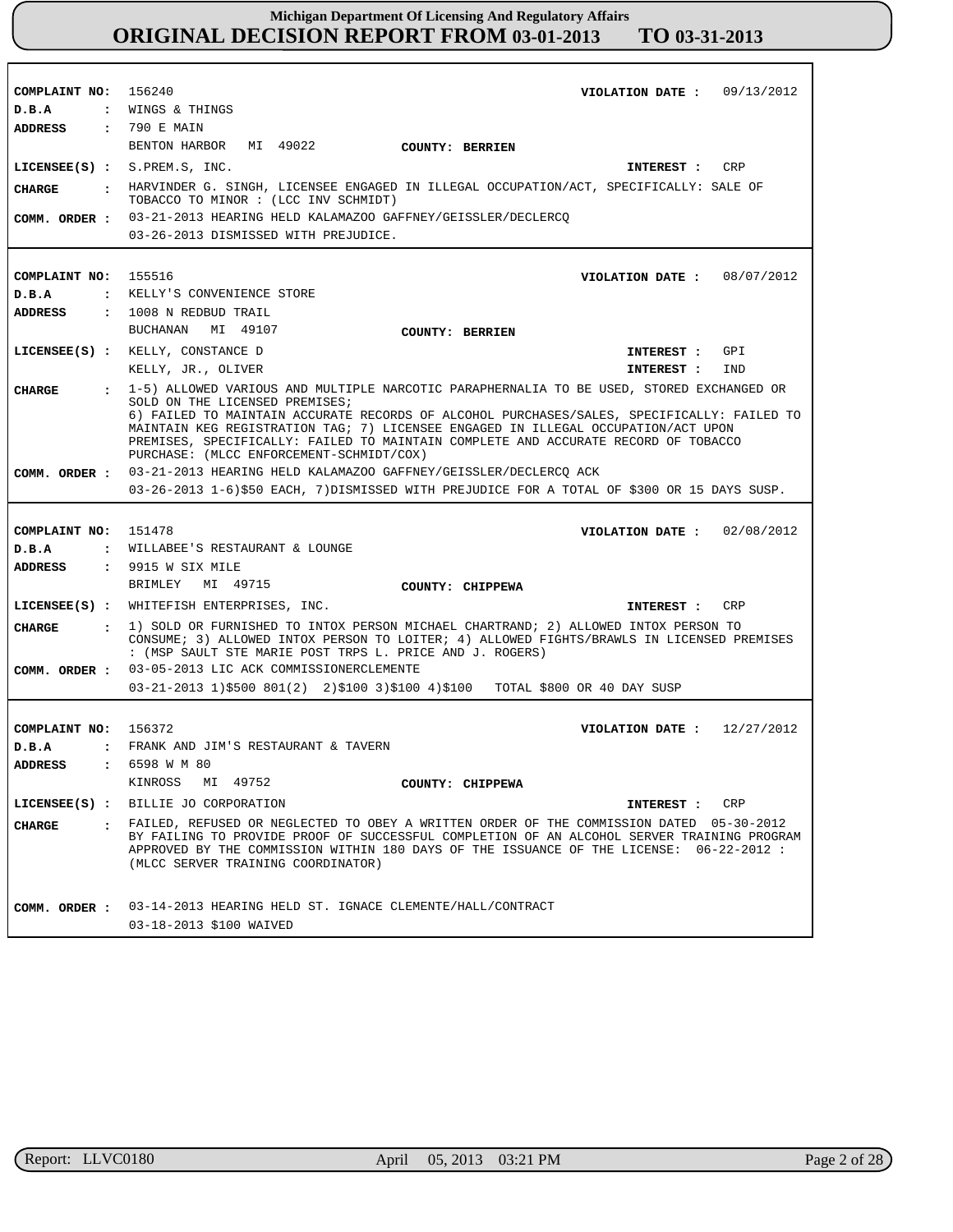| COMPLAINT NO: 156240 | VIOLATION DATE: $09/13/2012$                                                                                                                                                                                                                  |
|----------------------|-----------------------------------------------------------------------------------------------------------------------------------------------------------------------------------------------------------------------------------------------|
|                      | D.B.A : WINGS & THINGS                                                                                                                                                                                                                        |
| <b>ADDRESS</b>       | : 790 E MAIN                                                                                                                                                                                                                                  |
|                      | BENTON HARBOR MI 49022 COUNTY: BERRIEN                                                                                                                                                                                                        |
|                      | LICENSEE(S) : S.PREN.S, INC.<br>INTEREST : CRP                                                                                                                                                                                                |
|                      | . HARVINDER G. SINGH, LICENSEE ENGAGED IN ILLEGAL OCCUPATION/ACT, SPECIFICALLY: SALE OF                                                                                                                                                       |
| CHARGE               | TOBACCO TO MINOR : (LCC INV SCHMIDT)                                                                                                                                                                                                          |
|                      | COMM. ORDER : 03-21-2013 HEARING HELD KALAMAZOO GAFFNEY/GEISSLER/DECLERCQ                                                                                                                                                                     |
|                      | 03-26-2013 DISMISSED WITH PREJUDICE.                                                                                                                                                                                                          |
|                      |                                                                                                                                                                                                                                               |
| COMPLAINT NO: 155516 | VIOLATION DATE: 08/07/2012                                                                                                                                                                                                                    |
| D.B.A                | : KELLY'S CONVENIENCE STORE                                                                                                                                                                                                                   |
| ADDRESS              | : 1008 N REDBUD TRAIL                                                                                                                                                                                                                         |
|                      | BUCHANAN MI 49107<br>COUNTY: BERRIEN                                                                                                                                                                                                          |
|                      | LICENSEE(S) : KELLY, CONSTANCE D<br>INTEREST : GPI                                                                                                                                                                                            |
|                      | KELLY, JR., OLIVER<br>IND<br>INTEREST :                                                                                                                                                                                                       |
| CIIARGE              | : 1-5) ALLOWED VARIOUS AND MULTIPLE NARCOTIC PARAPHERNALIA TO BE USED, STORED EXCHANGED OR                                                                                                                                                    |
|                      | SOLD ON THE LICENSED PREMISES;<br>6) FAILED TO MAINTAIN ACCURATE RECORDS OF ALCOHOL PURCHASES/SALES, SPECIFICALLY: FAILED TO                                                                                                                  |
|                      | MAINTAIN KEG REGISTRATION TAG; 7) LICENSEE ENGAGED IN ILLEGAL OCCUPATION/ACT UPON                                                                                                                                                             |
|                      | PREMISES, SPECIFICALLY: FAILED TO MAINTAIN COMPLETE AND ACCURATE RECORD OF TOBACCO                                                                                                                                                            |
|                      | PURCHASE: (MLCC ENFORCEMENT-SCHMIDT/COX)                                                                                                                                                                                                      |
|                      | COMM. ORDER : 03-21-2013 HEARING HELD KALAMAZOO GAFFNEY/GEISSLER/DECLERCO ACK                                                                                                                                                                 |
|                      | 03-26-2013 1-6)\$50 EACH, 7)DISMISSED WITH PREJUDICE FOR A TOTAL OF \$300 OR 15 DAYS SUSP.                                                                                                                                                    |
|                      |                                                                                                                                                                                                                                               |
| COMPLAINT NO: 151478 | VIOLATION DATE: 02/08/2012                                                                                                                                                                                                                    |
| D.B.A                | : WILLABEE'S RESTAURANT & LOUNGE                                                                                                                                                                                                              |
|                      | ADDRESS : 9915 W SIX MILE                                                                                                                                                                                                                     |
|                      | BRIMLEY MI 49715<br>COUNTY: CHIPPEWA                                                                                                                                                                                                          |
|                      | LICENSEE(S) : WHITEFISH ENTERPRISES, INC.<br>CRP<br>INTEREST :                                                                                                                                                                                |
| CHARGE               | : 1) SOLD OR FURNISHED TO INTOX PERSON MICHAEL CHARTRAND; 2) ALLOWED INTOX PERSON TO<br>CONSUME; 3) ALLOWED INTOX PERSON TO LOITER; 4) ALLOWED FIGHTS/BRAWLS IN LICENSED PREMISES<br>: (MSP SAULT STE MARIE POST TRPS L. PRICE AND J. ROGERS) |
|                      | COMM. ORDER : 03-05-2013 LIC ACK COMMISSIONERCLEMENTE                                                                                                                                                                                         |
|                      | 03-21-2013 1)\$500 801(2) 2)\$100 3)\$100 4)\$100 TOTAL \$800 OR 40 DAY SUSP                                                                                                                                                                  |
|                      |                                                                                                                                                                                                                                               |
| COMPLAINT NO: 156372 | VIOLATION DATE: $12/27/2012$                                                                                                                                                                                                                  |
| D.B.A                | : FRANK AND JIM'S RESTAURANT & TAVERN                                                                                                                                                                                                         |
| <b>ADDRESS</b>       | 6598 W M 80<br>$\ddot{\cdot}$                                                                                                                                                                                                                 |
|                      | KINROSS MI 49752<br>COUNTY: CHIPPEWA                                                                                                                                                                                                          |
|                      | LICENSEE(S) : BILLIE JO CORPORATION<br>INTEREST : CRP                                                                                                                                                                                         |
| CHARGE               | : FAILED, REFUSED OR NEGLECTED TO OBEY A WRITTEN ORDER OF THE COMMISSION DATED 05-30-2012<br>BY FAILING TO PROVIDE PROOF OF SUCCESSFUL COMPLETION OF AN ALCOHOL SERVER TRAINING PROGRAM                                                       |
|                      | APPROVED BY THE COMMISSION WITHIN 180 DAYS OF THE ISSUANCE OF THE LICENSE: 06-22-2012 :<br>(MLCC SERVER TRAINING COORDINATOR)                                                                                                                 |
| COMM. ORDER :        | 03-14-2013 HEARING HELD ST. IGNACE CLEMENTE/HALL/CONTRACT                                                                                                                                                                                     |
|                      | 03-18-2013 \$100 WAIVED                                                                                                                                                                                                                       |
|                      |                                                                                                                                                                                                                                               |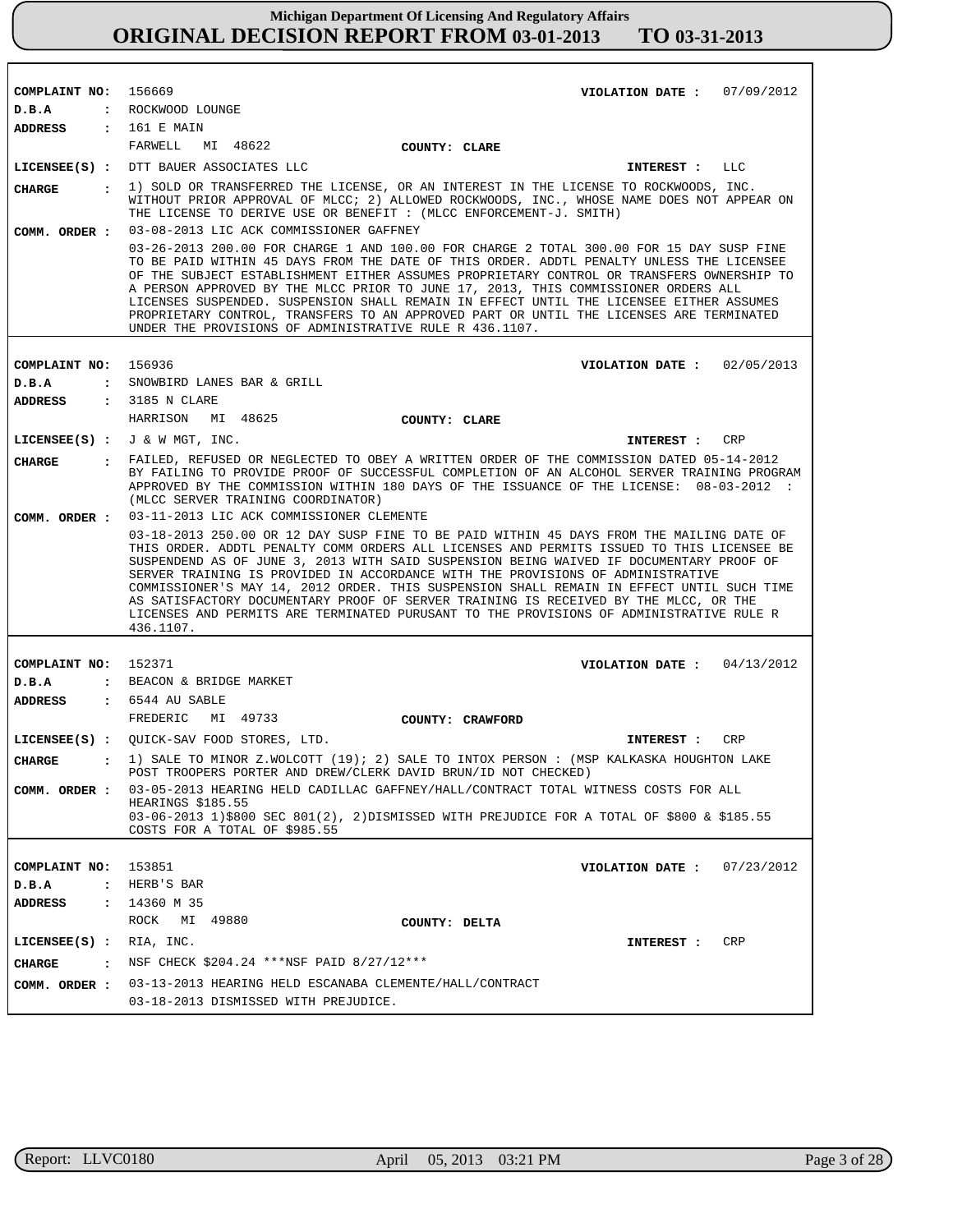| COMPLAINT NO:                  |                      | 156669                                                                                                                                                                                                                                                                                                                                                                                                                                                                                                                                                                                                                                                           |                  | VIOLATION DATE :             | 07/09/2012 |
|--------------------------------|----------------------|------------------------------------------------------------------------------------------------------------------------------------------------------------------------------------------------------------------------------------------------------------------------------------------------------------------------------------------------------------------------------------------------------------------------------------------------------------------------------------------------------------------------------------------------------------------------------------------------------------------------------------------------------------------|------------------|------------------------------|------------|
| D.B.A                          |                      | : ROCKWOOD LOUNGE                                                                                                                                                                                                                                                                                                                                                                                                                                                                                                                                                                                                                                                |                  |                              |            |
| ADDRESS                        |                      | : 161 E MAIN                                                                                                                                                                                                                                                                                                                                                                                                                                                                                                                                                                                                                                                     |                  |                              |            |
|                                |                      | FARWELL<br>MI 48622                                                                                                                                                                                                                                                                                                                                                                                                                                                                                                                                                                                                                                              | COUNTY: CLARE    |                              |            |
|                                |                      | LICENSEE(S) : DTT BAUER ASSOCIATES LLC                                                                                                                                                                                                                                                                                                                                                                                                                                                                                                                                                                                                                           |                  | <b>INTEREST :</b>            | LLC        |
| <b>CHARGE</b><br>COMM. ORDER : | $\mathbf{r}$         | 1) SOLD OR TRANSFERRED THE LICENSE, OR AN INTEREST IN THE LICENSE TO ROCKWOODS, INC.<br>WITHOUT PRIOR APPROVAL OF MLCC; 2) ALLOWED ROCKWOODS, INC., WHOSE NAME DOES NOT APPEAR ON<br>THE LICENSE TO DERIVE USE OR BENEFIT : (MLCC ENFORCEMENT-J. SMITH)<br>03-08-2013 LIC ACK COMMISSIONER GAFFNEY                                                                                                                                                                                                                                                                                                                                                               |                  |                              |            |
|                                |                      | 03-26-2013 200.00 FOR CHARGE 1 AND 100.00 FOR CHARGE 2 TOTAL 300.00 FOR 15 DAY SUSP FINE<br>TO BE PAID WITHIN 45 DAYS FROM THE DATE OF THIS ORDER. ADDTL PENALTY UNLESS THE LICENSEE<br>OF THE SUBJECT ESTABLISHMENT EITHER ASSUMES PROPRIETARY CONTROL OR TRANSFERS OWNERSHIP TO<br>A PERSON APPROVED BY THE MLCC PRIOR TO JUNE 17, 2013, THIS COMMISSIONER ORDERS ALL<br>LICENSES SUSPENDED. SUSPENSION SHALL REMAIN IN EFFECT UNTIL THE LICENSEE EITHER ASSUMES<br>PROPRIETARY CONTROL, TRANSFERS TO AN APPROVED PART OR UNTIL THE LICENSES ARE TERMINATED<br>UNDER THE PROVISIONS OF ADMINISTRATIVE RULE R 436.1107.                                         |                  |                              |            |
|                                |                      |                                                                                                                                                                                                                                                                                                                                                                                                                                                                                                                                                                                                                                                                  |                  |                              |            |
| COMPLAINT NO:                  |                      | 156936<br>SNOWBIRD LANES BAR & GRILL                                                                                                                                                                                                                                                                                                                                                                                                                                                                                                                                                                                                                             |                  | VIOLATION DATE: $02/05/2013$ |            |
| D.B.A<br><b>ADDRESS</b>        | $\ddot{\cdot}$       | : 3185 N CLARE                                                                                                                                                                                                                                                                                                                                                                                                                                                                                                                                                                                                                                                   |                  |                              |            |
|                                |                      | HARRISON<br>MI 48625                                                                                                                                                                                                                                                                                                                                                                                                                                                                                                                                                                                                                                             | COUNTY: CLARE    |                              |            |
|                                |                      | LICENSEE(S) : $J \& W MGT$ , INC.                                                                                                                                                                                                                                                                                                                                                                                                                                                                                                                                                                                                                                |                  | INTEREST :                   | CRP        |
| <b>CHARGE</b>                  | $\ddot{\phantom{a}}$ | FAILED, REFUSED OR NEGLECTED TO OBEY A WRITTEN ORDER OF THE COMMISSION DATED 05-14-2012                                                                                                                                                                                                                                                                                                                                                                                                                                                                                                                                                                          |                  |                              |            |
|                                |                      | BY FAILING TO PROVIDE PROOF OF SUCCESSFUL COMPLETION OF AN ALCOHOL SERVER TRAINING PROGRAM<br>APPROVED BY THE COMMISSION WITHIN 180 DAYS OF THE ISSUANCE OF THE LICENSE: 08-03-2012<br>(MLCC SERVER TRAINING COORDINATOR)                                                                                                                                                                                                                                                                                                                                                                                                                                        |                  |                              |            |
| COMM. ORDER :                  |                      | 03-11-2013 LIC ACK COMMISSIONER CLEMENTE                                                                                                                                                                                                                                                                                                                                                                                                                                                                                                                                                                                                                         |                  |                              |            |
|                                |                      | 03-18-2013 250.00 OR 12 DAY SUSP FINE TO BE PAID WITHIN 45 DAYS FROM THE MAILING DATE OF<br>THIS ORDER. ADDTL PENALTY COMM ORDERS ALL LICENSES AND PERMITS ISSUED TO THIS LICENSEE BE<br>SUSPENDEND AS OF JUNE 3, 2013 WITH SAID SUSPENSION BEING WAIVED IF DOCUMENTARY PROOF OF<br>SERVER TRAINING IS PROVIDED IN ACCORDANCE WITH THE PROVISIONS OF ADMINISTRATIVE<br>COMMISSIONER'S MAY 14, 2012 ORDER. THIS SUSPENSION SHALL REMAIN IN EFFECT UNTIL SUCH TIME<br>AS SATISFACTORY DOCUMENTARY PROOF OF SERVER TRAINING IS RECEIVED BY THE MLCC, OR THE<br>LICENSES AND PERMITS ARE TERMINATED PURUSANT TO THE PROVISIONS OF ADMINISTRATIVE RULE R<br>436.1107. |                  |                              |            |
|                                |                      |                                                                                                                                                                                                                                                                                                                                                                                                                                                                                                                                                                                                                                                                  |                  |                              |            |
| COMPLAINT NO:                  |                      | 152371                                                                                                                                                                                                                                                                                                                                                                                                                                                                                                                                                                                                                                                           |                  | VIOLATION DATE: $04/13/2012$ |            |
| D.B.A                          |                      | : BEACON & BRIDGE MARKET                                                                                                                                                                                                                                                                                                                                                                                                                                                                                                                                                                                                                                         |                  |                              |            |
| <b>ADDRESS</b>                 |                      | $: 6544$ AU SABLE                                                                                                                                                                                                                                                                                                                                                                                                                                                                                                                                                                                                                                                |                  |                              |            |
|                                |                      | FREDERIC<br>MI 49733                                                                                                                                                                                                                                                                                                                                                                                                                                                                                                                                                                                                                                             | COUNTY: CRAWFORD |                              |            |
|                                |                      | LICENSEE(S) : OUICK-SAV FOOD STORES, LTD.                                                                                                                                                                                                                                                                                                                                                                                                                                                                                                                                                                                                                        |                  | INTEREST :                   | CRP        |
| <b>CHARGE</b>                  |                      | 1) SALE TO MINOR Z.WOLCOTT (19); 2) SALE TO INTOX PERSON: (MSP KALKASKA HOUGHTON LAKE<br>POST TROOPERS PORTER AND DREW/CLERK DAVID BRUN/ID NOT CHECKED)                                                                                                                                                                                                                                                                                                                                                                                                                                                                                                          |                  |                              |            |
| COMM. ORDER :                  |                      | 03-05-2013 HEARING HELD CADILLAC GAFFNEY/HALL/CONTRACT TOTAL WITNESS COSTS FOR ALL<br>HEARINGS \$185.55<br>03-06-2013 1)\$800 SEC 801(2), 2)DISMISSED WITH PREJUDICE FOR A TOTAL OF \$800 & \$185.55<br>COSTS FOR A TOTAL OF \$985.55                                                                                                                                                                                                                                                                                                                                                                                                                            |                  |                              |            |
|                                |                      |                                                                                                                                                                                                                                                                                                                                                                                                                                                                                                                                                                                                                                                                  |                  |                              |            |
| COMPLAINT NO:                  |                      | 153851                                                                                                                                                                                                                                                                                                                                                                                                                                                                                                                                                                                                                                                           |                  | VIOLATION DATE :             | 07/23/2012 |
| D.B.A                          | $\ddot{\phantom{a}}$ | HERB'S BAR                                                                                                                                                                                                                                                                                                                                                                                                                                                                                                                                                                                                                                                       |                  |                              |            |
| ADDRESS                        | $\ddot{\cdot}$       | 14360 M 35<br>ROCK<br>MI 49880                                                                                                                                                                                                                                                                                                                                                                                                                                                                                                                                                                                                                                   | COUNTY: DELTA    |                              |            |
| $LICENSEE(S)$ :                |                      | RIA, INC.                                                                                                                                                                                                                                                                                                                                                                                                                                                                                                                                                                                                                                                        |                  |                              | CRP        |
|                                |                      | NSF CHECK \$204.24 ***NSF PAID 8/27/12***                                                                                                                                                                                                                                                                                                                                                                                                                                                                                                                                                                                                                        |                  | INTEREST :                   |            |
| <b>CHARGE</b>                  | $\ddot{\phantom{a}}$ |                                                                                                                                                                                                                                                                                                                                                                                                                                                                                                                                                                                                                                                                  |                  |                              |            |
| COMM. ORDER :                  |                      | 03-13-2013 HEARING HELD ESCANABA CLEMENTE/HALL/CONTRACT<br>03-18-2013 DISMISSED WITH PREJUDICE.                                                                                                                                                                                                                                                                                                                                                                                                                                                                                                                                                                  |                  |                              |            |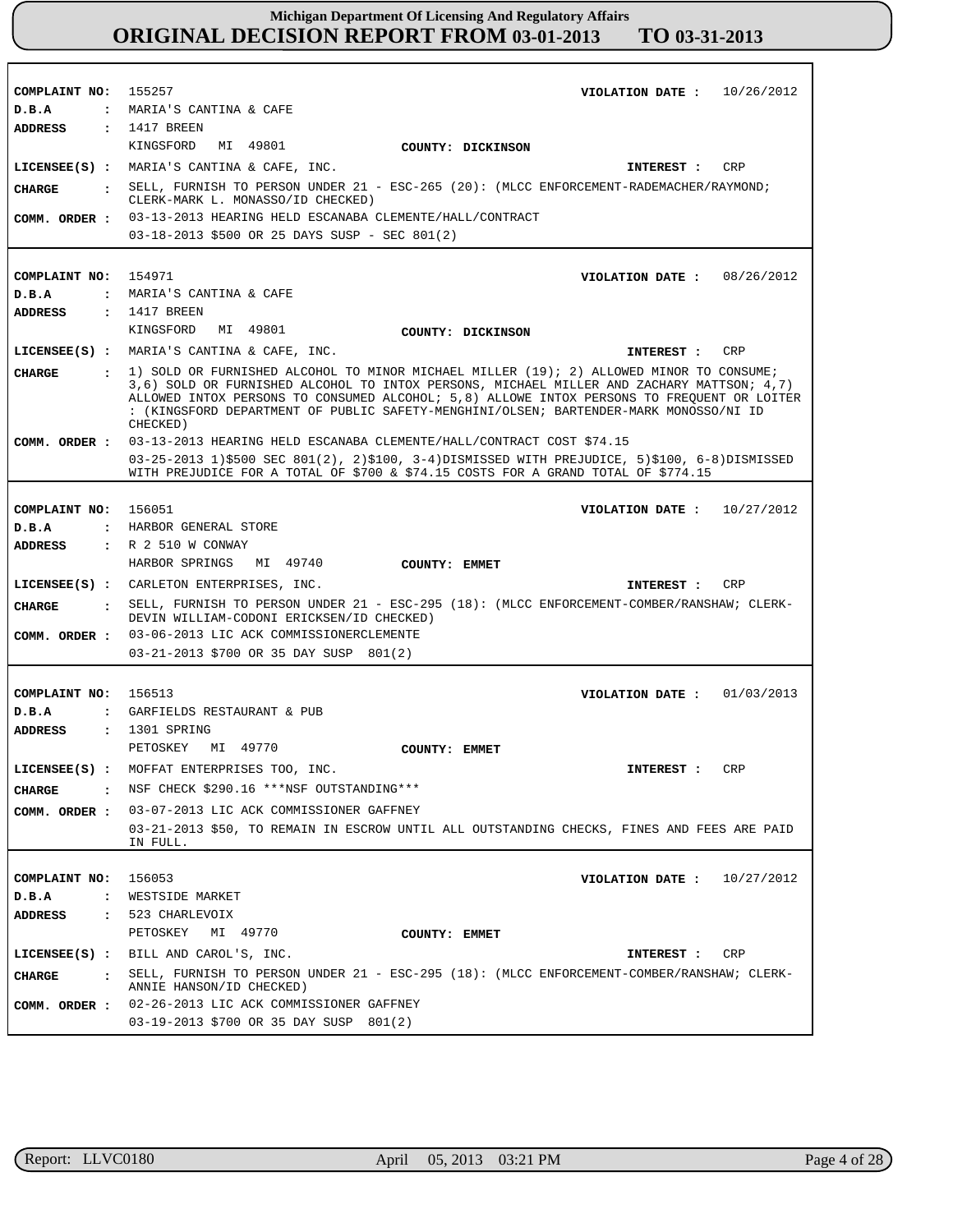| COMPLAINT NO: 155257           | VIOLATION DATE: $10/26/2012$                                                                                                                                                                                                                                                                 |
|--------------------------------|----------------------------------------------------------------------------------------------------------------------------------------------------------------------------------------------------------------------------------------------------------------------------------------------|
| D.B.A                          | : MARIA'S CANTINA & CAFE                                                                                                                                                                                                                                                                     |
| ADDRESS : 1417 BREEN           | KINGSFORD MI 49801                                                                                                                                                                                                                                                                           |
|                                | COUNTY: DICKINSON                                                                                                                                                                                                                                                                            |
|                                | LICENSEE(S) : MARIA'S CANTINA & CAFE, INC.<br>CRP<br><b>INTEREST :</b>                                                                                                                                                                                                                       |
| <b>CHARGE</b>                  | : SELL, FURNISH TO PERSON UNDER 21 - ESC-265 (20): (MLCC ENFORCEMENT-RADEMACHER/RAYMOND;<br>CLERK-MARK L. MONASSO/ID CHECKED)                                                                                                                                                                |
|                                | COMM. ORDER : 03-13-2013 HEARING HELD ESCANABA CLEMENTE/HALL/CONTRACT                                                                                                                                                                                                                        |
|                                | 03-18-2013 \$500 OR 25 DAYS SUSP - SEC 801(2)                                                                                                                                                                                                                                                |
|                                |                                                                                                                                                                                                                                                                                              |
| COMPLAINT NO: 154971           | VIOLATION DATE: 08/26/2012                                                                                                                                                                                                                                                                   |
| D.B.A                          | : MARIA'S CANTINA & CAFE                                                                                                                                                                                                                                                                     |
| ADDRESS                        | $: 1417$ BREEN                                                                                                                                                                                                                                                                               |
|                                | KINGSFORD MI 49801<br>COUNTY: DICKINSON                                                                                                                                                                                                                                                      |
|                                | LICENSEE(S) : MARIA'S CANTINA & CAFE, INC.<br>INTEREST :<br>CRP                                                                                                                                                                                                                              |
| CHARGE                         | : 1) SOLD OR FURNISHED ALCOHOL TO MINOR MICHAEL MILLER (19); 2) ALLOWED MINOR TO CONSUME;                                                                                                                                                                                                    |
|                                | 3,6) SOLD OR FURNISHED ALCOHOL TO INTOX PERSONS, MICHAEL MILLER AND ZACHARY MATTSON; 4,7)<br>ALLOWED INTOX PERSONS TO CONSUMED ALCOHOL; 5,8) ALLOWE INTOX PERSONS TO FREOUENT OR LOITER<br>: (KINGSFORD DEPARTMENT OF PUBLIC SAFETY-MENGHINI/OLSEN; BARTENDER-MARK MONOSSO/NI ID<br>CHECKED) |
|                                | COMM. ORDER: 03-13-2013 HEARING HELD ESCANABA CLEMENTE/HALL/CONTRACT COST \$74.15                                                                                                                                                                                                            |
|                                | 03-25-2013 1)\$500 SEC 801(2), 2)\$100, 3-4)DISMISSED WITH PREJUDICE, 5)\$100, 6-8)DISMISSED<br>WITH PREJUDICE FOR A TOTAL OF \$700 & \$74.15 COSTS FOR A GRAND TOTAL OF \$774.15                                                                                                            |
|                                |                                                                                                                                                                                                                                                                                              |
| COMPLAINT NO: 156051           | VIOLATION DATE: $10/27/2012$                                                                                                                                                                                                                                                                 |
| D.B.A                          | : HARBOR GENERAL STORE                                                                                                                                                                                                                                                                       |
| ADDRESS                        | : R 2 510 W CONWAY                                                                                                                                                                                                                                                                           |
|                                | HARBOR SPRINGS MI 49740<br><b>COUNTY: EMMET</b>                                                                                                                                                                                                                                              |
|                                | LICENSEE(S) : CARLETON ENTERPRISES, INC.<br>INTEREST : CRP                                                                                                                                                                                                                                   |
| <b>CHARGE</b>                  | : SELL, FURNISH TO PERSON UNDER 21 - ESC-295 (18): (MLCC ENFORCEMENT-COMBER/RANSHAW; CLERK-<br>DEVIN WILLIAM-CODONI ERICKSEN/ID CHECKED)                                                                                                                                                     |
|                                | COMM. ORDER : 03-06-2013 LIC ACK COMMISSIONERCLEMENTE                                                                                                                                                                                                                                        |
|                                | 03-21-2013 \$700 OR 35 DAY SUSP 801(2)                                                                                                                                                                                                                                                       |
|                                |                                                                                                                                                                                                                                                                                              |
| COMPLAINT NO: 156513           | VIOLATION DATE: $01/03/2013$                                                                                                                                                                                                                                                                 |
| D.B.A<br>ADDRESS               | : GARFIELDS RESTAURANT & PUB<br>: 1301 SPRING                                                                                                                                                                                                                                                |
|                                | PETOSKEY MI 49770<br>COUNTY: EMMET                                                                                                                                                                                                                                                           |
|                                | LICENSEE(S) : MOFFAT ENTERPRISES TOO, INC.<br>INTEREST : CRP                                                                                                                                                                                                                                 |
|                                | NSF CHECK \$290.16 ***NSF OUTSTANDING***                                                                                                                                                                                                                                                     |
| CHARGE<br>$\mathbf{r}$         |                                                                                                                                                                                                                                                                                              |
| COMM. ORDER :                  | 03-07-2013 LIC ACK COMMISSIONER GAFFNEY<br>03-21-2013 \$50, TO REMAIN IN ESCROW UNTIL ALL OUTSTANDING CHECKS, FINES AND FEES ARE PAID                                                                                                                                                        |
|                                | IN FULL.                                                                                                                                                                                                                                                                                     |
|                                |                                                                                                                                                                                                                                                                                              |
| COMPLAINT NO:                  | 156053<br>VIOLATION DATE: $10/27/2012$                                                                                                                                                                                                                                                       |
| D.B.A<br>$\mathbf{r}$          | WESTSIDE MARKET                                                                                                                                                                                                                                                                              |
| <b>ADDRESS</b><br>$\mathbf{r}$ | 523 CHARLEVOIX                                                                                                                                                                                                                                                                               |
|                                | PETOSKEY<br>MI 49770<br>COUNTY: EMMET                                                                                                                                                                                                                                                        |
|                                | LICENSEE(S) : BILL AND CAROL'S, INC.<br>CRP<br><b>INTEREST :</b>                                                                                                                                                                                                                             |
| <b>CHARGE</b>                  | . SELL, FURNISH TO PERSON UNDER 21 - ESC-295 (18): (MLCC ENFORCEMENT-COMBER/RANSHAW; CLERK-<br>ANNIE HANSON/ID CHECKED)                                                                                                                                                                      |
|                                | COMM. ORDER : 02-26-2013 LIC ACK COMMISSIONER GAFFNEY                                                                                                                                                                                                                                        |
|                                | 03-19-2013 \$700 OR 35 DAY SUSP 801(2)                                                                                                                                                                                                                                                       |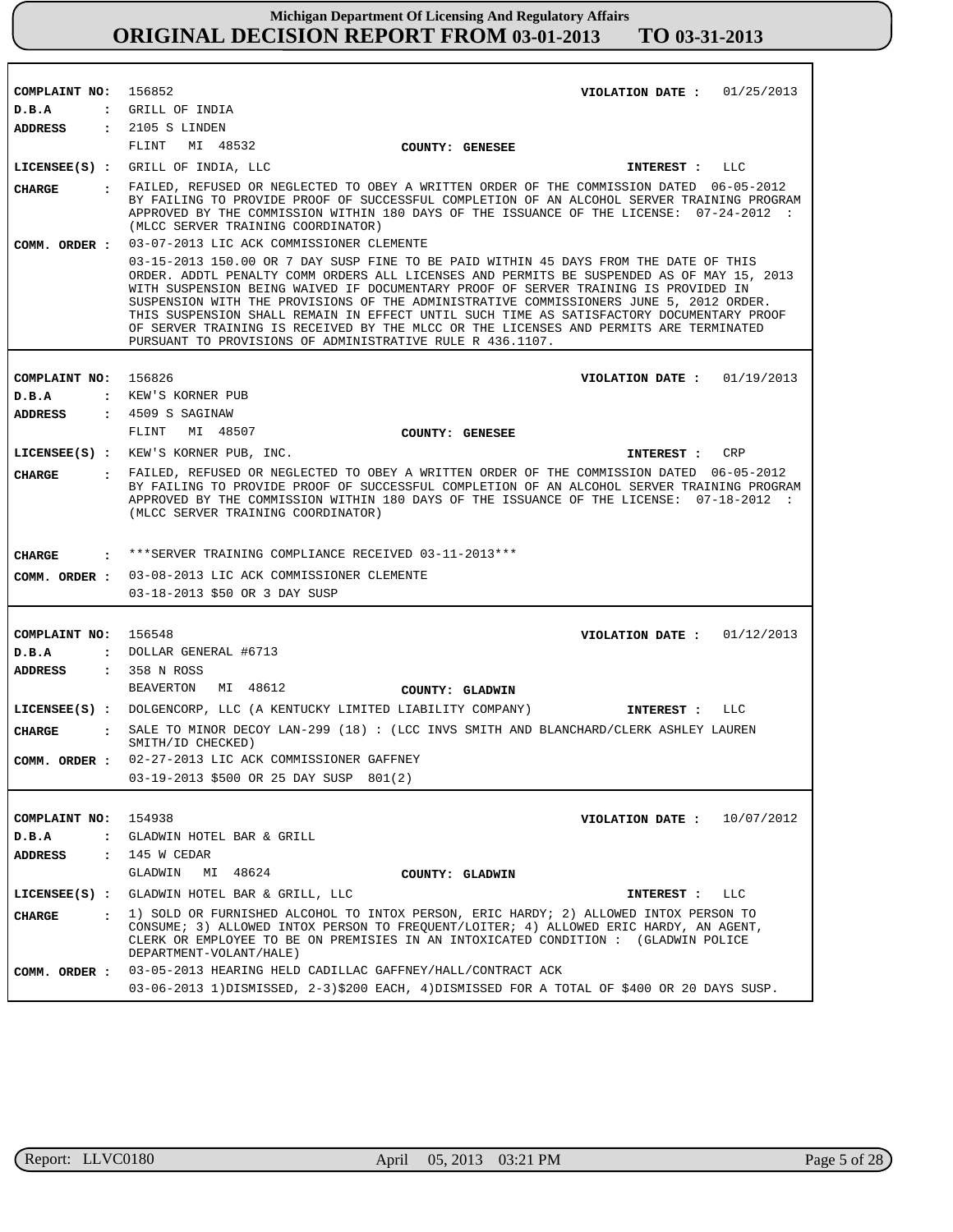| COMPLAINT NO: 156852 | VIOLATION DATE : $01/25/2013$                                                                                                                                                                                                                                                                                                                                                                                                                                                                                                                                                                                        |
|----------------------|----------------------------------------------------------------------------------------------------------------------------------------------------------------------------------------------------------------------------------------------------------------------------------------------------------------------------------------------------------------------------------------------------------------------------------------------------------------------------------------------------------------------------------------------------------------------------------------------------------------------|
| D.B.A                | : GRILL OF INDIA                                                                                                                                                                                                                                                                                                                                                                                                                                                                                                                                                                                                     |
| ADDRESS              | $: 2105 S$ LINDEN                                                                                                                                                                                                                                                                                                                                                                                                                                                                                                                                                                                                    |
|                      | FLINT<br>MI 48532<br>COUNTY: GENESEE                                                                                                                                                                                                                                                                                                                                                                                                                                                                                                                                                                                 |
|                      | LICENSEE(S) : GRILL OF INDIA, LLC<br>INTEREST : LLC                                                                                                                                                                                                                                                                                                                                                                                                                                                                                                                                                                  |
| CIIARGE              | : FAILED, REFUSED OR NEGLECTED TO OBEY A WRITTEN ORDER OF THE COMMISSION DATED 06-05-2012<br>BY FAILING TO PROVIDE PROOF OF SUCCESSFUL COMPLETION OF AN ALCOHOL SERVER TRAINING PROGRAM<br>APPROVED BY THE COMMISSION WITHIN 180 DAYS OF THE ISSUANCE OF THE LICENSE: 07-24-2012 :<br>(MLCC SERVER TRAINING COORDINATOR)                                                                                                                                                                                                                                                                                             |
| COMM. ORDER :        | 03-07-2013 LIC ACK COMMISSIONER CLEMENTE                                                                                                                                                                                                                                                                                                                                                                                                                                                                                                                                                                             |
|                      | 03-15-2013 150.00 OR 7 DAY SUSP FINE TO BE PAID WITHIN 45 DAYS FROM THE DATE OF THIS<br>ORDER. ADDTL PENALTY COMM ORDERS ALL LICENSES AND PERMITS BE SUSPENDED AS OF MAY 15, 2013<br>WITH SUSPENSION BEING WAIVED IF DOCUMENTARY PROOF OF SERVER TRAINING IS PROVIDED IN<br>SUSPENSION WITH THE PROVISIONS OF THE ADMINISTRATIVE COMMISSIONERS JUNE 5, 2012 ORDER.<br>THIS SUSPENSION SHALL REMAIN IN EFFECT UNTIL SUCH TIME AS SATISFACTORY DOCUMENTARY PROOF<br>OF SERVER TRAINING IS RECEIVED BY THE MLCC OR THE LICENSES AND PERMITS ARE TERMINATED<br>PURSUANT TO PROVISIONS OF ADMINISTRATIVE RULE R 436.1107. |
|                      |                                                                                                                                                                                                                                                                                                                                                                                                                                                                                                                                                                                                                      |
| COMPLAINT NO: 156826 | VIOLATION DATE : $01/19/2013$                                                                                                                                                                                                                                                                                                                                                                                                                                                                                                                                                                                        |
| D.B.A                | : KEW'S KORNER PUB                                                                                                                                                                                                                                                                                                                                                                                                                                                                                                                                                                                                   |
| ADDRESS              | $\,$ : 4509 S SAGINAW                                                                                                                                                                                                                                                                                                                                                                                                                                                                                                                                                                                                |
|                      | FLINT<br>MI 48507<br>COUNTY: GENESEE                                                                                                                                                                                                                                                                                                                                                                                                                                                                                                                                                                                 |
|                      | LICENSEE(S) : KEW'S KORNER PUB, INC.<br>CRP<br>INTEREST :                                                                                                                                                                                                                                                                                                                                                                                                                                                                                                                                                            |
| <b>CHARGE</b>        | . FAILED, REFUSED OR NEGLECTED TO OBEY A WRITTEN ORDER OF THE COMMISSION DATED 06-05-2012<br>BY FAILING TO PROVIDE PROOF OF SUCCESSFUL COMPLETION OF AN ALCOHOL SERVER TRAINING PROGRAM<br>APPROVED BY THE COMMISSION WITHIN 180 DAYS OF THE ISSUANCE OF THE LICENSE: 07-18-2012 :<br>(MLCC SERVER TRAINING COORDINATOR)                                                                                                                                                                                                                                                                                             |
| CHARGE               | *** SERVER TRAINING COMPLIANCE RECEIVED 03-11-2013 ***                                                                                                                                                                                                                                                                                                                                                                                                                                                                                                                                                               |
|                      | COMM. ORDER : 03-08-2013 LIC ACK COMMISSIONER CLEMENTE                                                                                                                                                                                                                                                                                                                                                                                                                                                                                                                                                               |
|                      | 03-18-2013 \$50 OR 3 DAY SUSP                                                                                                                                                                                                                                                                                                                                                                                                                                                                                                                                                                                        |
|                      |                                                                                                                                                                                                                                                                                                                                                                                                                                                                                                                                                                                                                      |
| COMPLAINT NO: 156548 | VIOLATION DATE : $01/12/2013$                                                                                                                                                                                                                                                                                                                                                                                                                                                                                                                                                                                        |
| D.B.A                | : DOLLAR GENERAL #6713                                                                                                                                                                                                                                                                                                                                                                                                                                                                                                                                                                                               |
| ADDRESS              | : 358 N ROSS                                                                                                                                                                                                                                                                                                                                                                                                                                                                                                                                                                                                         |
|                      | BEAVERTON MI 48612<br>COUNTY: GLADWIN                                                                                                                                                                                                                                                                                                                                                                                                                                                                                                                                                                                |
|                      | LICENSEE(S) : DOLGENCORP, LLC (A KENTUCKY LIMITED LIABILITY COMPANY)<br>INTEREST : LLC                                                                                                                                                                                                                                                                                                                                                                                                                                                                                                                               |
| <b>CHARGE</b>        | : SALE TO MINOR DECOY LAN-299 (18) : (LCC INVS SMITH AND BLANCHARD/CLERK ASHLEY LAUREN                                                                                                                                                                                                                                                                                                                                                                                                                                                                                                                               |
|                      | SMITH/ID CHECKED)                                                                                                                                                                                                                                                                                                                                                                                                                                                                                                                                                                                                    |
|                      | COMM. ORDER : 02-27-2013 LIC ACK COMMISSIONER GAFFNEY                                                                                                                                                                                                                                                                                                                                                                                                                                                                                                                                                                |
|                      | 03-19-2013 \$500 OR 25 DAY SUSP 801(2)                                                                                                                                                                                                                                                                                                                                                                                                                                                                                                                                                                               |
|                      |                                                                                                                                                                                                                                                                                                                                                                                                                                                                                                                                                                                                                      |
| COMPLAINT NO:        | 154938<br>VIOLATION DATE: $10/07/2012$                                                                                                                                                                                                                                                                                                                                                                                                                                                                                                                                                                               |
| D.B.A                | : GLADWIN HOTEL BAR & GRILL                                                                                                                                                                                                                                                                                                                                                                                                                                                                                                                                                                                          |
| <b>ADDRESS</b>       | $: 145$ W CEDAR                                                                                                                                                                                                                                                                                                                                                                                                                                                                                                                                                                                                      |
|                      | GLADWIN<br>MI 48624<br>COUNTY: GLADWIN                                                                                                                                                                                                                                                                                                                                                                                                                                                                                                                                                                               |
|                      | LICENSEE(S) : GLADWIN HOTEL BAR & GRILL, LLC<br>INTEREST : LLC                                                                                                                                                                                                                                                                                                                                                                                                                                                                                                                                                       |
| <b>CHARGE</b>        | : 1) SOLD OR FURNISHED ALCOHOL TO INTOX PERSON, ERIC HARDY; 2) ALLOWED INTOX PERSON TO<br>CONSUME; 3) ALLOWED INTOX PERSON TO FREQUENT/LOITER; 4) ALLOWED ERIC HARDY, AN AGENT,<br>CLERK OR EMPLOYEE TO BE ON PREMISIES IN AN INTOXICATED CONDITION : (GLADWIN POLICE<br>DEPARTMENT-VOLANT/HALE)                                                                                                                                                                                                                                                                                                                     |
| COMM. ORDER :        | 03-05-2013 HEARING HELD CADILLAC GAFFNEY/HALL/CONTRACT ACK                                                                                                                                                                                                                                                                                                                                                                                                                                                                                                                                                           |
|                      | 03-06-2013 1) DISMISSED, 2-3) \$200 EACH, 4) DISMISSED FOR A TOTAL OF \$400 OR 20 DAYS SUSP.                                                                                                                                                                                                                                                                                                                                                                                                                                                                                                                         |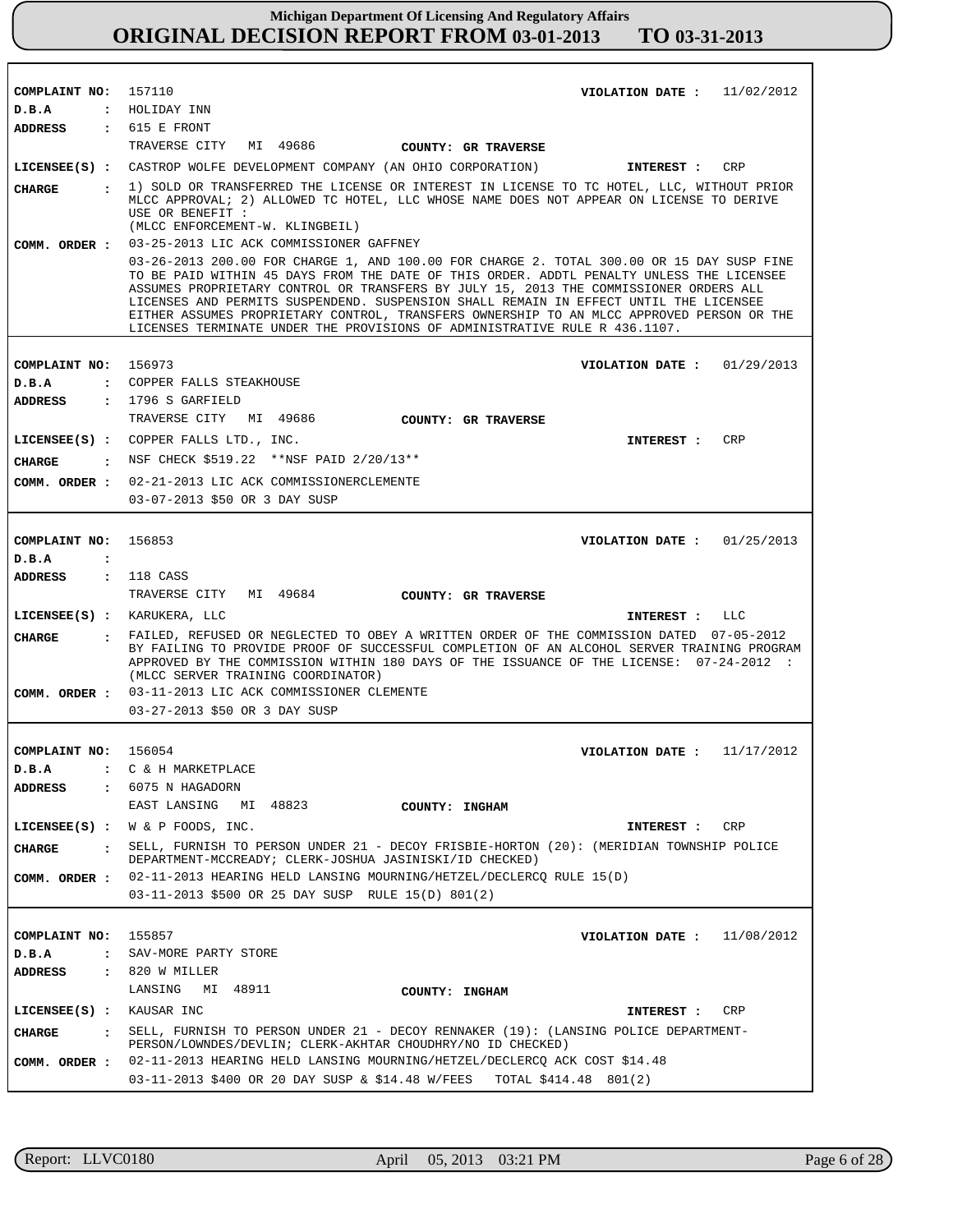| COMPLAINT NO: 157110<br>VIOLATION DATE: $11/02/2012$<br>: HOLIDAY INN<br>$D$ . B.A<br>: 615 E FRONT<br>ADDRESS<br>TRAVERSE CITY MI 49686<br>COUNTY: GR TRAVERSE<br>LICENSEE(S) : CASTROP WOLFE DEVELOPMENT COMPANY (AN OHIO CORPORATION)<br>INTEREST :<br>CRP<br>: 1) SOLD OR TRANSFERRED THE LICENSE OR INTEREST IN LICENSE TO TC HOTEL, LLC, WITHOUT PRIOR<br>CHARGE<br>MLCC APPROVAL; 2) ALLOWED TC HOTEL, LLC WHOSE NAME DOES NOT APPEAR ON LICENSE TO DERIVE<br>USE OR BENEFIT :<br>(MLCC ENFORCEMENT-W. KLINGBEIL)<br>03-25-2013 LIC ACK COMMISSIONER GAFFNEY<br>COMM. ORDER :<br>03-26-2013 200.00 FOR CHARGE 1, AND 100.00 FOR CHARGE 2. TOTAL 300.00 OR 15 DAY SUSP FINE<br>TO BE PAID WITHIN 45 DAYS FROM THE DATE OF THIS ORDER. ADDTL PENALTY UNLESS THE LICENSEE<br>ASSUMES PROPRIETARY CONTROL OR TRANSFERS BY JULY 15, 2013 THE COMMISSIONER ORDERS ALL<br>LICENSES AND PERMITS SUSPENDEND. SUSPENSION SHALL REMAIN IN EFFECT UNTIL THE LICENSEE<br>EITHER ASSUMES PROPRIETARY CONTROL, TRANSFERS OWNERSHIP TO AN MLCC APPROVED PERSON OR THE<br>LICENSES TERMINATE UNDER THE PROVISIONS OF ADMINISTRATIVE RULE R 436.1107.<br>COMPLAINT NO:<br>156973<br>VIOLATION DATE: $01/29/2013$<br>: COPPER FALLS STEAKHOUSE<br>$D$ . B.A<br>$: 1796 S$ GARFIELD<br>ADDRESS<br>TRAVERSE CITY MI 49686<br>COUNTY: GR TRAVERSE<br>LICENSEE(S) : COPPER FALLS LTD., INC.<br>CRP<br>INTEREST :<br>: NSF CHECK \$519.22 **NSF PAID 2/20/13**<br>CHARGE<br>02-21-2013 LIC ACK COMMISSIONERCLEMENTE<br>COMM. ORDER :<br>03-07-2013 \$50 OR 3 DAY SUSP<br>COMPLAINT NO:<br>156853<br>VIOLATION DATE: $01/25/2013$<br>D.B.A<br>$\ddot{\cdot}$<br>ADDRESS : 118 CASS<br>TRAVERSE CITY MI 49684<br>COUNTY: GR TRAVERSE<br>LICENSEE(S) : KARUKERA, LLC<br>INTEREST : LLC<br>: FAILED, REFUSED OR NEGLECTED TO OBEY A WRITTEN ORDER OF THE COMMISSION DATED 07-05-2012<br>CHARGE<br>BY FAILING TO PROVIDE PROOF OF SUCCESSFUL COMPLETION OF AN ALCOHOL SERVER TRAINING PROGRAM<br>APPROVED BY THE COMMISSION WITHIN 180 DAYS OF THE ISSUANCE OF THE LICENSE: 07-24-2012 :<br>(MLCC SERVER TRAINING COORDINATOR)<br>COMM. ORDER : 03-11-2013 LIC ACK COMMISSIONER CLEMENTE<br>03-27-2013 \$50 OR 3 DAY SUSP<br>COMPLAINT NO: 156054<br>VIOLATION DATE: $11/17/2012$<br>D.B.A<br>C & H MARKETPLACE<br>6075 N HAGADORN<br><b>ADDRESS</b><br>$\mathbf{r}$<br>EAST LANSING MI 48823<br>COUNTY: INGHAM<br>LICENSEE $(S)$ : W & P FOODS, INC.<br>INTEREST : CRP<br>SELL, FURNISH TO PERSON UNDER 21 - DECOY FRISBIE-HORTON (20): (MERIDIAN TOWNSHIP POLICE<br><b>CHARGE</b><br>DEPARTMENT-MCCREADY; CLERK-JOSHUA JASINISKI/ID CHECKED)<br>02-11-2013 HEARING HELD LANSING MOURNING/HETZEL/DECLERCQ RULE 15(D)<br>COMM. ORDER :<br>03-11-2013 \$500 OR 25 DAY SUSP RULE 15(D) 801(2)<br>COMPLAINT NO:<br>155857<br>VIOLATION DATE : $11/08/2012$<br>SAV-MORE PARTY STORE<br>$D$ . B.A<br>$\mathbf{r}$<br>$: 820$ W MILLER<br><b>ADDRESS</b><br>LANSING MI 48911<br>COUNTY: INGHAM<br>LICENSEE(S) : KAUSAR INC<br>INTEREST : CRP<br>SELL, FURNISH TO PERSON UNDER 21 - DECOY RENNAKER (19): (LANSING POLICE DEPARTMENT-<br><b>CHARGE</b><br>$\mathbf{r}$<br>PERSON/LOWNDES/DEVLIN; CLERK-AKHTAR CHOUDHRY/NO ID CHECKED)<br>02-11-2013 HEARING HELD LANSING MOURNING/HETZEL/DECLERCQ ACK COST \$14.48<br>COMM. ORDER : |  |                                                                        |
|-------------------------------------------------------------------------------------------------------------------------------------------------------------------------------------------------------------------------------------------------------------------------------------------------------------------------------------------------------------------------------------------------------------------------------------------------------------------------------------------------------------------------------------------------------------------------------------------------------------------------------------------------------------------------------------------------------------------------------------------------------------------------------------------------------------------------------------------------------------------------------------------------------------------------------------------------------------------------------------------------------------------------------------------------------------------------------------------------------------------------------------------------------------------------------------------------------------------------------------------------------------------------------------------------------------------------------------------------------------------------------------------------------------------------------------------------------------------------------------------------------------------------------------------------------------------------------------------------------------------------------------------------------------------------------------------------------------------------------------------------------------------------------------------------------------------------------------------------------------------------------------------------------------------------------------------------------------------------------------------------------------------------------------------------------------------------------------------------------------------------------------------------------------------------------------------------------------------------------------------------------------------------------------------------------------------------------------------------------------------------------------------------------------------------------------------------------------------------------------------------------------------------------------------------------------------------------------------------------------------------------------------------------------------------------------------------------------------------------------------------------------------------------------------------------------------------------------------------------------------------------------------------------------------------------------------------------------------------------------------------------------------------------------------------------------------------------------------------------------------------------------------------------------------------------------------------------------------------------------------------------------------------------------------------------|--|------------------------------------------------------------------------|
|                                                                                                                                                                                                                                                                                                                                                                                                                                                                                                                                                                                                                                                                                                                                                                                                                                                                                                                                                                                                                                                                                                                                                                                                                                                                                                                                                                                                                                                                                                                                                                                                                                                                                                                                                                                                                                                                                                                                                                                                                                                                                                                                                                                                                                                                                                                                                                                                                                                                                                                                                                                                                                                                                                                                                                                                                                                                                                                                                                                                                                                                                                                                                                                                                                                                                                       |  |                                                                        |
|                                                                                                                                                                                                                                                                                                                                                                                                                                                                                                                                                                                                                                                                                                                                                                                                                                                                                                                                                                                                                                                                                                                                                                                                                                                                                                                                                                                                                                                                                                                                                                                                                                                                                                                                                                                                                                                                                                                                                                                                                                                                                                                                                                                                                                                                                                                                                                                                                                                                                                                                                                                                                                                                                                                                                                                                                                                                                                                                                                                                                                                                                                                                                                                                                                                                                                       |  |                                                                        |
|                                                                                                                                                                                                                                                                                                                                                                                                                                                                                                                                                                                                                                                                                                                                                                                                                                                                                                                                                                                                                                                                                                                                                                                                                                                                                                                                                                                                                                                                                                                                                                                                                                                                                                                                                                                                                                                                                                                                                                                                                                                                                                                                                                                                                                                                                                                                                                                                                                                                                                                                                                                                                                                                                                                                                                                                                                                                                                                                                                                                                                                                                                                                                                                                                                                                                                       |  |                                                                        |
|                                                                                                                                                                                                                                                                                                                                                                                                                                                                                                                                                                                                                                                                                                                                                                                                                                                                                                                                                                                                                                                                                                                                                                                                                                                                                                                                                                                                                                                                                                                                                                                                                                                                                                                                                                                                                                                                                                                                                                                                                                                                                                                                                                                                                                                                                                                                                                                                                                                                                                                                                                                                                                                                                                                                                                                                                                                                                                                                                                                                                                                                                                                                                                                                                                                                                                       |  |                                                                        |
|                                                                                                                                                                                                                                                                                                                                                                                                                                                                                                                                                                                                                                                                                                                                                                                                                                                                                                                                                                                                                                                                                                                                                                                                                                                                                                                                                                                                                                                                                                                                                                                                                                                                                                                                                                                                                                                                                                                                                                                                                                                                                                                                                                                                                                                                                                                                                                                                                                                                                                                                                                                                                                                                                                                                                                                                                                                                                                                                                                                                                                                                                                                                                                                                                                                                                                       |  |                                                                        |
|                                                                                                                                                                                                                                                                                                                                                                                                                                                                                                                                                                                                                                                                                                                                                                                                                                                                                                                                                                                                                                                                                                                                                                                                                                                                                                                                                                                                                                                                                                                                                                                                                                                                                                                                                                                                                                                                                                                                                                                                                                                                                                                                                                                                                                                                                                                                                                                                                                                                                                                                                                                                                                                                                                                                                                                                                                                                                                                                                                                                                                                                                                                                                                                                                                                                                                       |  |                                                                        |
|                                                                                                                                                                                                                                                                                                                                                                                                                                                                                                                                                                                                                                                                                                                                                                                                                                                                                                                                                                                                                                                                                                                                                                                                                                                                                                                                                                                                                                                                                                                                                                                                                                                                                                                                                                                                                                                                                                                                                                                                                                                                                                                                                                                                                                                                                                                                                                                                                                                                                                                                                                                                                                                                                                                                                                                                                                                                                                                                                                                                                                                                                                                                                                                                                                                                                                       |  |                                                                        |
|                                                                                                                                                                                                                                                                                                                                                                                                                                                                                                                                                                                                                                                                                                                                                                                                                                                                                                                                                                                                                                                                                                                                                                                                                                                                                                                                                                                                                                                                                                                                                                                                                                                                                                                                                                                                                                                                                                                                                                                                                                                                                                                                                                                                                                                                                                                                                                                                                                                                                                                                                                                                                                                                                                                                                                                                                                                                                                                                                                                                                                                                                                                                                                                                                                                                                                       |  |                                                                        |
|                                                                                                                                                                                                                                                                                                                                                                                                                                                                                                                                                                                                                                                                                                                                                                                                                                                                                                                                                                                                                                                                                                                                                                                                                                                                                                                                                                                                                                                                                                                                                                                                                                                                                                                                                                                                                                                                                                                                                                                                                                                                                                                                                                                                                                                                                                                                                                                                                                                                                                                                                                                                                                                                                                                                                                                                                                                                                                                                                                                                                                                                                                                                                                                                                                                                                                       |  |                                                                        |
|                                                                                                                                                                                                                                                                                                                                                                                                                                                                                                                                                                                                                                                                                                                                                                                                                                                                                                                                                                                                                                                                                                                                                                                                                                                                                                                                                                                                                                                                                                                                                                                                                                                                                                                                                                                                                                                                                                                                                                                                                                                                                                                                                                                                                                                                                                                                                                                                                                                                                                                                                                                                                                                                                                                                                                                                                                                                                                                                                                                                                                                                                                                                                                                                                                                                                                       |  |                                                                        |
|                                                                                                                                                                                                                                                                                                                                                                                                                                                                                                                                                                                                                                                                                                                                                                                                                                                                                                                                                                                                                                                                                                                                                                                                                                                                                                                                                                                                                                                                                                                                                                                                                                                                                                                                                                                                                                                                                                                                                                                                                                                                                                                                                                                                                                                                                                                                                                                                                                                                                                                                                                                                                                                                                                                                                                                                                                                                                                                                                                                                                                                                                                                                                                                                                                                                                                       |  |                                                                        |
|                                                                                                                                                                                                                                                                                                                                                                                                                                                                                                                                                                                                                                                                                                                                                                                                                                                                                                                                                                                                                                                                                                                                                                                                                                                                                                                                                                                                                                                                                                                                                                                                                                                                                                                                                                                                                                                                                                                                                                                                                                                                                                                                                                                                                                                                                                                                                                                                                                                                                                                                                                                                                                                                                                                                                                                                                                                                                                                                                                                                                                                                                                                                                                                                                                                                                                       |  |                                                                        |
|                                                                                                                                                                                                                                                                                                                                                                                                                                                                                                                                                                                                                                                                                                                                                                                                                                                                                                                                                                                                                                                                                                                                                                                                                                                                                                                                                                                                                                                                                                                                                                                                                                                                                                                                                                                                                                                                                                                                                                                                                                                                                                                                                                                                                                                                                                                                                                                                                                                                                                                                                                                                                                                                                                                                                                                                                                                                                                                                                                                                                                                                                                                                                                                                                                                                                                       |  |                                                                        |
|                                                                                                                                                                                                                                                                                                                                                                                                                                                                                                                                                                                                                                                                                                                                                                                                                                                                                                                                                                                                                                                                                                                                                                                                                                                                                                                                                                                                                                                                                                                                                                                                                                                                                                                                                                                                                                                                                                                                                                                                                                                                                                                                                                                                                                                                                                                                                                                                                                                                                                                                                                                                                                                                                                                                                                                                                                                                                                                                                                                                                                                                                                                                                                                                                                                                                                       |  |                                                                        |
|                                                                                                                                                                                                                                                                                                                                                                                                                                                                                                                                                                                                                                                                                                                                                                                                                                                                                                                                                                                                                                                                                                                                                                                                                                                                                                                                                                                                                                                                                                                                                                                                                                                                                                                                                                                                                                                                                                                                                                                                                                                                                                                                                                                                                                                                                                                                                                                                                                                                                                                                                                                                                                                                                                                                                                                                                                                                                                                                                                                                                                                                                                                                                                                                                                                                                                       |  |                                                                        |
|                                                                                                                                                                                                                                                                                                                                                                                                                                                                                                                                                                                                                                                                                                                                                                                                                                                                                                                                                                                                                                                                                                                                                                                                                                                                                                                                                                                                                                                                                                                                                                                                                                                                                                                                                                                                                                                                                                                                                                                                                                                                                                                                                                                                                                                                                                                                                                                                                                                                                                                                                                                                                                                                                                                                                                                                                                                                                                                                                                                                                                                                                                                                                                                                                                                                                                       |  |                                                                        |
|                                                                                                                                                                                                                                                                                                                                                                                                                                                                                                                                                                                                                                                                                                                                                                                                                                                                                                                                                                                                                                                                                                                                                                                                                                                                                                                                                                                                                                                                                                                                                                                                                                                                                                                                                                                                                                                                                                                                                                                                                                                                                                                                                                                                                                                                                                                                                                                                                                                                                                                                                                                                                                                                                                                                                                                                                                                                                                                                                                                                                                                                                                                                                                                                                                                                                                       |  |                                                                        |
|                                                                                                                                                                                                                                                                                                                                                                                                                                                                                                                                                                                                                                                                                                                                                                                                                                                                                                                                                                                                                                                                                                                                                                                                                                                                                                                                                                                                                                                                                                                                                                                                                                                                                                                                                                                                                                                                                                                                                                                                                                                                                                                                                                                                                                                                                                                                                                                                                                                                                                                                                                                                                                                                                                                                                                                                                                                                                                                                                                                                                                                                                                                                                                                                                                                                                                       |  |                                                                        |
|                                                                                                                                                                                                                                                                                                                                                                                                                                                                                                                                                                                                                                                                                                                                                                                                                                                                                                                                                                                                                                                                                                                                                                                                                                                                                                                                                                                                                                                                                                                                                                                                                                                                                                                                                                                                                                                                                                                                                                                                                                                                                                                                                                                                                                                                                                                                                                                                                                                                                                                                                                                                                                                                                                                                                                                                                                                                                                                                                                                                                                                                                                                                                                                                                                                                                                       |  |                                                                        |
|                                                                                                                                                                                                                                                                                                                                                                                                                                                                                                                                                                                                                                                                                                                                                                                                                                                                                                                                                                                                                                                                                                                                                                                                                                                                                                                                                                                                                                                                                                                                                                                                                                                                                                                                                                                                                                                                                                                                                                                                                                                                                                                                                                                                                                                                                                                                                                                                                                                                                                                                                                                                                                                                                                                                                                                                                                                                                                                                                                                                                                                                                                                                                                                                                                                                                                       |  |                                                                        |
|                                                                                                                                                                                                                                                                                                                                                                                                                                                                                                                                                                                                                                                                                                                                                                                                                                                                                                                                                                                                                                                                                                                                                                                                                                                                                                                                                                                                                                                                                                                                                                                                                                                                                                                                                                                                                                                                                                                                                                                                                                                                                                                                                                                                                                                                                                                                                                                                                                                                                                                                                                                                                                                                                                                                                                                                                                                                                                                                                                                                                                                                                                                                                                                                                                                                                                       |  |                                                                        |
|                                                                                                                                                                                                                                                                                                                                                                                                                                                                                                                                                                                                                                                                                                                                                                                                                                                                                                                                                                                                                                                                                                                                                                                                                                                                                                                                                                                                                                                                                                                                                                                                                                                                                                                                                                                                                                                                                                                                                                                                                                                                                                                                                                                                                                                                                                                                                                                                                                                                                                                                                                                                                                                                                                                                                                                                                                                                                                                                                                                                                                                                                                                                                                                                                                                                                                       |  |                                                                        |
|                                                                                                                                                                                                                                                                                                                                                                                                                                                                                                                                                                                                                                                                                                                                                                                                                                                                                                                                                                                                                                                                                                                                                                                                                                                                                                                                                                                                                                                                                                                                                                                                                                                                                                                                                                                                                                                                                                                                                                                                                                                                                                                                                                                                                                                                                                                                                                                                                                                                                                                                                                                                                                                                                                                                                                                                                                                                                                                                                                                                                                                                                                                                                                                                                                                                                                       |  |                                                                        |
|                                                                                                                                                                                                                                                                                                                                                                                                                                                                                                                                                                                                                                                                                                                                                                                                                                                                                                                                                                                                                                                                                                                                                                                                                                                                                                                                                                                                                                                                                                                                                                                                                                                                                                                                                                                                                                                                                                                                                                                                                                                                                                                                                                                                                                                                                                                                                                                                                                                                                                                                                                                                                                                                                                                                                                                                                                                                                                                                                                                                                                                                                                                                                                                                                                                                                                       |  |                                                                        |
|                                                                                                                                                                                                                                                                                                                                                                                                                                                                                                                                                                                                                                                                                                                                                                                                                                                                                                                                                                                                                                                                                                                                                                                                                                                                                                                                                                                                                                                                                                                                                                                                                                                                                                                                                                                                                                                                                                                                                                                                                                                                                                                                                                                                                                                                                                                                                                                                                                                                                                                                                                                                                                                                                                                                                                                                                                                                                                                                                                                                                                                                                                                                                                                                                                                                                                       |  |                                                                        |
|                                                                                                                                                                                                                                                                                                                                                                                                                                                                                                                                                                                                                                                                                                                                                                                                                                                                                                                                                                                                                                                                                                                                                                                                                                                                                                                                                                                                                                                                                                                                                                                                                                                                                                                                                                                                                                                                                                                                                                                                                                                                                                                                                                                                                                                                                                                                                                                                                                                                                                                                                                                                                                                                                                                                                                                                                                                                                                                                                                                                                                                                                                                                                                                                                                                                                                       |  |                                                                        |
|                                                                                                                                                                                                                                                                                                                                                                                                                                                                                                                                                                                                                                                                                                                                                                                                                                                                                                                                                                                                                                                                                                                                                                                                                                                                                                                                                                                                                                                                                                                                                                                                                                                                                                                                                                                                                                                                                                                                                                                                                                                                                                                                                                                                                                                                                                                                                                                                                                                                                                                                                                                                                                                                                                                                                                                                                                                                                                                                                                                                                                                                                                                                                                                                                                                                                                       |  |                                                                        |
|                                                                                                                                                                                                                                                                                                                                                                                                                                                                                                                                                                                                                                                                                                                                                                                                                                                                                                                                                                                                                                                                                                                                                                                                                                                                                                                                                                                                                                                                                                                                                                                                                                                                                                                                                                                                                                                                                                                                                                                                                                                                                                                                                                                                                                                                                                                                                                                                                                                                                                                                                                                                                                                                                                                                                                                                                                                                                                                                                                                                                                                                                                                                                                                                                                                                                                       |  |                                                                        |
|                                                                                                                                                                                                                                                                                                                                                                                                                                                                                                                                                                                                                                                                                                                                                                                                                                                                                                                                                                                                                                                                                                                                                                                                                                                                                                                                                                                                                                                                                                                                                                                                                                                                                                                                                                                                                                                                                                                                                                                                                                                                                                                                                                                                                                                                                                                                                                                                                                                                                                                                                                                                                                                                                                                                                                                                                                                                                                                                                                                                                                                                                                                                                                                                                                                                                                       |  |                                                                        |
|                                                                                                                                                                                                                                                                                                                                                                                                                                                                                                                                                                                                                                                                                                                                                                                                                                                                                                                                                                                                                                                                                                                                                                                                                                                                                                                                                                                                                                                                                                                                                                                                                                                                                                                                                                                                                                                                                                                                                                                                                                                                                                                                                                                                                                                                                                                                                                                                                                                                                                                                                                                                                                                                                                                                                                                                                                                                                                                                                                                                                                                                                                                                                                                                                                                                                                       |  |                                                                        |
|                                                                                                                                                                                                                                                                                                                                                                                                                                                                                                                                                                                                                                                                                                                                                                                                                                                                                                                                                                                                                                                                                                                                                                                                                                                                                                                                                                                                                                                                                                                                                                                                                                                                                                                                                                                                                                                                                                                                                                                                                                                                                                                                                                                                                                                                                                                                                                                                                                                                                                                                                                                                                                                                                                                                                                                                                                                                                                                                                                                                                                                                                                                                                                                                                                                                                                       |  |                                                                        |
|                                                                                                                                                                                                                                                                                                                                                                                                                                                                                                                                                                                                                                                                                                                                                                                                                                                                                                                                                                                                                                                                                                                                                                                                                                                                                                                                                                                                                                                                                                                                                                                                                                                                                                                                                                                                                                                                                                                                                                                                                                                                                                                                                                                                                                                                                                                                                                                                                                                                                                                                                                                                                                                                                                                                                                                                                                                                                                                                                                                                                                                                                                                                                                                                                                                                                                       |  |                                                                        |
|                                                                                                                                                                                                                                                                                                                                                                                                                                                                                                                                                                                                                                                                                                                                                                                                                                                                                                                                                                                                                                                                                                                                                                                                                                                                                                                                                                                                                                                                                                                                                                                                                                                                                                                                                                                                                                                                                                                                                                                                                                                                                                                                                                                                                                                                                                                                                                                                                                                                                                                                                                                                                                                                                                                                                                                                                                                                                                                                                                                                                                                                                                                                                                                                                                                                                                       |  |                                                                        |
|                                                                                                                                                                                                                                                                                                                                                                                                                                                                                                                                                                                                                                                                                                                                                                                                                                                                                                                                                                                                                                                                                                                                                                                                                                                                                                                                                                                                                                                                                                                                                                                                                                                                                                                                                                                                                                                                                                                                                                                                                                                                                                                                                                                                                                                                                                                                                                                                                                                                                                                                                                                                                                                                                                                                                                                                                                                                                                                                                                                                                                                                                                                                                                                                                                                                                                       |  |                                                                        |
|                                                                                                                                                                                                                                                                                                                                                                                                                                                                                                                                                                                                                                                                                                                                                                                                                                                                                                                                                                                                                                                                                                                                                                                                                                                                                                                                                                                                                                                                                                                                                                                                                                                                                                                                                                                                                                                                                                                                                                                                                                                                                                                                                                                                                                                                                                                                                                                                                                                                                                                                                                                                                                                                                                                                                                                                                                                                                                                                                                                                                                                                                                                                                                                                                                                                                                       |  |                                                                        |
|                                                                                                                                                                                                                                                                                                                                                                                                                                                                                                                                                                                                                                                                                                                                                                                                                                                                                                                                                                                                                                                                                                                                                                                                                                                                                                                                                                                                                                                                                                                                                                                                                                                                                                                                                                                                                                                                                                                                                                                                                                                                                                                                                                                                                                                                                                                                                                                                                                                                                                                                                                                                                                                                                                                                                                                                                                                                                                                                                                                                                                                                                                                                                                                                                                                                                                       |  |                                                                        |
|                                                                                                                                                                                                                                                                                                                                                                                                                                                                                                                                                                                                                                                                                                                                                                                                                                                                                                                                                                                                                                                                                                                                                                                                                                                                                                                                                                                                                                                                                                                                                                                                                                                                                                                                                                                                                                                                                                                                                                                                                                                                                                                                                                                                                                                                                                                                                                                                                                                                                                                                                                                                                                                                                                                                                                                                                                                                                                                                                                                                                                                                                                                                                                                                                                                                                                       |  |                                                                        |
|                                                                                                                                                                                                                                                                                                                                                                                                                                                                                                                                                                                                                                                                                                                                                                                                                                                                                                                                                                                                                                                                                                                                                                                                                                                                                                                                                                                                                                                                                                                                                                                                                                                                                                                                                                                                                                                                                                                                                                                                                                                                                                                                                                                                                                                                                                                                                                                                                                                                                                                                                                                                                                                                                                                                                                                                                                                                                                                                                                                                                                                                                                                                                                                                                                                                                                       |  |                                                                        |
|                                                                                                                                                                                                                                                                                                                                                                                                                                                                                                                                                                                                                                                                                                                                                                                                                                                                                                                                                                                                                                                                                                                                                                                                                                                                                                                                                                                                                                                                                                                                                                                                                                                                                                                                                                                                                                                                                                                                                                                                                                                                                                                                                                                                                                                                                                                                                                                                                                                                                                                                                                                                                                                                                                                                                                                                                                                                                                                                                                                                                                                                                                                                                                                                                                                                                                       |  |                                                                        |
|                                                                                                                                                                                                                                                                                                                                                                                                                                                                                                                                                                                                                                                                                                                                                                                                                                                                                                                                                                                                                                                                                                                                                                                                                                                                                                                                                                                                                                                                                                                                                                                                                                                                                                                                                                                                                                                                                                                                                                                                                                                                                                                                                                                                                                                                                                                                                                                                                                                                                                                                                                                                                                                                                                                                                                                                                                                                                                                                                                                                                                                                                                                                                                                                                                                                                                       |  |                                                                        |
|                                                                                                                                                                                                                                                                                                                                                                                                                                                                                                                                                                                                                                                                                                                                                                                                                                                                                                                                                                                                                                                                                                                                                                                                                                                                                                                                                                                                                                                                                                                                                                                                                                                                                                                                                                                                                                                                                                                                                                                                                                                                                                                                                                                                                                                                                                                                                                                                                                                                                                                                                                                                                                                                                                                                                                                                                                                                                                                                                                                                                                                                                                                                                                                                                                                                                                       |  |                                                                        |
|                                                                                                                                                                                                                                                                                                                                                                                                                                                                                                                                                                                                                                                                                                                                                                                                                                                                                                                                                                                                                                                                                                                                                                                                                                                                                                                                                                                                                                                                                                                                                                                                                                                                                                                                                                                                                                                                                                                                                                                                                                                                                                                                                                                                                                                                                                                                                                                                                                                                                                                                                                                                                                                                                                                                                                                                                                                                                                                                                                                                                                                                                                                                                                                                                                                                                                       |  |                                                                        |
|                                                                                                                                                                                                                                                                                                                                                                                                                                                                                                                                                                                                                                                                                                                                                                                                                                                                                                                                                                                                                                                                                                                                                                                                                                                                                                                                                                                                                                                                                                                                                                                                                                                                                                                                                                                                                                                                                                                                                                                                                                                                                                                                                                                                                                                                                                                                                                                                                                                                                                                                                                                                                                                                                                                                                                                                                                                                                                                                                                                                                                                                                                                                                                                                                                                                                                       |  |                                                                        |
|                                                                                                                                                                                                                                                                                                                                                                                                                                                                                                                                                                                                                                                                                                                                                                                                                                                                                                                                                                                                                                                                                                                                                                                                                                                                                                                                                                                                                                                                                                                                                                                                                                                                                                                                                                                                                                                                                                                                                                                                                                                                                                                                                                                                                                                                                                                                                                                                                                                                                                                                                                                                                                                                                                                                                                                                                                                                                                                                                                                                                                                                                                                                                                                                                                                                                                       |  | 03-11-2013 \$400 OR 20 DAY SUSP & \$14.48 W/FEES TOTAL \$414.48 801(2) |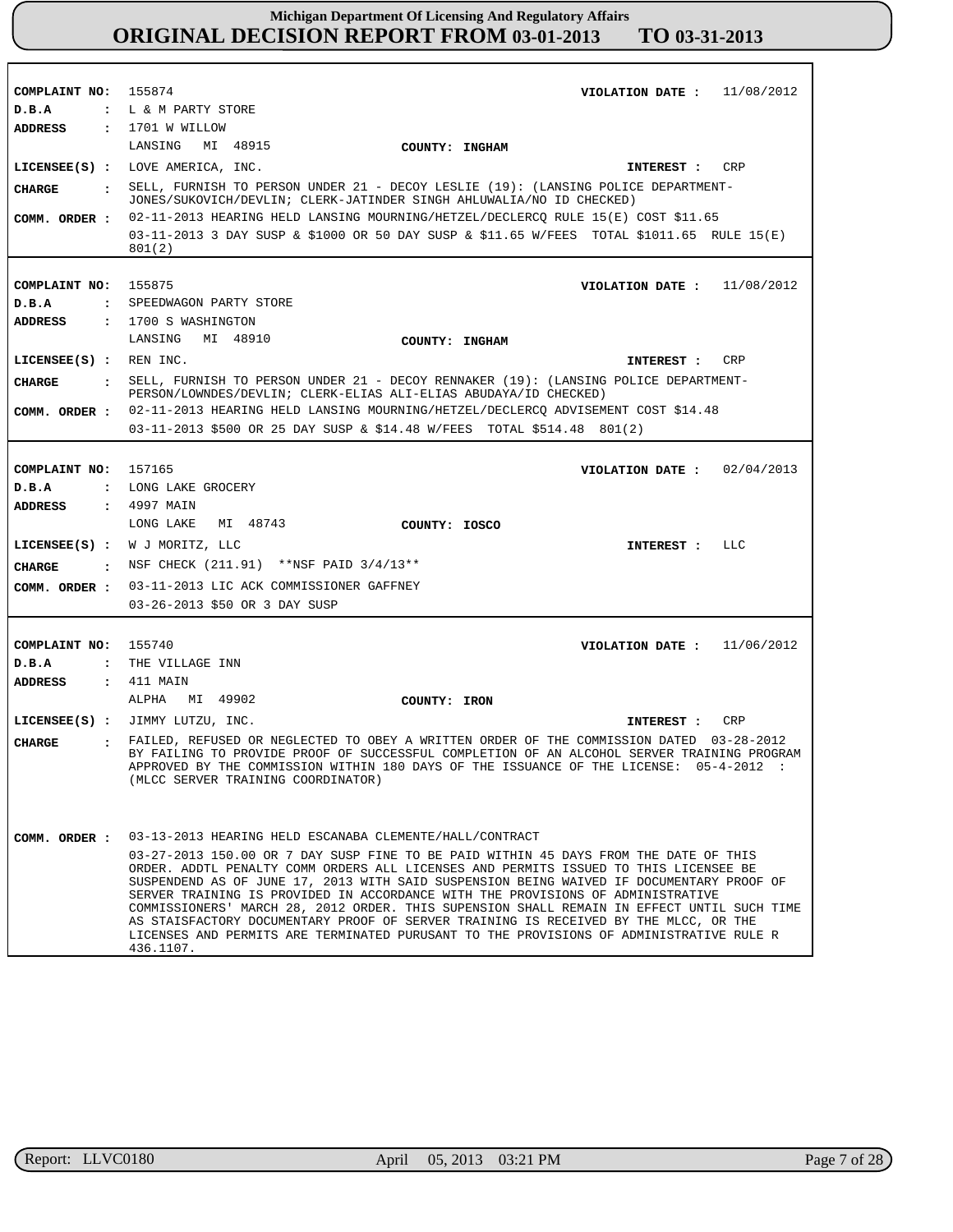| COMPLAINT NO: 155874           | VIOLATION DATE : $11/08/2012$                                                                                                                                                                                                                                                                                                                                                                                                                                                                                                                                                                                                                             |
|--------------------------------|-----------------------------------------------------------------------------------------------------------------------------------------------------------------------------------------------------------------------------------------------------------------------------------------------------------------------------------------------------------------------------------------------------------------------------------------------------------------------------------------------------------------------------------------------------------------------------------------------------------------------------------------------------------|
| D.B.A                          | : L & M PARTY STORE                                                                                                                                                                                                                                                                                                                                                                                                                                                                                                                                                                                                                                       |
| ADDRESS                        | : 1701 W WILLOW                                                                                                                                                                                                                                                                                                                                                                                                                                                                                                                                                                                                                                           |
|                                | LANSING MI 48915<br>COUNTY: INGHAM                                                                                                                                                                                                                                                                                                                                                                                                                                                                                                                                                                                                                        |
|                                | LICENSEE(S) : LOVE AMERICA, INC.<br>INTEREST : CRP                                                                                                                                                                                                                                                                                                                                                                                                                                                                                                                                                                                                        |
| CHARGE<br>$\sim$ $\sim$ $\sim$ | SELL, FURNISH TO PERSON UNDER 21 - DECOY LESLIE (19): (LANSING POLICE DEPARTMENT-<br>JONES/SUKOVICH/DEVLIN; CLERK-JATINDER SINGH AHLUWALIA/NO ID CHECKED)                                                                                                                                                                                                                                                                                                                                                                                                                                                                                                 |
| COMM. ORDER :                  | 02-11-2013 HEARING HELD LANSING MOURNING/HETZEL/DECLERCQ RULE 15(E) COST \$11.65                                                                                                                                                                                                                                                                                                                                                                                                                                                                                                                                                                          |
|                                | 03-11-2013 3 DAY SUSP & \$1000 OR 50 DAY SUSP & \$11.65 W/FEES TOTAL \$1011.65 RULE 15(E)<br>801(2)                                                                                                                                                                                                                                                                                                                                                                                                                                                                                                                                                       |
|                                |                                                                                                                                                                                                                                                                                                                                                                                                                                                                                                                                                                                                                                                           |
| COMPLAINT NO: 155875           | VIOLATION DATE : $11/08/2012$                                                                                                                                                                                                                                                                                                                                                                                                                                                                                                                                                                                                                             |
| D.B.A                          | : SPEEDWAGON PARTY STORE                                                                                                                                                                                                                                                                                                                                                                                                                                                                                                                                                                                                                                  |
| ADDRESS                        | : 1700 S WASHINGTON<br>LANSING MI 48910                                                                                                                                                                                                                                                                                                                                                                                                                                                                                                                                                                                                                   |
|                                | COUNTY: INGHAM                                                                                                                                                                                                                                                                                                                                                                                                                                                                                                                                                                                                                                            |
| $LICENSEE(S)$ : REN INC.       | CRP<br><b>INTEREST :</b>                                                                                                                                                                                                                                                                                                                                                                                                                                                                                                                                                                                                                                  |
| CHARGE                         | : SELL, FURNISH TO PERSON UNDER 21 - DECOY RENNAKER (19): (LANSING POLICE DEPARTMENT-<br>PERSON/LOWNDES/DEVLIN; CLERK-ELIAS ALI-ELIAS ABUDAYA/ID CHECKED)                                                                                                                                                                                                                                                                                                                                                                                                                                                                                                 |
|                                | COMM. ORDER : 02-11-2013 HEARING HELD LANSING MOURNING/HETZEL/DECLERCQ ADVISEMENT COST \$14.48                                                                                                                                                                                                                                                                                                                                                                                                                                                                                                                                                            |
|                                | 03-11-2013 \$500 OR 25 DAY SUSP & \$14.48 W/FEES TOTAL \$514.48 801(2)                                                                                                                                                                                                                                                                                                                                                                                                                                                                                                                                                                                    |
|                                |                                                                                                                                                                                                                                                                                                                                                                                                                                                                                                                                                                                                                                                           |
| COMPLAINT NO: 157165           | VIOLATION DATE: $02/04/2013$                                                                                                                                                                                                                                                                                                                                                                                                                                                                                                                                                                                                                              |
| D.B.A                          | : LONG LAKE GROCERY                                                                                                                                                                                                                                                                                                                                                                                                                                                                                                                                                                                                                                       |
| <b>ADDRESS</b>                 | : 4997 MAIN                                                                                                                                                                                                                                                                                                                                                                                                                                                                                                                                                                                                                                               |
|                                | LONG LAKE MI 48743<br>COUNTY: IOSCO                                                                                                                                                                                                                                                                                                                                                                                                                                                                                                                                                                                                                       |
|                                | LICENSEE(S) : $W$ J MORITZ, LLC<br>LLC<br><b>INTEREST :</b>                                                                                                                                                                                                                                                                                                                                                                                                                                                                                                                                                                                               |
| CHARGE                         | NSF CHECK (211.91) **NSF PAID 3/4/13**                                                                                                                                                                                                                                                                                                                                                                                                                                                                                                                                                                                                                    |
| COMM. ORDER :                  | 03-11-2013 LIC ACK COMMISSIONER GAFFNEY                                                                                                                                                                                                                                                                                                                                                                                                                                                                                                                                                                                                                   |
|                                | 03-26-2013 \$50 OR 3 DAY SUSP                                                                                                                                                                                                                                                                                                                                                                                                                                                                                                                                                                                                                             |
|                                |                                                                                                                                                                                                                                                                                                                                                                                                                                                                                                                                                                                                                                                           |
| COMPLAINT NO: 155740           | VIOLATION DATE: $11/06/2012$                                                                                                                                                                                                                                                                                                                                                                                                                                                                                                                                                                                                                              |
| D.B.A                          | : THE VILLAGE INN                                                                                                                                                                                                                                                                                                                                                                                                                                                                                                                                                                                                                                         |
| <b>ADDRESS</b>                 | : 411 MAIN<br>MI 49902                                                                                                                                                                                                                                                                                                                                                                                                                                                                                                                                                                                                                                    |
|                                | ALPHA<br>COUNTY: IRON                                                                                                                                                                                                                                                                                                                                                                                                                                                                                                                                                                                                                                     |
|                                | LICENSEE(S) : JIMMY LUTZU, INC.<br>CRP<br>INTEREST :                                                                                                                                                                                                                                                                                                                                                                                                                                                                                                                                                                                                      |
| CHARGE<br>$\mathbf{r}$         | FAILED, REFUSED OR NEGLECTED TO OBEY A WRITTEN ORDER OF THE COMMISSION DATED 03-28-2012<br>BY FAILING TO PROVIDE PROOF OF SUCCESSFUL COMPLETION OF AN ALCOHOL SERVER TRAINING PROGRAM<br>APPROVED BY THE COMMISSION WITHIN 180 DAYS OF THE ISSUANCE OF THE LICENSE: 05-4-2012 :<br>(MLCC SERVER TRAINING COORDINATOR)                                                                                                                                                                                                                                                                                                                                     |
|                                | COMM. ORDER : 03-13-2013 HEARING HELD ESCANABA CLEMENTE/HALL/CONTRACT                                                                                                                                                                                                                                                                                                                                                                                                                                                                                                                                                                                     |
|                                | 03-27-2013 150.00 OR 7 DAY SUSP FINE TO BE PAID WITHIN 45 DAYS FROM THE DATE OF THIS<br>ORDER. ADDTL PENALTY COMM ORDERS ALL LICENSES AND PERMITS ISSUED TO THIS LICENSEE BE<br>SUSPENDEND AS OF JUNE 17, 2013 WITH SAID SUSPENSION BEING WAIVED IF DOCUMENTARY PROOF OF<br>SERVER TRAINING IS PROVIDED IN ACCORDANCE WITH THE PROVISIONS OF ADMINISTRATIVE<br>COMMISSIONERS' MARCH 28, 2012 ORDER. THIS SUPENSION SHALL REMAIN IN EFFECT UNTIL SUCH TIME<br>AS STAISFACTORY DOCUMENTARY PROOF OF SERVER TRAINING IS RECEIVED BY THE MLCC, OR THE<br>LICENSES AND PERMITS ARE TERMINATED PURUSANT TO THE PROVISIONS OF ADMINISTRATIVE RULE R<br>436.1107. |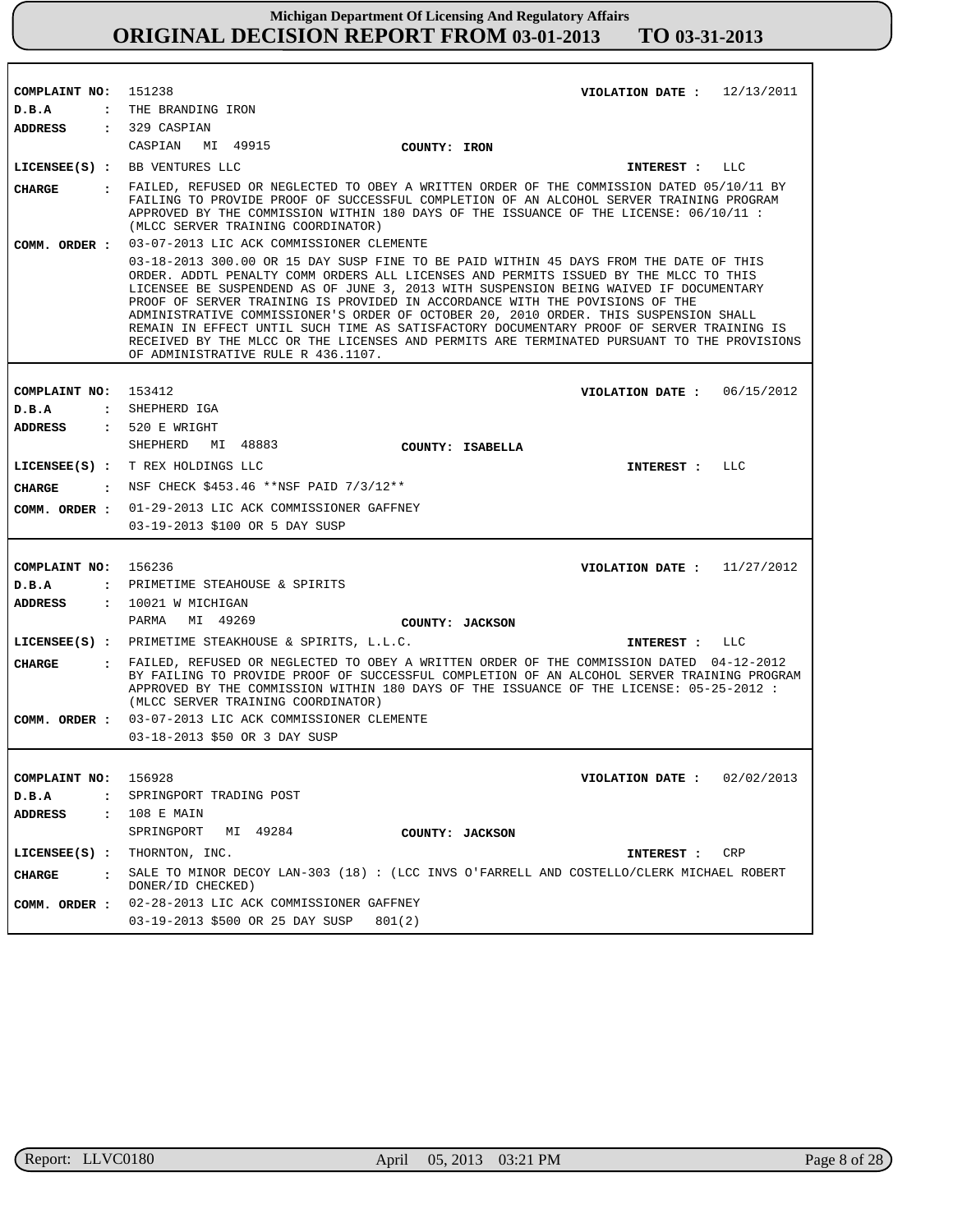| COMPLAINT NO: 151238<br>VIOLATION DATE : $12/13/2011$<br>: THE BRANDING IRON<br>D.B.A<br>$: 329$ CASPIAN<br>ADDRESS<br>CASPIAN<br>MI 49915<br><b>COUNTY: IRON</b><br>LICENSEE(S) : BB VENTURES LLC<br>LLC<br>INTEREST :<br>. FAILED, REFUSED OR NEGLECTED TO OBEY A WRITTEN ORDER OF THE COMMISSION DATED 05/10/11 BY<br>CHARGE<br>FAILING TO PROVIDE PROOF OF SUCCESSFUL COMPLETION OF AN ALCOHOL SERVER TRAINING PROGRAM<br>APPROVED BY THE COMMISSION WITHIN 180 DAYS OF THE ISSUANCE OF THE LICENSE: 06/10/11 :<br>(MLCC SERVER TRAINING COORDINATOR)<br>03-07-2013 LIC ACK COMMISSIONER CLEMENTE<br>COMM. ORDER :<br>03-18-2013 300.00 OR 15 DAY SUSP FINE TO BE PAID WITHIN 45 DAYS FROM THE DATE OF THIS<br>ORDER. ADDTL PENALTY COMM ORDERS ALL LICENSES AND PERMITS ISSUED BY THE MLCC TO THIS<br>LICENSEE BE SUSPENDEND AS OF JUNE 3, 2013 WITH SUSPENSION BEING WAIVED IF DOCUMENTARY<br>PROOF OF SERVER TRAINING IS PROVIDED IN ACCORDANCE WITH THE POVISIONS OF THE<br>ADMINISTRATIVE COMMISSIONER'S ORDER OF OCTOBER 20, 2010 ORDER. THIS SUSPENSION SHALL<br>REMAIN IN EFFECT UNTIL SUCH TIME AS SATISFACTORY DOCUMENTARY PROOF OF SERVER TRAINING IS<br>RECEIVED BY THE MLCC OR THE LICENSES AND PERMITS ARE TERMINATED PURSUANT TO THE PROVISIONS<br>OF ADMINISTRATIVE RULE R 436.1107.<br>COMPLAINT NO: 153412<br>VIOLATION DATE: $06/15/2012$<br>: SHEPHERD IGA<br>D.B.A<br>: 520 E WRIGHT<br><b>ADDRESS</b><br>SHEPHERD<br>MI 48883<br>COUNTY: ISABELLA<br>LICENSEE(S) : T REX HOLDINGS LLC<br>LLC<br>INTEREST :<br>: NSF CHECK \$453.46 **NSF PAID 7/3/12**<br>CHARGE<br>COMM. ORDER : 01-29-2013 LIC ACK COMMISSIONER GAFFNEY<br>03-19-2013 \$100 OR 5 DAY SUSP<br>COMPLAINT NO:<br>156236<br>VIOLATION DATE : $11/27/2012$<br>: PRIMETIME STEAHOUSE & SPIRITS<br>D.B.A |         |                      |
|-----------------------------------------------------------------------------------------------------------------------------------------------------------------------------------------------------------------------------------------------------------------------------------------------------------------------------------------------------------------------------------------------------------------------------------------------------------------------------------------------------------------------------------------------------------------------------------------------------------------------------------------------------------------------------------------------------------------------------------------------------------------------------------------------------------------------------------------------------------------------------------------------------------------------------------------------------------------------------------------------------------------------------------------------------------------------------------------------------------------------------------------------------------------------------------------------------------------------------------------------------------------------------------------------------------------------------------------------------------------------------------------------------------------------------------------------------------------------------------------------------------------------------------------------------------------------------------------------------------------------------------------------------------------------------------------------------------------------------------------------------------------------------------------------|---------|----------------------|
|                                                                                                                                                                                                                                                                                                                                                                                                                                                                                                                                                                                                                                                                                                                                                                                                                                                                                                                                                                                                                                                                                                                                                                                                                                                                                                                                                                                                                                                                                                                                                                                                                                                                                                                                                                                               |         |                      |
|                                                                                                                                                                                                                                                                                                                                                                                                                                                                                                                                                                                                                                                                                                                                                                                                                                                                                                                                                                                                                                                                                                                                                                                                                                                                                                                                                                                                                                                                                                                                                                                                                                                                                                                                                                                               |         |                      |
|                                                                                                                                                                                                                                                                                                                                                                                                                                                                                                                                                                                                                                                                                                                                                                                                                                                                                                                                                                                                                                                                                                                                                                                                                                                                                                                                                                                                                                                                                                                                                                                                                                                                                                                                                                                               |         |                      |
|                                                                                                                                                                                                                                                                                                                                                                                                                                                                                                                                                                                                                                                                                                                                                                                                                                                                                                                                                                                                                                                                                                                                                                                                                                                                                                                                                                                                                                                                                                                                                                                                                                                                                                                                                                                               |         |                      |
|                                                                                                                                                                                                                                                                                                                                                                                                                                                                                                                                                                                                                                                                                                                                                                                                                                                                                                                                                                                                                                                                                                                                                                                                                                                                                                                                                                                                                                                                                                                                                                                                                                                                                                                                                                                               |         |                      |
|                                                                                                                                                                                                                                                                                                                                                                                                                                                                                                                                                                                                                                                                                                                                                                                                                                                                                                                                                                                                                                                                                                                                                                                                                                                                                                                                                                                                                                                                                                                                                                                                                                                                                                                                                                                               |         |                      |
|                                                                                                                                                                                                                                                                                                                                                                                                                                                                                                                                                                                                                                                                                                                                                                                                                                                                                                                                                                                                                                                                                                                                                                                                                                                                                                                                                                                                                                                                                                                                                                                                                                                                                                                                                                                               |         |                      |
|                                                                                                                                                                                                                                                                                                                                                                                                                                                                                                                                                                                                                                                                                                                                                                                                                                                                                                                                                                                                                                                                                                                                                                                                                                                                                                                                                                                                                                                                                                                                                                                                                                                                                                                                                                                               |         |                      |
|                                                                                                                                                                                                                                                                                                                                                                                                                                                                                                                                                                                                                                                                                                                                                                                                                                                                                                                                                                                                                                                                                                                                                                                                                                                                                                                                                                                                                                                                                                                                                                                                                                                                                                                                                                                               |         |                      |
|                                                                                                                                                                                                                                                                                                                                                                                                                                                                                                                                                                                                                                                                                                                                                                                                                                                                                                                                                                                                                                                                                                                                                                                                                                                                                                                                                                                                                                                                                                                                                                                                                                                                                                                                                                                               |         |                      |
|                                                                                                                                                                                                                                                                                                                                                                                                                                                                                                                                                                                                                                                                                                                                                                                                                                                                                                                                                                                                                                                                                                                                                                                                                                                                                                                                                                                                                                                                                                                                                                                                                                                                                                                                                                                               |         |                      |
|                                                                                                                                                                                                                                                                                                                                                                                                                                                                                                                                                                                                                                                                                                                                                                                                                                                                                                                                                                                                                                                                                                                                                                                                                                                                                                                                                                                                                                                                                                                                                                                                                                                                                                                                                                                               |         |                      |
|                                                                                                                                                                                                                                                                                                                                                                                                                                                                                                                                                                                                                                                                                                                                                                                                                                                                                                                                                                                                                                                                                                                                                                                                                                                                                                                                                                                                                                                                                                                                                                                                                                                                                                                                                                                               |         |                      |
|                                                                                                                                                                                                                                                                                                                                                                                                                                                                                                                                                                                                                                                                                                                                                                                                                                                                                                                                                                                                                                                                                                                                                                                                                                                                                                                                                                                                                                                                                                                                                                                                                                                                                                                                                                                               |         |                      |
|                                                                                                                                                                                                                                                                                                                                                                                                                                                                                                                                                                                                                                                                                                                                                                                                                                                                                                                                                                                                                                                                                                                                                                                                                                                                                                                                                                                                                                                                                                                                                                                                                                                                                                                                                                                               |         |                      |
|                                                                                                                                                                                                                                                                                                                                                                                                                                                                                                                                                                                                                                                                                                                                                                                                                                                                                                                                                                                                                                                                                                                                                                                                                                                                                                                                                                                                                                                                                                                                                                                                                                                                                                                                                                                               |         |                      |
|                                                                                                                                                                                                                                                                                                                                                                                                                                                                                                                                                                                                                                                                                                                                                                                                                                                                                                                                                                                                                                                                                                                                                                                                                                                                                                                                                                                                                                                                                                                                                                                                                                                                                                                                                                                               |         |                      |
|                                                                                                                                                                                                                                                                                                                                                                                                                                                                                                                                                                                                                                                                                                                                                                                                                                                                                                                                                                                                                                                                                                                                                                                                                                                                                                                                                                                                                                                                                                                                                                                                                                                                                                                                                                                               |         |                      |
|                                                                                                                                                                                                                                                                                                                                                                                                                                                                                                                                                                                                                                                                                                                                                                                                                                                                                                                                                                                                                                                                                                                                                                                                                                                                                                                                                                                                                                                                                                                                                                                                                                                                                                                                                                                               |         |                      |
|                                                                                                                                                                                                                                                                                                                                                                                                                                                                                                                                                                                                                                                                                                                                                                                                                                                                                                                                                                                                                                                                                                                                                                                                                                                                                                                                                                                                                                                                                                                                                                                                                                                                                                                                                                                               |         |                      |
|                                                                                                                                                                                                                                                                                                                                                                                                                                                                                                                                                                                                                                                                                                                                                                                                                                                                                                                                                                                                                                                                                                                                                                                                                                                                                                                                                                                                                                                                                                                                                                                                                                                                                                                                                                                               |         |                      |
|                                                                                                                                                                                                                                                                                                                                                                                                                                                                                                                                                                                                                                                                                                                                                                                                                                                                                                                                                                                                                                                                                                                                                                                                                                                                                                                                                                                                                                                                                                                                                                                                                                                                                                                                                                                               | ADDRESS | $: 10021$ W MICHIGAN |
| PARMA<br>MI 49269<br>COUNTY: JACKSON                                                                                                                                                                                                                                                                                                                                                                                                                                                                                                                                                                                                                                                                                                                                                                                                                                                                                                                                                                                                                                                                                                                                                                                                                                                                                                                                                                                                                                                                                                                                                                                                                                                                                                                                                          |         |                      |
| LICENSEE(S) : PRIMETIME STEAKHOUSE & SPIRITS, L.L.C.<br>LLC<br>INTEREST :                                                                                                                                                                                                                                                                                                                                                                                                                                                                                                                                                                                                                                                                                                                                                                                                                                                                                                                                                                                                                                                                                                                                                                                                                                                                                                                                                                                                                                                                                                                                                                                                                                                                                                                     |         |                      |
| . FAILED, REFUSED OR NEGLECTED TO OBEY A WRITTEN ORDER OF THE COMMISSION DATED 04-12-2012<br>CHARGE<br>BY FAILING TO PROVIDE PROOF OF SUCCESSFUL COMPLETION OF AN ALCOHOL SERVER TRAINING PROGRAM<br>APPROVED BY THE COMMISSION WITHIN 180 DAYS OF THE ISSUANCE OF THE LICENSE: 05-25-2012 :<br>(MLCC SERVER TRAINING COORDINATOR)                                                                                                                                                                                                                                                                                                                                                                                                                                                                                                                                                                                                                                                                                                                                                                                                                                                                                                                                                                                                                                                                                                                                                                                                                                                                                                                                                                                                                                                            |         |                      |
| 03-07-2013 LIC ACK COMMISSIONER CLEMENTE<br>COMM. ORDER :                                                                                                                                                                                                                                                                                                                                                                                                                                                                                                                                                                                                                                                                                                                                                                                                                                                                                                                                                                                                                                                                                                                                                                                                                                                                                                                                                                                                                                                                                                                                                                                                                                                                                                                                     |         |                      |
| 03-18-2013 \$50 OR 3 DAY SUSP                                                                                                                                                                                                                                                                                                                                                                                                                                                                                                                                                                                                                                                                                                                                                                                                                                                                                                                                                                                                                                                                                                                                                                                                                                                                                                                                                                                                                                                                                                                                                                                                                                                                                                                                                                 |         |                      |
|                                                                                                                                                                                                                                                                                                                                                                                                                                                                                                                                                                                                                                                                                                                                                                                                                                                                                                                                                                                                                                                                                                                                                                                                                                                                                                                                                                                                                                                                                                                                                                                                                                                                                                                                                                                               |         |                      |
| COMPLAINT NO:<br>156928<br>VIOLATION DATE: $02/02/2013$                                                                                                                                                                                                                                                                                                                                                                                                                                                                                                                                                                                                                                                                                                                                                                                                                                                                                                                                                                                                                                                                                                                                                                                                                                                                                                                                                                                                                                                                                                                                                                                                                                                                                                                                       |         |                      |
| SPRINGPORT TRADING POST<br>D.B.A<br>$\ddot{\phantom{a}}$                                                                                                                                                                                                                                                                                                                                                                                                                                                                                                                                                                                                                                                                                                                                                                                                                                                                                                                                                                                                                                                                                                                                                                                                                                                                                                                                                                                                                                                                                                                                                                                                                                                                                                                                      |         |                      |
| : 108 E MAIN<br><b>ADDRESS</b>                                                                                                                                                                                                                                                                                                                                                                                                                                                                                                                                                                                                                                                                                                                                                                                                                                                                                                                                                                                                                                                                                                                                                                                                                                                                                                                                                                                                                                                                                                                                                                                                                                                                                                                                                                |         |                      |
| MI 49284<br>SPRINGPORT<br>COUNTY: JACKSON                                                                                                                                                                                                                                                                                                                                                                                                                                                                                                                                                                                                                                                                                                                                                                                                                                                                                                                                                                                                                                                                                                                                                                                                                                                                                                                                                                                                                                                                                                                                                                                                                                                                                                                                                     |         |                      |
| $LICENSEE(S)$ :<br>THORNTON, INC.<br>CRP<br>INTEREST :                                                                                                                                                                                                                                                                                                                                                                                                                                                                                                                                                                                                                                                                                                                                                                                                                                                                                                                                                                                                                                                                                                                                                                                                                                                                                                                                                                                                                                                                                                                                                                                                                                                                                                                                        |         |                      |
| SALE TO MINOR DECOY LAN-303 (18) : (LCC INVS O'FARRELL AND COSTELLO/CLERK MICHAEL ROBERT<br><b>CHARGE</b><br>$\mathbf{r}$<br>DONER/ID CHECKED)                                                                                                                                                                                                                                                                                                                                                                                                                                                                                                                                                                                                                                                                                                                                                                                                                                                                                                                                                                                                                                                                                                                                                                                                                                                                                                                                                                                                                                                                                                                                                                                                                                                |         |                      |
| 02-28-2013 LIC ACK COMMISSIONER GAFFNEY<br>COMM. ORDER :                                                                                                                                                                                                                                                                                                                                                                                                                                                                                                                                                                                                                                                                                                                                                                                                                                                                                                                                                                                                                                                                                                                                                                                                                                                                                                                                                                                                                                                                                                                                                                                                                                                                                                                                      |         |                      |
| 03-19-2013 \$500 OR 25 DAY SUSP<br>801(2)                                                                                                                                                                                                                                                                                                                                                                                                                                                                                                                                                                                                                                                                                                                                                                                                                                                                                                                                                                                                                                                                                                                                                                                                                                                                                                                                                                                                                                                                                                                                                                                                                                                                                                                                                     |         |                      |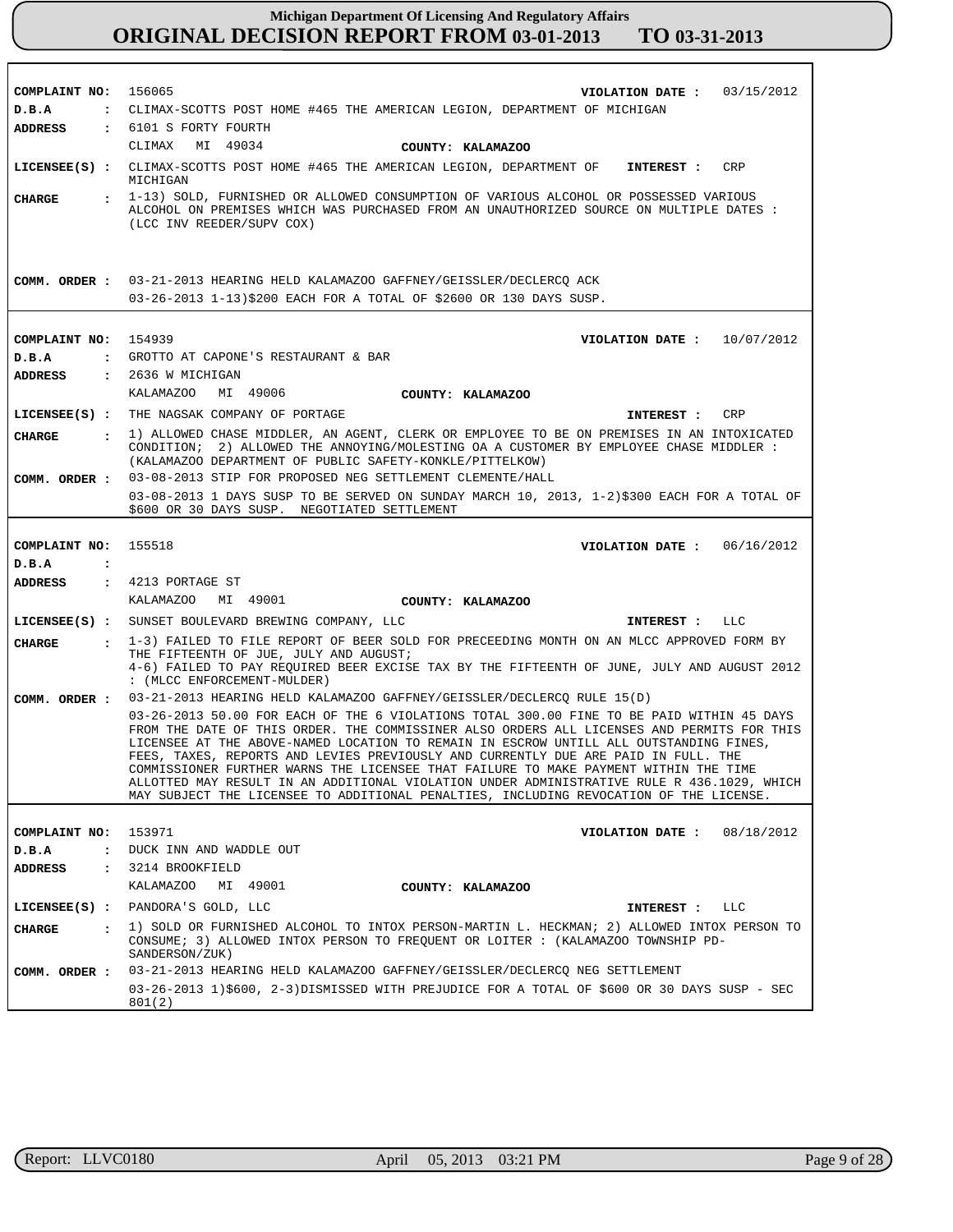| COMPLAINT NO:             | 156065<br>VIOLATION DATE: $03/15/2012$                                                                                                                                                                                                                                                                                                                                                                                                                                                                                                                                                                                                                  |
|---------------------------|---------------------------------------------------------------------------------------------------------------------------------------------------------------------------------------------------------------------------------------------------------------------------------------------------------------------------------------------------------------------------------------------------------------------------------------------------------------------------------------------------------------------------------------------------------------------------------------------------------------------------------------------------------|
| D.B.A                     | : CLIMAX-SCOTTS POST HOME #465 THE AMERICAN LEGION, DEPARTMENT OF MICHIGAN                                                                                                                                                                                                                                                                                                                                                                                                                                                                                                                                                                              |
| ADDRESS                   | : 6101 S FORTY FOURTH                                                                                                                                                                                                                                                                                                                                                                                                                                                                                                                                                                                                                                   |
|                           | CLIMAX MI 49034<br>COUNTY: KALAMAZOO                                                                                                                                                                                                                                                                                                                                                                                                                                                                                                                                                                                                                    |
|                           | LICENSEE(S) : CLIMAX-SCOTTS POST HOME #465 THE AMERICAN LEGION, DEPARTMENT OF<br>CRP<br>INTEREST :<br>MICHIGAN                                                                                                                                                                                                                                                                                                                                                                                                                                                                                                                                          |
| CHARGE                    | : 1-13) SOLD, FURNISHED OR ALLOWED CONSUMPTION OF VARIOUS ALCOHOL OR POSSESSED VARIOUS<br>ALCOHOL ON PREMISES WHICH WAS PURCHASED FROM AN UNAUTHORIZED SOURCE ON MULTIPLE DATES :<br>(LCC INV REEDER/SUPV COX)                                                                                                                                                                                                                                                                                                                                                                                                                                          |
| COMM. ORDER :             | 03-21-2013 HEARING HELD KALAMAZOO GAFFNEY/GEISSLER/DECLERCO ACK                                                                                                                                                                                                                                                                                                                                                                                                                                                                                                                                                                                         |
|                           | 03-26-2013 1-13)\$200 EACH FOR A TOTAL OF \$2600 OR 130 DAYS SUSP.                                                                                                                                                                                                                                                                                                                                                                                                                                                                                                                                                                                      |
|                           |                                                                                                                                                                                                                                                                                                                                                                                                                                                                                                                                                                                                                                                         |
|                           |                                                                                                                                                                                                                                                                                                                                                                                                                                                                                                                                                                                                                                                         |
| COMPLAINT NO:             | 154939<br>VIOLATION DATE: $10/07/2012$<br>GROTTO AT CAPONE'S RESTAURANT & BAR                                                                                                                                                                                                                                                                                                                                                                                                                                                                                                                                                                           |
| D.B.A                     | $\mathbf{r}$                                                                                                                                                                                                                                                                                                                                                                                                                                                                                                                                                                                                                                            |
| <b>ADDRESS</b>            | $: 2636$ W MICHIGAN<br>KALAMAZOO MI 49006                                                                                                                                                                                                                                                                                                                                                                                                                                                                                                                                                                                                               |
|                           | COUNTY: KALAMAZOO                                                                                                                                                                                                                                                                                                                                                                                                                                                                                                                                                                                                                                       |
|                           | LICENSEE(S) : THE NAGSAK COMPANY OF PORTAGE<br>CRP<br>INTEREST :                                                                                                                                                                                                                                                                                                                                                                                                                                                                                                                                                                                        |
| CIIARGE<br>$\ddot{\cdot}$ | 1) ALLOWED CHASE MIDDLER, AN AGENT, CLERK OR EMPLOYEE TO BE ON PREMISES IN AN INTOXICATED<br>CONDITION; 2) ALLOWED THE ANNOYING/MOLESTING OA A CUSTOMER BY EMPLOYEE CHASE MIDDLER:<br>(KALAMAZOO DEPARTMENT OF PUBLIC SAFETY-KONKLE/PITTELKOW)                                                                                                                                                                                                                                                                                                                                                                                                          |
| COMM. ORDER :             | 03-08-2013 STIP FOR PROPOSED NEG SETTLEMENT CLEMENTE/HALL                                                                                                                                                                                                                                                                                                                                                                                                                                                                                                                                                                                               |
|                           | 03-08-2013 1 DAYS SUSP TO BE SERVED ON SUNDAY MARCH 10, 2013, 1-2)\$300 EACH FOR A TOTAL OF<br>\$600 OR 30 DAYS SUSP. NEGOTIATED SETTLEMENT                                                                                                                                                                                                                                                                                                                                                                                                                                                                                                             |
|                           |                                                                                                                                                                                                                                                                                                                                                                                                                                                                                                                                                                                                                                                         |
| COMPLAINT NO:             | 155518<br>VIOLATION DATE: $06/16/2012$                                                                                                                                                                                                                                                                                                                                                                                                                                                                                                                                                                                                                  |
| D.B.A<br>$\cdot$ :        |                                                                                                                                                                                                                                                                                                                                                                                                                                                                                                                                                                                                                                                         |
| <b>ADDRESS</b>            | $\div$ 4213 PORTAGE ST                                                                                                                                                                                                                                                                                                                                                                                                                                                                                                                                                                                                                                  |
|                           | KALAMAZOO MI 49001<br>COUNTY: KALAMAZOO                                                                                                                                                                                                                                                                                                                                                                                                                                                                                                                                                                                                                 |
|                           | LICENSEE(S) : SUNSET BOULEVARD BREWING COMPANY, LLC<br>INTEREST : LLC                                                                                                                                                                                                                                                                                                                                                                                                                                                                                                                                                                                   |
| <b>CHARGE</b>             | : 1-3) FAILED TO FILE REPORT OF BEER SOLD FOR PRECEEDING MONTH ON AN MLCC APPROVED FORM BY<br>THE FIFTEENTH OF JUE, JULY AND AUGUST;<br>4-6) FAILED TO PAY REQUIRED BEER EXCISE TAX BY THE FIFTEENTH OF JUNE, JULY AND AUGUST 2012                                                                                                                                                                                                                                                                                                                                                                                                                      |
| COMM. ORDER :             | : (MLCC ENFORCEMENT-MULDER)<br>03-21-2013 HEARING HELD KALAMAZOO GAFFNEY/GEISSLER/DECLERCQ RULE 15(D)                                                                                                                                                                                                                                                                                                                                                                                                                                                                                                                                                   |
|                           | 03-26-2013 50.00 FOR EACH OF THE 6 VIOLATIONS TOTAL 300.00 FINE TO BE PAID WITHIN 45 DAYS<br>FROM THE DATE OF THIS ORDER. THE COMMISSINER ALSO ORDERS ALL LICENSES AND PERMITS FOR THIS<br>LICENSEE AT THE ABOVE-NAMED LOCATION TO REMAIN IN ESCROW UNTILL ALL OUTSTANDING FINES,<br>FEES, TAXES, REPORTS AND LEVIES PREVIOUSLY AND CURRENTLY DUE ARE PAID IN FULL. THE<br>COMMISSIONER FURTHER WARNS THE LICENSEE THAT FAILURE TO MAKE PAYMENT WITHIN THE TIME<br>ALLOTTED MAY RESULT IN AN ADDITIONAL VIOLATION UNDER ADMINISTRATIVE RULE R 436.1029, WHICH<br>MAY SUBJECT THE LICENSEE TO ADDITIONAL PENALTIES, INCLUDING REVOCATION OF THE LICENSE. |
|                           |                                                                                                                                                                                                                                                                                                                                                                                                                                                                                                                                                                                                                                                         |
| COMPLAINT NO:             | 153971<br>08/18/2012<br>VIOLATION DATE :                                                                                                                                                                                                                                                                                                                                                                                                                                                                                                                                                                                                                |
| D.B.A<br>$\ddot{\cdot}$   | DUCK INN AND WADDLE OUT                                                                                                                                                                                                                                                                                                                                                                                                                                                                                                                                                                                                                                 |
| ADDRESS                   | : 3214 BROOKFIELD                                                                                                                                                                                                                                                                                                                                                                                                                                                                                                                                                                                                                                       |
|                           | KALAMAZOO MI 49001<br>COUNTY: KALAMAZOO                                                                                                                                                                                                                                                                                                                                                                                                                                                                                                                                                                                                                 |
|                           | LICENSEE(S) : PANDORA'S GOLD, LLC<br>LLC<br><b>INTEREST :</b>                                                                                                                                                                                                                                                                                                                                                                                                                                                                                                                                                                                           |
| CHARGE<br>$\mathbf{r}$    | 1) SOLD OR FURNISHED ALCOHOL TO INTOX PERSON-MARTIN L. HECKMAN; 2) ALLOWED INTOX PERSON TO<br>CONSUME; 3) ALLOWED INTOX PERSON TO FREQUENT OR LOITER : (KALAMAZOO TOWNSHIP PD-<br>SANDERSON/ZUK)                                                                                                                                                                                                                                                                                                                                                                                                                                                        |
| COMM. ORDER :             | 03-21-2013 HEARING HELD KALAMAZOO GAFFNEY/GEISSLER/DECLERCQ NEG SETTLEMENT                                                                                                                                                                                                                                                                                                                                                                                                                                                                                                                                                                              |
|                           | 03-26-2013 1)\$600, 2-3)DISMISSED WITH PREJUDICE FOR A TOTAL OF \$600 OR 30 DAYS SUSP - SEC<br>801(2)                                                                                                                                                                                                                                                                                                                                                                                                                                                                                                                                                   |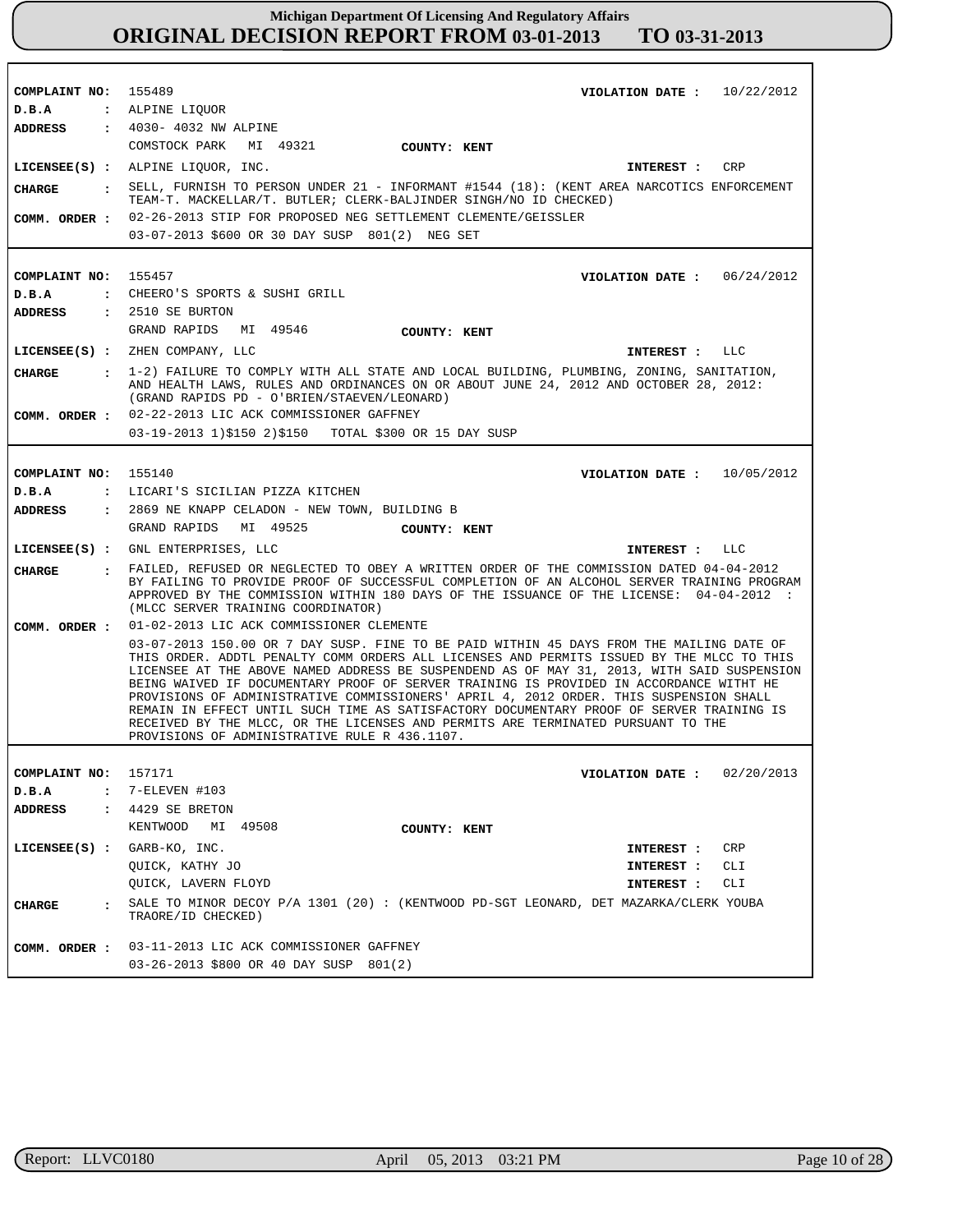| COMPLAINT NO: 155489            | VIOLATION DATE: $10/22/2012$                                                                                                                                                                                                                                                                                                                                                                                                                                                                                                                                                                                                                                                                              |
|---------------------------------|-----------------------------------------------------------------------------------------------------------------------------------------------------------------------------------------------------------------------------------------------------------------------------------------------------------------------------------------------------------------------------------------------------------------------------------------------------------------------------------------------------------------------------------------------------------------------------------------------------------------------------------------------------------------------------------------------------------|
| D.B.A<br><b>ADDRESS</b>         | : ALPINE LIQUOR<br>: 4030- 4032 NW ALPINE                                                                                                                                                                                                                                                                                                                                                                                                                                                                                                                                                                                                                                                                 |
|                                 | COMSTOCK PARK                                                                                                                                                                                                                                                                                                                                                                                                                                                                                                                                                                                                                                                                                             |
|                                 | MI 49321 COUNTY: KENT                                                                                                                                                                                                                                                                                                                                                                                                                                                                                                                                                                                                                                                                                     |
|                                 | LICENSEE(S) : ALPINE LIQUOR, INC.<br>CRP<br>INTEREST :                                                                                                                                                                                                                                                                                                                                                                                                                                                                                                                                                                                                                                                    |
| CHARGE                          | . SELL, FURNISH TO PERSON UNDER 21 - INFORMANT #1544 (18): (KENT AREA NARCOTICS ENFORCEMENT<br>TEAM-T. MACKELLAR/T. BUTLER; CLERK-BALJINDER SINGH/NO ID CHECKED)                                                                                                                                                                                                                                                                                                                                                                                                                                                                                                                                          |
|                                 | COMM. ORDER : 02-26-2013 STIP FOR PROPOSED NEG SETTLEMENT CLEMENTE/GEISSLER                                                                                                                                                                                                                                                                                                                                                                                                                                                                                                                                                                                                                               |
|                                 | 03-07-2013 \$600 OR 30 DAY SUSP 801(2) NEG SET                                                                                                                                                                                                                                                                                                                                                                                                                                                                                                                                                                                                                                                            |
|                                 |                                                                                                                                                                                                                                                                                                                                                                                                                                                                                                                                                                                                                                                                                                           |
| COMPLAINT NO:                   | 155457<br>VIOLATION DATE: $06/24/2012$                                                                                                                                                                                                                                                                                                                                                                                                                                                                                                                                                                                                                                                                    |
| D.B.A                           | : CHEERO'S SPORTS & SUSHI GRILL                                                                                                                                                                                                                                                                                                                                                                                                                                                                                                                                                                                                                                                                           |
| ADDRESS                         | $: 2510$ SE BURTON                                                                                                                                                                                                                                                                                                                                                                                                                                                                                                                                                                                                                                                                                        |
|                                 | GRAND RAPIDS MI 49546<br><b>COUNTY: KENT</b>                                                                                                                                                                                                                                                                                                                                                                                                                                                                                                                                                                                                                                                              |
|                                 | LICENSEE(S) : ZHEN COMPANY, LLC<br><b>INTEREST :</b><br>LLC                                                                                                                                                                                                                                                                                                                                                                                                                                                                                                                                                                                                                                               |
| <b>CHARGE</b>                   | : 1-2) FAILURE TO COMPLY WITH ALL STATE AND LOCAL BUILDING, PLUMBING, ZONING, SANITATION,<br>AND HEALTH LAWS, RULES AND ORDINANCES ON OR ABOUT JUNE 24, 2012 AND OCTOBER 28, 2012:<br>(GRAND RAPIDS PD - O'BRIEN/STAEVEN/LEONARD)                                                                                                                                                                                                                                                                                                                                                                                                                                                                         |
|                                 | COMM. ORDER : 02-22-2013 LIC ACK COMMISSIONER GAFFNEY                                                                                                                                                                                                                                                                                                                                                                                                                                                                                                                                                                                                                                                     |
|                                 | 03-19-2013 1)\$150 2)\$150 TOTAL \$300 OR 15 DAY SUSP                                                                                                                                                                                                                                                                                                                                                                                                                                                                                                                                                                                                                                                     |
|                                 |                                                                                                                                                                                                                                                                                                                                                                                                                                                                                                                                                                                                                                                                                                           |
| COMPLAINT NO: 155140            | VIOLATION DATE: $10/05/2012$                                                                                                                                                                                                                                                                                                                                                                                                                                                                                                                                                                                                                                                                              |
| D.B.A                           | : LICARI'S SICILIAN PIZZA KITCHEN                                                                                                                                                                                                                                                                                                                                                                                                                                                                                                                                                                                                                                                                         |
| <b>ADDRESS</b>                  | : 2869 NE KNAPP CELADON - NEW TOWN, BUILDING B                                                                                                                                                                                                                                                                                                                                                                                                                                                                                                                                                                                                                                                            |
|                                 | GRAND RAPIDS MI 49525<br>COUNTY: KENT                                                                                                                                                                                                                                                                                                                                                                                                                                                                                                                                                                                                                                                                     |
|                                 | LICENSEE(S) : GNL ENTERPRISES, LLC<br>LLC<br>INTEREST :                                                                                                                                                                                                                                                                                                                                                                                                                                                                                                                                                                                                                                                   |
| CIIARGE                         | . FAILED, REFUSED OR NEGLECTED TO OBEY A WRITTEN ORDER OF THE COMMISSION DATED 04-04-2012<br>BY FAILING TO PROVIDE PROOF OF SUCCESSFUL COMPLETION OF AN ALCOHOL SERVER TRAINING PROGRAM<br>APPROVED BY THE COMMISSION WITHIN 180 DAYS OF THE ISSUANCE OF THE LICENSE: 04-04-2012 :<br>(MLCC SERVER TRAINING COORDINATOR)                                                                                                                                                                                                                                                                                                                                                                                  |
| COMM. ORDER :                   | 01-02-2013 LIC ACK COMMISSIONER CLEMENTE                                                                                                                                                                                                                                                                                                                                                                                                                                                                                                                                                                                                                                                                  |
|                                 | 03-07-2013 150.00 OR 7 DAY SUSP. FINE TO BE PAID WITHIN 45 DAYS FROM THE MAILING DATE OF<br>THIS ORDER. ADDTL PENALTY COMM ORDERS ALL LICENSES AND PERMITS ISSUED BY THE MLCC TO THIS<br>LICENSEE AT THE ABOVE NAMED ADDRESS BE SUSPENDEND AS OF MAY 31, 2013, WITH SAID SUSPENSION<br>BEING WAIVED IF DOCUMENTARY PROOF OF SERVER TRAINING IS PROVIDED IN ACCORDANCE WITHT HE<br>PROVISIONS OF ADMINISTRATIVE COMMISSIONERS' APRIL 4, 2012 ORDER. THIS SUSPENSION SHALL<br>REMAIN IN EFFECT UNTIL SUCH TIME AS SATISFACTORY DOCUMENTARY PROOF OF SERVER TRAINING IS<br>RECEIVED BY THE MLCC, OR THE LICENSES AND PERMITS ARE TERMINATED PURSUANT TO THE<br>PROVISIONS OF ADMINISTRATIVE RULE R 436.1107. |
|                                 |                                                                                                                                                                                                                                                                                                                                                                                                                                                                                                                                                                                                                                                                                                           |
| COMPLAINT NO:                   | 157171<br>02/20/2013<br>VIOLATION DATE :                                                                                                                                                                                                                                                                                                                                                                                                                                                                                                                                                                                                                                                                  |
| D.B.A<br>$\mathbf{r}$           | 7-ELEVEN #103                                                                                                                                                                                                                                                                                                                                                                                                                                                                                                                                                                                                                                                                                             |
| <b>ADDRESS</b><br>$\mathbf{r}$  | 4429 SE BRETON                                                                                                                                                                                                                                                                                                                                                                                                                                                                                                                                                                                                                                                                                            |
|                                 | KENTWOOD<br>MI 49508<br>COUNTY: KENT                                                                                                                                                                                                                                                                                                                                                                                                                                                                                                                                                                                                                                                                      |
| $LICENSEE(S)$ :                 | GARB-KO, INC.<br>CRP<br>INTEREST :                                                                                                                                                                                                                                                                                                                                                                                                                                                                                                                                                                                                                                                                        |
|                                 | QUICK, KATHY JO<br>CLI<br>INTEREST :                                                                                                                                                                                                                                                                                                                                                                                                                                                                                                                                                                                                                                                                      |
|                                 | QUICK, LAVERN FLOYD<br>CLI<br>INTEREST :                                                                                                                                                                                                                                                                                                                                                                                                                                                                                                                                                                                                                                                                  |
| <b>CHARGE</b><br>$\ddot{\cdot}$ | SALE TO MINOR DECOY P/A 1301 (20) : (KENTWOOD PD-SGT LEONARD, DET MAZARKA/CLERK YOUBA<br>TRAORE/ID CHECKED)                                                                                                                                                                                                                                                                                                                                                                                                                                                                                                                                                                                               |
| COMM. ORDER :                   | 03-11-2013 LIC ACK COMMISSIONER GAFFNEY                                                                                                                                                                                                                                                                                                                                                                                                                                                                                                                                                                                                                                                                   |
|                                 | 03-26-2013 \$800 OR 40 DAY SUSP 801(2)                                                                                                                                                                                                                                                                                                                                                                                                                                                                                                                                                                                                                                                                    |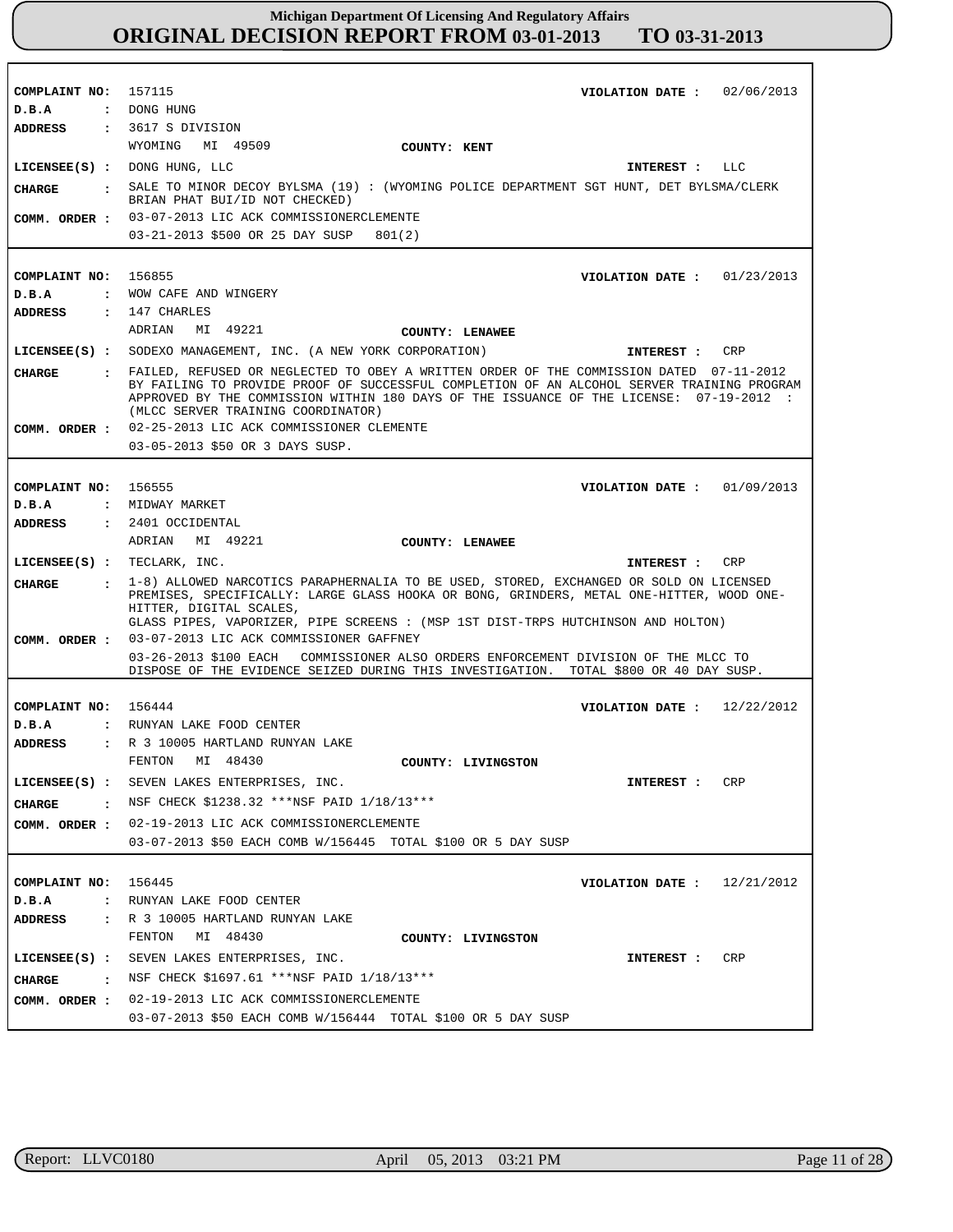| COMPLAINT NO: 157115                                  | VIOLATION DATE: $02/06/2013$                                                                                                                                                                                                                                                                                                                                                                                                       |
|-------------------------------------------------------|------------------------------------------------------------------------------------------------------------------------------------------------------------------------------------------------------------------------------------------------------------------------------------------------------------------------------------------------------------------------------------------------------------------------------------|
| D.B.A                                                 | : DONG HUNG                                                                                                                                                                                                                                                                                                                                                                                                                        |
| ADDRESS                                               | : 3617 S DIVISION                                                                                                                                                                                                                                                                                                                                                                                                                  |
|                                                       | WYOMING MI 49509<br>COUNTY: KENT                                                                                                                                                                                                                                                                                                                                                                                                   |
|                                                       | LICENSEE(S) : DONG HUNG, LLC<br>INTEREST : LLC                                                                                                                                                                                                                                                                                                                                                                                     |
| CHARGE                                                | SALE TO MINOR DECOY BYLSMA (19) : (WYOMING POLICE DEPARTMENT SGT HUNT, DET BYLSMA/CLERK<br>BRIAN PHAT BUI/ID NOT CHECKED)                                                                                                                                                                                                                                                                                                          |
|                                                       | COMM. ORDER : 03-07-2013 LIC ACK COMMISSIONERCLEMENTE                                                                                                                                                                                                                                                                                                                                                                              |
|                                                       | 03-21-2013 \$500 OR 25 DAY SUSP<br>801(2)                                                                                                                                                                                                                                                                                                                                                                                          |
|                                                       |                                                                                                                                                                                                                                                                                                                                                                                                                                    |
| COMPLAINT NO: 156855                                  | VIOLATION DATE: $01/23/2013$                                                                                                                                                                                                                                                                                                                                                                                                       |
| D.B.A                                                 | : WOW CAFE AND WINGERY                                                                                                                                                                                                                                                                                                                                                                                                             |
| <b>ADDRESS</b>                                        | $: 147$ CHARLES                                                                                                                                                                                                                                                                                                                                                                                                                    |
|                                                       | ADRIAN<br>MI 49221<br>COUNTY: LENAWEE                                                                                                                                                                                                                                                                                                                                                                                              |
|                                                       | LICENSEE(S) : SODEXO MANAGEMENT, INC. (A NEW YORK CORPORATION)<br>CRP<br>INTEREST :                                                                                                                                                                                                                                                                                                                                                |
| CIIARGE                                               | : FAILED, REFUSED OR NEGLECTED TO OBEY A WRITTEN ORDER OF THE COMMISSION DATED 07-11-2012<br>BY FAILING TO PROVIDE PROOF OF SUCCESSFUL COMPLETION OF AN ALCOHOL SERVER TRAINING PROGRAM<br>APPROVED BY THE COMMISSION WITHIN 180 DAYS OF THE ISSUANCE OF THE LICENSE: 07-19-2012 :<br>(MLCC SERVER TRAINING COORDINATOR)                                                                                                           |
|                                                       | COMM. ORDER : 02-25-2013 LIC ACK COMMISSIONER CLEMENTE                                                                                                                                                                                                                                                                                                                                                                             |
|                                                       | 03-05-2013 \$50 OR 3 DAYS SUSP.                                                                                                                                                                                                                                                                                                                                                                                                    |
|                                                       |                                                                                                                                                                                                                                                                                                                                                                                                                                    |
| COMPLAINT NO: 156555                                  | VIOLATION DATE: $01/09/2013$                                                                                                                                                                                                                                                                                                                                                                                                       |
| D.B.A                                                 | : MIDWAY MARKET                                                                                                                                                                                                                                                                                                                                                                                                                    |
| <b>ADDRESS</b>                                        | $: 2401$ OCCIDENTAL                                                                                                                                                                                                                                                                                                                                                                                                                |
|                                                       | ADRIAN MI 49221<br>COUNTY: LENAWEE                                                                                                                                                                                                                                                                                                                                                                                                 |
|                                                       |                                                                                                                                                                                                                                                                                                                                                                                                                                    |
| LICENSEE(S) : TECLARK, INC.                           | CRP<br>INTEREST :                                                                                                                                                                                                                                                                                                                                                                                                                  |
| <b>CHARGE</b><br>$\sim$ 1.000 $\sim$<br>COMM. ORDER : | 1-8) ALLOWED NARCOTICS PARAPHERNALIA TO BE USED, STORED, EXCHANGED OR SOLD ON LICENSED<br>PREMISES, SPECIFICALLY: LARGE GLASS HOOKA OR BONG, GRINDERS, METAL ONE-HITTER, WOOD ONE-<br>HITTER, DIGITAL SCALES,<br>GLASS PIPES, VAPORIZER, PIPE SCREENS : (MSP 1ST DIST-TRPS HUTCHINSON AND HOLTON)<br>03-07-2013 LIC ACK COMMISSIONER GAFFNEY<br>03-26-2013 \$100 EACH COMMISSIONER ALSO ORDERS ENFORCEMENT DIVISION OF THE MLCC TO |
|                                                       | DISPOSE OF THE EVIDENCE SEIZED DURING THIS INVESTIGATION. TOTAL \$800 OR 40 DAY SUSP.                                                                                                                                                                                                                                                                                                                                              |
|                                                       |                                                                                                                                                                                                                                                                                                                                                                                                                                    |
| COMPLAINT NO: 156444                                  | VIOLATION DATE: $12/22/2012$                                                                                                                                                                                                                                                                                                                                                                                                       |
| D.B.A                                                 | : RUNYAN LAKE FOOD CENTER                                                                                                                                                                                                                                                                                                                                                                                                          |
| ADDRESS                                               | : R 3 10005 HARTLAND RUNYAN LAKE                                                                                                                                                                                                                                                                                                                                                                                                   |
|                                                       | FENTON<br>MI 48430<br>COUNTY: LIVINGSTON                                                                                                                                                                                                                                                                                                                                                                                           |
|                                                       | LICENSEE(S) : SEVEN LAKES ENTERPRISES, INC.<br>CRP<br><b>INTEREST :</b>                                                                                                                                                                                                                                                                                                                                                            |
| CHARGE                                                | : NSF CHECK \$1238.32 ***NSF PAID 1/18/13***                                                                                                                                                                                                                                                                                                                                                                                       |
|                                                       | COMM. ORDER : 02-19-2013 LIC ACK COMMISSIONERCLEMENTE                                                                                                                                                                                                                                                                                                                                                                              |
|                                                       | 03-07-2013 \$50 EACH COMB W/156445 TOTAL \$100 OR 5 DAY SUSP                                                                                                                                                                                                                                                                                                                                                                       |
|                                                       |                                                                                                                                                                                                                                                                                                                                                                                                                                    |
| COMPLAINT NO: 156445                                  | VIOLATION DATE: $12/21/2012$                                                                                                                                                                                                                                                                                                                                                                                                       |
| D.B.A                                                 | : RUNYAN LAKE FOOD CENTER                                                                                                                                                                                                                                                                                                                                                                                                          |
| ADDRESS                                               | : R 3 10005 HARTLAND RUNYAN LAKE                                                                                                                                                                                                                                                                                                                                                                                                   |
|                                                       | MI 48430<br>FENTON<br>COUNTY: LIVINGSTON                                                                                                                                                                                                                                                                                                                                                                                           |
|                                                       | LICENSEE(S) : SEVEN LAKES ENTERPRISES, INC.<br>CRP<br>INTEREST :                                                                                                                                                                                                                                                                                                                                                                   |
| CHARGE                                                | $\cdot$ NSF CHECK \$1697.61 ***NSF PAID 1/18/13***                                                                                                                                                                                                                                                                                                                                                                                 |
| COMM. ORDER :                                         | 02-19-2013 LIC ACK COMMISSIONERCLEMENTE                                                                                                                                                                                                                                                                                                                                                                                            |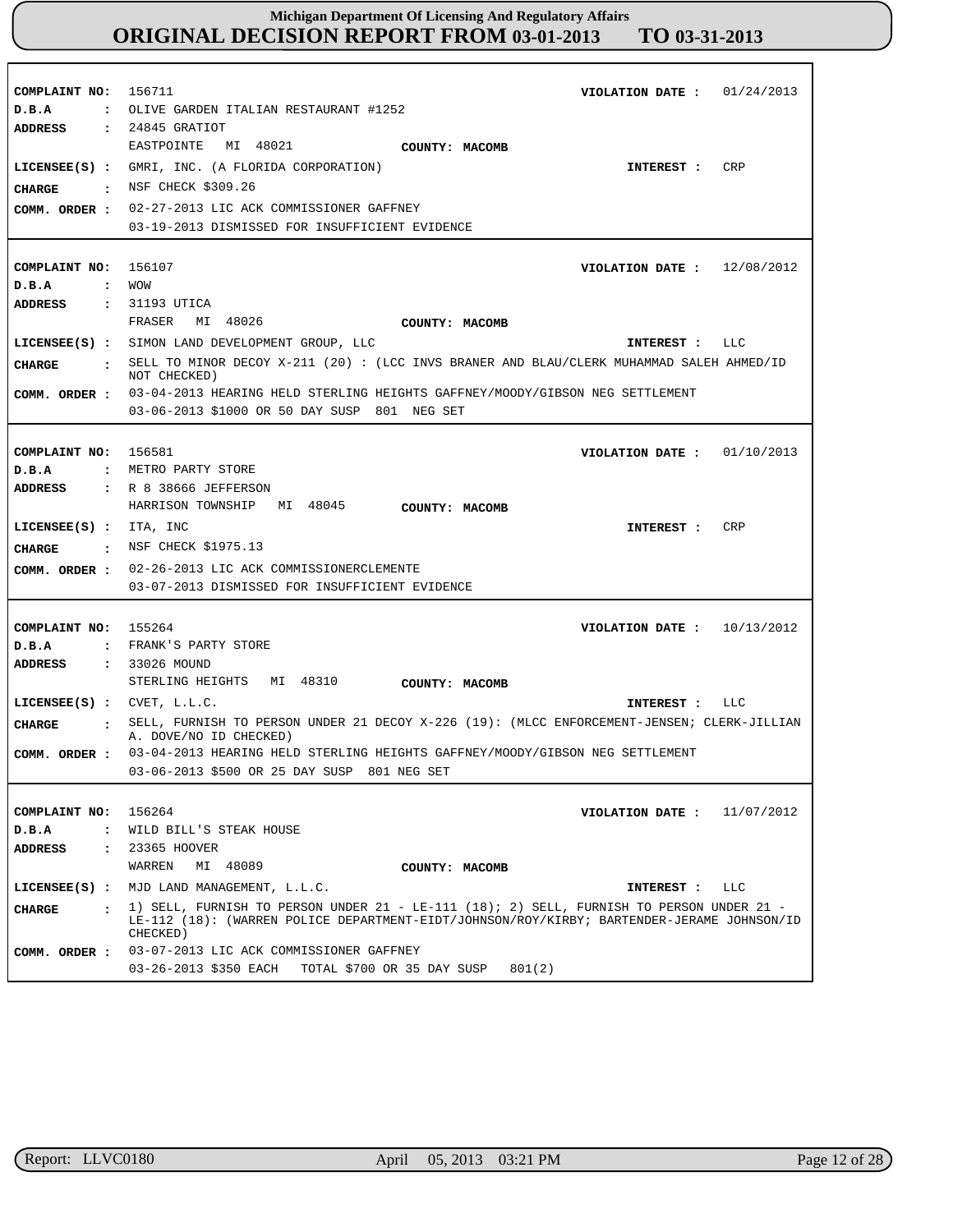| COMPLAINT NO:                         | 156711<br>01/24/2013<br>VIOLATION DATE :                                                                                                                                                           |
|---------------------------------------|----------------------------------------------------------------------------------------------------------------------------------------------------------------------------------------------------|
| D.B.A<br>$\ddot{\phantom{a}}$         | OLIVE GARDEN ITALIAN RESTAURANT #1252                                                                                                                                                              |
| <b>ADDRESS</b><br>$\ddot{\cdot}$      | 24845 GRATIOT                                                                                                                                                                                      |
|                                       | MI 48021<br>EASTPOINTE<br>COUNTY: MACOMB                                                                                                                                                           |
| $LICENSEE(S)$ :                       | GMRI, INC. (A FLORIDA CORPORATION)<br>CRP<br>INTEREST :                                                                                                                                            |
| <b>CHARGE</b><br>$\sim$ :             | NSF CHECK \$309.26                                                                                                                                                                                 |
| COMM. ORDER :                         | 02-27-2013 LIC ACK COMMISSIONER GAFFNEY                                                                                                                                                            |
|                                       | 03-19-2013 DISMISSED FOR INSUFFICIENT EVIDENCE                                                                                                                                                     |
|                                       |                                                                                                                                                                                                    |
| COMPLAINT NO:                         | 156107<br>12/08/2012<br>VIOLATION DATE :                                                                                                                                                           |
| D.B.A<br>$\ddot{\phantom{a}}$         | <b>MOM</b>                                                                                                                                                                                         |
| ADDRESS<br>$\mathbf{r}$               | 31193 UTICA                                                                                                                                                                                        |
|                                       | FRASER<br>MI 48026<br>COUNTY: MACOMB                                                                                                                                                               |
|                                       | LICENSEE(S) : SIMON LAND DEVELOPMENT GROUP, LLC<br>LLC<br>INTEREST :                                                                                                                               |
| CHARGE                                | : SELL TO MINOR DECOY X-211 (20): (LCC INVS BRANER AND BLAU/CLERK MUHAMMAD SALEH AHMED/ID                                                                                                          |
|                                       | NOT CHECKED)                                                                                                                                                                                       |
| COMM. ORDER :                         | 03-04-2013 HEARING HELD STERLING HEIGHTS GAFFNEY/MOODY/GIBSON NEG SETTLEMENT                                                                                                                       |
|                                       | 03-06-2013 \$1000 OR 50 DAY SUSP 801 NEG SET                                                                                                                                                       |
|                                       |                                                                                                                                                                                                    |
| COMPLAINT NO:                         | 156581<br>VIOLATION DATE : $01/10/2013$                                                                                                                                                            |
| D.B.A<br>$\mathbf{r}$                 | METRO PARTY STORE                                                                                                                                                                                  |
| ADDRESS                               | : R 8 38666 JEFFERSON                                                                                                                                                                              |
|                                       | HARRISON TOWNSHIP<br>MI 48045<br>COUNTY: MACOMB                                                                                                                                                    |
| $LICENSEE(S)$ :                       | ITA, INC<br>CRP<br>INTEREST :                                                                                                                                                                      |
| CHARGE<br>$\sim$ $\sim$               | NSF CHECK \$1975.13                                                                                                                                                                                |
| COMM. ORDER :                         | 02-26-2013 LIC ACK COMMISSIONERCLEMENTE                                                                                                                                                            |
|                                       | 03-07-2013 DISMISSED FOR INSUFFICIENT EVIDENCE                                                                                                                                                     |
|                                       |                                                                                                                                                                                                    |
| COMPLAINT NO:                         | 155264<br>10/13/2012<br>VIOLATION DATE :                                                                                                                                                           |
| D.B.A<br>$\mathbf{r}$                 | FRANK'S PARTY STORE                                                                                                                                                                                |
| <b>ADDRESS</b><br>$\sim$ $\sim$       | 33026 MOUND                                                                                                                                                                                        |
|                                       | STERLING HEIGHTS<br>MI 48310<br>COUNTY: MACOMB                                                                                                                                                     |
| LICENSEE $(S)$ : CVET, L.L.C.         | LLC<br>INTEREST :                                                                                                                                                                                  |
| <b>CHARGE</b><br>$\ddot{\phantom{a}}$ | SELL, FURNISH TO PERSON UNDER 21 DECOY X-226 (19): (MLCC ENFORCEMENT-JENSEN; CLERK-JILLIAN<br>A. DOVE/NO ID CHECKED)                                                                               |
| COMM. ORDER :                         | 03-04-2013 HEARING HELD STERLING HEIGHTS GAFFNEY/MOODY/GIBSON NEG SETTLEMENT                                                                                                                       |
|                                       | 03-06-2013 \$500 OR 25 DAY SUSP 801 NEG SET                                                                                                                                                        |
|                                       |                                                                                                                                                                                                    |
| COMPLAINT NO:                         | 156264<br>11/07/2012<br>VIOLATION DATE :                                                                                                                                                           |
| D.B.A<br>$\ddot{\phantom{a}}$         | WILD BILL'S STEAK HOUSE                                                                                                                                                                            |
| <b>ADDRESS</b><br>$\sim$ 100 $\sim$   | 23365 HOOVER                                                                                                                                                                                       |
|                                       | WARREN<br>MI 48089<br>COUNTY: MACOMB                                                                                                                                                               |
| $LICENSEE(S)$ :                       | MJD LAND MANAGEMENT, L.L.C.<br>INTEREST :<br>LLC                                                                                                                                                   |
| CHARGE<br>$\sim$ $\sim$ $\sim$        | 1) SELL, FURNISH TO PERSON UNDER 21 - LE-111 (18); 2) SELL, FURNISH TO PERSON UNDER 21 -<br>LE-112 (18): (WARREN POLICE DEPARTMENT-EIDT/JOHNSON/ROY/KIRBY; BARTENDER-JERAME JOHNSON/ID<br>CHECKED) |
| COMM. ORDER :                         | 03-07-2013 LIC ACK COMMISSIONER GAFFNEY                                                                                                                                                            |
|                                       | 03-26-2013 \$350 EACH TOTAL \$700 OR 35 DAY SUSP<br>801(2)                                                                                                                                         |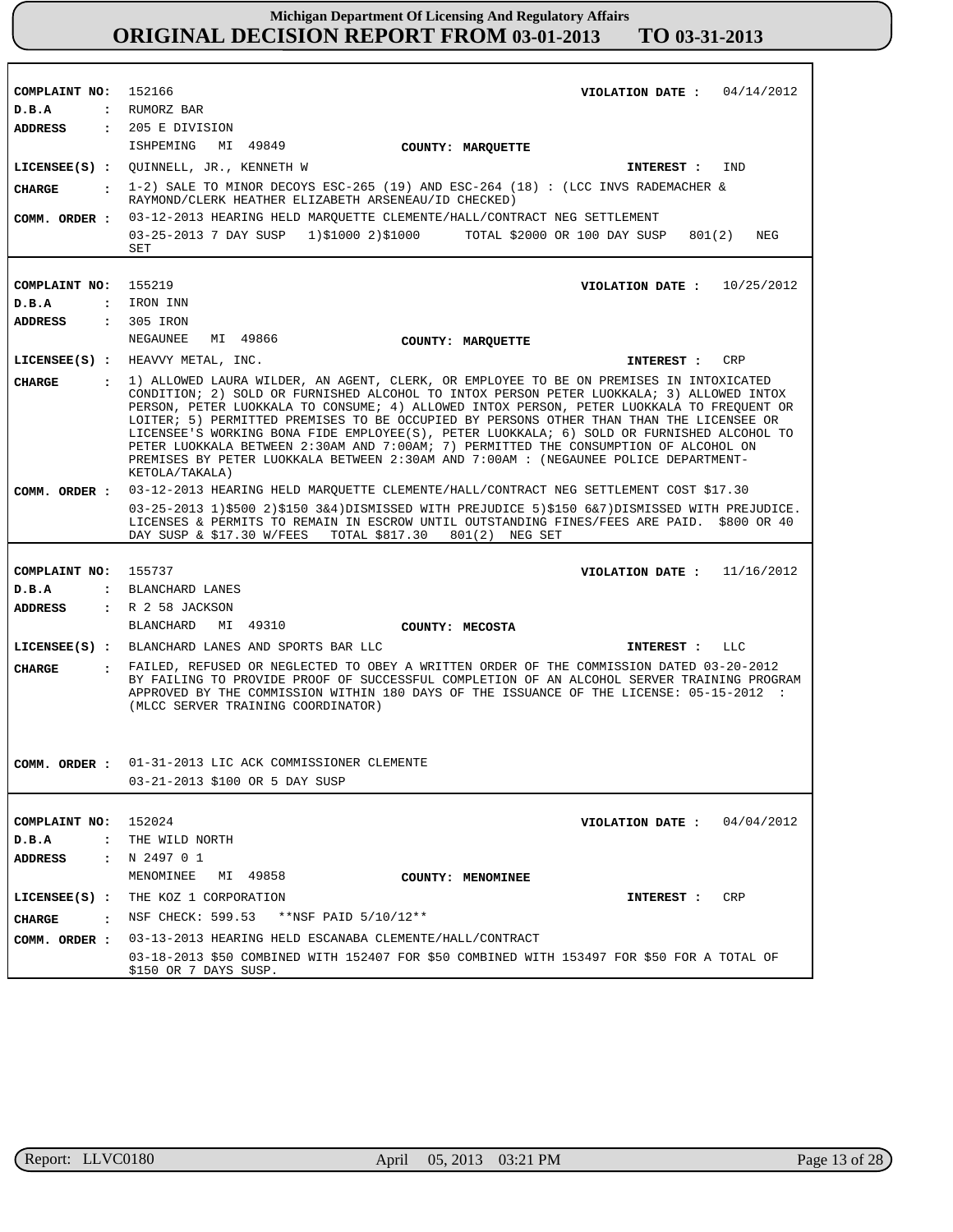| COMPLAINT NO: 152166                   | 04/14/2012<br>VIOLATION DATE :                                                                                                                                                                                                                                                                                                                                                                                                                                                                                                                                                                                                                                             |  |  |
|----------------------------------------|----------------------------------------------------------------------------------------------------------------------------------------------------------------------------------------------------------------------------------------------------------------------------------------------------------------------------------------------------------------------------------------------------------------------------------------------------------------------------------------------------------------------------------------------------------------------------------------------------------------------------------------------------------------------------|--|--|
| D.B.A                                  | : RUMORZ BAR                                                                                                                                                                                                                                                                                                                                                                                                                                                                                                                                                                                                                                                               |  |  |
| ADDRESS                                | $: 205$ E DIVISION                                                                                                                                                                                                                                                                                                                                                                                                                                                                                                                                                                                                                                                         |  |  |
|                                        | ISHPEMING MI 49849<br>COUNTY: MARQUETTE                                                                                                                                                                                                                                                                                                                                                                                                                                                                                                                                                                                                                                    |  |  |
|                                        | LICENSEE(S) : QUINNELL, JR., KENNETH W<br>IND<br>INTEREST :                                                                                                                                                                                                                                                                                                                                                                                                                                                                                                                                                                                                                |  |  |
| CHARGE<br>$\sim$ $\sim$ $\sim$         | 1-2) SALE TO MINOR DECOYS ESC-265 (19) AND ESC-264 (18): (LCC INVS RADEMACHER &<br>RAYMOND/CLERK HEATHER ELIZABETH ARSENEAU/ID CHECKED)                                                                                                                                                                                                                                                                                                                                                                                                                                                                                                                                    |  |  |
| COMM. ORDER :                          | 03-12-2013 HEARING HELD MAROUETTE CLEMENTE/HALL/CONTRACT NEG SETTLEMENT                                                                                                                                                                                                                                                                                                                                                                                                                                                                                                                                                                                                    |  |  |
|                                        | 03-25-2013 7 DAY SUSP 1)\$1000 2)\$1000<br>TOTAL \$2000 OR 100 DAY SUSP<br>801(2)<br>NEG<br>SET                                                                                                                                                                                                                                                                                                                                                                                                                                                                                                                                                                            |  |  |
|                                        |                                                                                                                                                                                                                                                                                                                                                                                                                                                                                                                                                                                                                                                                            |  |  |
| COMPLAINT NO:                          | 155219<br>VIOLATION DATE: $10/25/2012$                                                                                                                                                                                                                                                                                                                                                                                                                                                                                                                                                                                                                                     |  |  |
| D.B.A                                  | : IRON INN                                                                                                                                                                                                                                                                                                                                                                                                                                                                                                                                                                                                                                                                 |  |  |
| <b>ADDRESS</b>                         | : 305 IRON                                                                                                                                                                                                                                                                                                                                                                                                                                                                                                                                                                                                                                                                 |  |  |
|                                        | NEGAUNEE<br>MI 49866<br>COUNTY: MARQUETTE                                                                                                                                                                                                                                                                                                                                                                                                                                                                                                                                                                                                                                  |  |  |
|                                        | LICENSEE(S) : HEAVVY METAL, INC.<br><b>CRP</b><br>INTEREST :                                                                                                                                                                                                                                                                                                                                                                                                                                                                                                                                                                                                               |  |  |
| CHARGE                                 | : 1) ALLOWED LAURA WILDER, AN AGENT, CLERK, OR EMPLOYEE TO BE ON PREMISES IN INTOXICATED<br>CONDITION; 2) SOLD OR FURNISHED ALCOHOL TO INTOX PERSON PETER LUOKKALA; 3) ALLOWED INTOX<br>PERSON, PETER LUOKKALA TO CONSUME; 4) ALLOWED INTOX PERSON, PETER LUOKKALA TO FREOUENT OR<br>LOITER; 5) PERMITTED PREMISES TO BE OCCUPIED BY PERSONS OTHER THAN THAN THE LICENSEE OR<br>LICENSEE'S WORKING BONA FIDE EMPLOYEE(S), PETER LUOKKALA; 6) SOLD OR FURNISHED ALCOHOL TO<br>PETER LUOKKALA BETWEEN 2:30AM AND 7:00AM; 7) PERMITTED THE CONSUMPTION OF ALCOHOL ON<br>PREMISES BY PETER LUOKKALA BETWEEN 2:30AM AND 7:00AM : (NEGAUNEE POLICE DEPARTMENT-<br>KETOLA/TAKALA) |  |  |
| COMM. ORDER :                          | 03-12-2013 HEARING HELD MARQUETTE CLEMENTE/HALL/CONTRACT NEG SETTLEMENT COST \$17.30                                                                                                                                                                                                                                                                                                                                                                                                                                                                                                                                                                                       |  |  |
|                                        | 03-25-2013 1)\$500 2)\$150 3&4)DISMISSED WITH PREJUDICE 5)\$150 6&7)DISMISSED WITH PREJUDICE.<br>LICENSES & PERMITS TO REMAIN IN ESCROW UNTIL OUTSTANDING FINES/FEES ARE PAID. \$800 OR 40<br>DAY SUSP & \$17.30 W/FEES<br>TOTAL \$817.30<br>801(2) NEG SET                                                                                                                                                                                                                                                                                                                                                                                                                |  |  |
|                                        |                                                                                                                                                                                                                                                                                                                                                                                                                                                                                                                                                                                                                                                                            |  |  |
| COMPLAINT NO: 155737                   | VIOLATION DATE: $11/16/2012$                                                                                                                                                                                                                                                                                                                                                                                                                                                                                                                                                                                                                                               |  |  |
| D.B.A                                  | : BLANCHARD LANES                                                                                                                                                                                                                                                                                                                                                                                                                                                                                                                                                                                                                                                          |  |  |
| <b>ADDRESS</b>                         | : R 2 58 JACKSON                                                                                                                                                                                                                                                                                                                                                                                                                                                                                                                                                                                                                                                           |  |  |
|                                        | BLANCHARD<br>MI 49310<br>COUNTY: MECOSTA                                                                                                                                                                                                                                                                                                                                                                                                                                                                                                                                                                                                                                   |  |  |
|                                        | LICENSEE(S) : BLANCHARD LANES AND SPORTS BAR LLC<br>INTEREST :<br>LLC                                                                                                                                                                                                                                                                                                                                                                                                                                                                                                                                                                                                      |  |  |
| <b>CHARGE</b>                          | : FAILED, REFUSED OR NEGLECTED TO OBEY A WRITTEN ORDER OF THE COMMISSION DATED 03-20-2012<br>BY FAILING TO PROVIDE PROOF OF SUCCESSFUL COMPLETION OF AN ALCOHOL SERVER TRAINING PROGRAM<br>APPROVED BY THE COMMISSION WITHIN 180 DAYS OF THE ISSUANCE OF THE LICENSE: 05-15-2012 :<br>(MLCC SERVER TRAINING COORDINATOR)                                                                                                                                                                                                                                                                                                                                                   |  |  |
| COMM. ORDER :                          | 01-31-2013 LIC ACK COMMISSIONER CLEMENTE                                                                                                                                                                                                                                                                                                                                                                                                                                                                                                                                                                                                                                   |  |  |
|                                        | 03-21-2013 \$100 OR 5 DAY SUSP                                                                                                                                                                                                                                                                                                                                                                                                                                                                                                                                                                                                                                             |  |  |
|                                        |                                                                                                                                                                                                                                                                                                                                                                                                                                                                                                                                                                                                                                                                            |  |  |
| COMPLAINT NO:                          | VIOLATION DATE :                                                                                                                                                                                                                                                                                                                                                                                                                                                                                                                                                                                                                                                           |  |  |
| $D$ . B.A<br>$\ddot{\phantom{a}}$      | 152024<br>04/04/2012<br>THE WILD NORTH                                                                                                                                                                                                                                                                                                                                                                                                                                                                                                                                                                                                                                     |  |  |
| <b>ADDRESS</b><br>$\ddot{\phantom{a}}$ | N 2497 O 1                                                                                                                                                                                                                                                                                                                                                                                                                                                                                                                                                                                                                                                                 |  |  |
|                                        | MENOMINEE<br>MI 49858                                                                                                                                                                                                                                                                                                                                                                                                                                                                                                                                                                                                                                                      |  |  |
|                                        | COUNTY: MENOMINEE                                                                                                                                                                                                                                                                                                                                                                                                                                                                                                                                                                                                                                                          |  |  |
| LICENSEE(S) :                          | THE KOZ 1 CORPORATION<br>CRP<br>INTEREST :                                                                                                                                                                                                                                                                                                                                                                                                                                                                                                                                                                                                                                 |  |  |
| CHARGE<br>$\sim$ $\sim$                | **NSF PAID 5/10/12**<br>NSF CHECK: 599.53                                                                                                                                                                                                                                                                                                                                                                                                                                                                                                                                                                                                                                  |  |  |
| COMM. ORDER :                          | 03-13-2013 HEARING HELD ESCANABA CLEMENTE/HALL/CONTRACT                                                                                                                                                                                                                                                                                                                                                                                                                                                                                                                                                                                                                    |  |  |
|                                        | 03-18-2013 \$50 COMBINED WITH 152407 FOR \$50 COMBINED WITH 153497 FOR \$50 FOR A TOTAL OF<br>\$150 OR 7 DAYS SUSP.                                                                                                                                                                                                                                                                                                                                                                                                                                                                                                                                                        |  |  |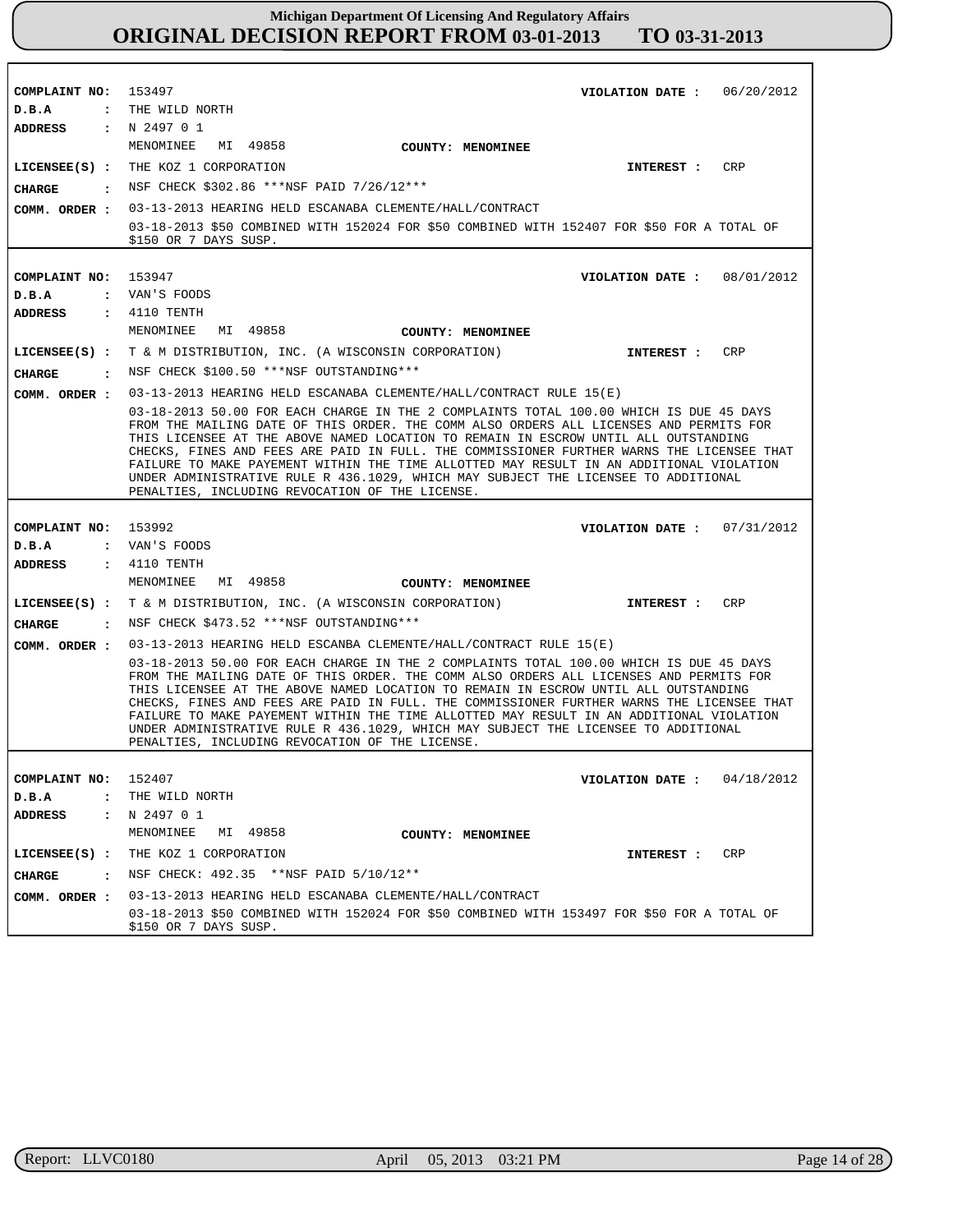| COMPLAINT NO: 153497     | VIOLATION DATE: $06/20/2012$                                                                                                                                                                                                                                                                                                                                                                                                                                                                                                                                                                             |
|--------------------------|----------------------------------------------------------------------------------------------------------------------------------------------------------------------------------------------------------------------------------------------------------------------------------------------------------------------------------------------------------------------------------------------------------------------------------------------------------------------------------------------------------------------------------------------------------------------------------------------------------|
| D.B.A                    | : THE WILD NORTH                                                                                                                                                                                                                                                                                                                                                                                                                                                                                                                                                                                         |
| ADDRESS : N 2497 0 1     |                                                                                                                                                                                                                                                                                                                                                                                                                                                                                                                                                                                                          |
|                          | MENOMINEE MI 49858<br><b>COUNTY: MENOMINEE</b>                                                                                                                                                                                                                                                                                                                                                                                                                                                                                                                                                           |
|                          | LICENSEE(S) : THE KOZ 1 CORPORATION<br>INTEREST : CRP                                                                                                                                                                                                                                                                                                                                                                                                                                                                                                                                                    |
|                          | CHARGE : NSF CHECK \$302.86 *** NSF PAID 7/26/12***                                                                                                                                                                                                                                                                                                                                                                                                                                                                                                                                                      |
|                          | COMM. ORDER : 03-13-2013 HEARING HELD ESCANABA CLEMENTE/HALL/CONTRACT                                                                                                                                                                                                                                                                                                                                                                                                                                                                                                                                    |
|                          | 03-18-2013 \$50 COMBINED WITH 152024 FOR \$50 COMBINED WITH 152407 FOR \$50 FOR A TOTAL OF                                                                                                                                                                                                                                                                                                                                                                                                                                                                                                               |
|                          | \$150 OR 7 DAYS SUSP.                                                                                                                                                                                                                                                                                                                                                                                                                                                                                                                                                                                    |
|                          |                                                                                                                                                                                                                                                                                                                                                                                                                                                                                                                                                                                                          |
| COMPLAINT NO: 153947     | VIOLATION DATE : $08/01/2012$                                                                                                                                                                                                                                                                                                                                                                                                                                                                                                                                                                            |
| D.B.A                    | : VAN'S FOODS                                                                                                                                                                                                                                                                                                                                                                                                                                                                                                                                                                                            |
| ADDRESS                  | $: 4110$ TENTH                                                                                                                                                                                                                                                                                                                                                                                                                                                                                                                                                                                           |
|                          | MENOMINEE<br>MI 49858<br><b>COUNTY: MENOMINEE</b>                                                                                                                                                                                                                                                                                                                                                                                                                                                                                                                                                        |
|                          | LICENSEE(S) : T & M DISTRIBUTION, INC. (A WISCONSIN CORPORATION)<br>INTEREST : CRP                                                                                                                                                                                                                                                                                                                                                                                                                                                                                                                       |
| CHARGE                   | : NSF CHECK \$100.50 ***NSF OUTSTANDING***                                                                                                                                                                                                                                                                                                                                                                                                                                                                                                                                                               |
| COMM. ORDER :            | 03-13-2013 HEARING HELD ESCANABA CLEMENTE/HALL/CONTRACT RULE 15(E)                                                                                                                                                                                                                                                                                                                                                                                                                                                                                                                                       |
|                          | 03-18-2013 50.00 FOR EACH CHARGE IN THE 2 COMPLAINTS TOTAL 100.00 WHICH IS DUE 45 DAYS<br>FROM THE MAILING DATE OF THIS ORDER. THE COMM ALSO ORDERS ALL LICENSES AND PERMITS FOR<br>THIS LICENSEE AT THE ABOVE NAMED LOCATION TO REMAIN IN ESCROW UNTIL ALL OUTSTANDING<br>CHECKS, FINES AND FEES ARE PAID IN FULL. THE COMMISSIONER FURTHER WARNS THE LICENSEE THAT<br>FAILURE TO MAKE PAYEMENT WITHIN THE TIME ALLOTTED MAY RESULT IN AN ADDITIONAL VIOLATION<br>UNDER ADMINISTRATIVE RULE R 436.1029, WHICH MAY SUBJECT THE LICENSEE TO ADDITIONAL<br>PENALTIES, INCLUDING REVOCATION OF THE LICENSE. |
|                          |                                                                                                                                                                                                                                                                                                                                                                                                                                                                                                                                                                                                          |
|                          |                                                                                                                                                                                                                                                                                                                                                                                                                                                                                                                                                                                                          |
| COMPLAINT NO: 153992     | VIOLATION DATE: $07/31/2012$                                                                                                                                                                                                                                                                                                                                                                                                                                                                                                                                                                             |
| D.B.A                    | : VAN'S FOODS                                                                                                                                                                                                                                                                                                                                                                                                                                                                                                                                                                                            |
| ADDRESS                  | : 4110 TENTH<br>MENOMINEE MI 49858<br>COUNTY: MENOMINEE                                                                                                                                                                                                                                                                                                                                                                                                                                                                                                                                                  |
|                          | LICENSEE(S) : T & M DISTRIBUTION, INC. (A WISCONSIN CORPORATION)<br><b>CRP</b><br>INTEREST :                                                                                                                                                                                                                                                                                                                                                                                                                                                                                                             |
| CHARGE                   | : NSF CHECK \$473.52 ***NSF OUTSTANDING***                                                                                                                                                                                                                                                                                                                                                                                                                                                                                                                                                               |
| COMM. ORDER :            | 03-13-2013 HEARING HELD ESCANBA CLEMENTE/HALL/CONTRACT RULE 15(E)                                                                                                                                                                                                                                                                                                                                                                                                                                                                                                                                        |
|                          | 03-18-2013 50.00 FOR EACH CHARGE IN THE 2 COMPLAINTS TOTAL 100.00 WHICH IS DUE 45 DAYS<br>FROM THE MAILING DATE OF THIS ORDER. THE COMM ALSO ORDERS ALL LICENSES AND PERMITS FOR<br>THIS LICENSEE AT THE ABOVE NAMED LOCATION TO REMAIN IN ESCROW UNTIL ALL OUTSTANDING<br>CHECKS, FINES AND FEES ARE PAID IN FULL. THE COMMISSIONER FURTHER WARNS THE LICENSEE THAT<br>FAILURE TO MAKE PAYEMENT WITHIN THE TIME ALLOTTED MAY RESULT IN AN ADDITIONAL VIOLATION<br>UNDER ADMINISTRATIVE RULE R 436.1029, WHICH MAY SUBJECT THE LICENSEE TO ADDITIONAL<br>PENALTIES, INCLUDING REVOCATION OF THE LICENSE. |
|                          |                                                                                                                                                                                                                                                                                                                                                                                                                                                                                                                                                                                                          |
| COMPLAINT NO: 152407     | 04/18/2012<br>VIOLATION DATE :                                                                                                                                                                                                                                                                                                                                                                                                                                                                                                                                                                           |
| D.B.A<br>$\ddot{\cdot}$  | THE WILD NORTH                                                                                                                                                                                                                                                                                                                                                                                                                                                                                                                                                                                           |
| ADDRESS                  | : N249701                                                                                                                                                                                                                                                                                                                                                                                                                                                                                                                                                                                                |
|                          | MENOMINEE<br>MI 49858<br><b>COUNTY: MENOMINEE</b>                                                                                                                                                                                                                                                                                                                                                                                                                                                                                                                                                        |
| $LICENSEE(S)$ :          | THE KOZ 1 CORPORATION<br>CRP<br>INTEREST :                                                                                                                                                                                                                                                                                                                                                                                                                                                                                                                                                               |
| <b>CHARGE</b><br>$\cdot$ | NSF CHECK: 492.35 **NSF PAID 5/10/12**                                                                                                                                                                                                                                                                                                                                                                                                                                                                                                                                                                   |
| COMM. ORDER :            | 03-13-2013 HEARING HELD ESCANABA CLEMENTE/HALL/CONTRACT<br>03-18-2013 \$50 COMBINED WITH 152024 FOR \$50 COMBINED WITH 153497 FOR \$50 FOR A TOTAL OF                                                                                                                                                                                                                                                                                                                                                                                                                                                    |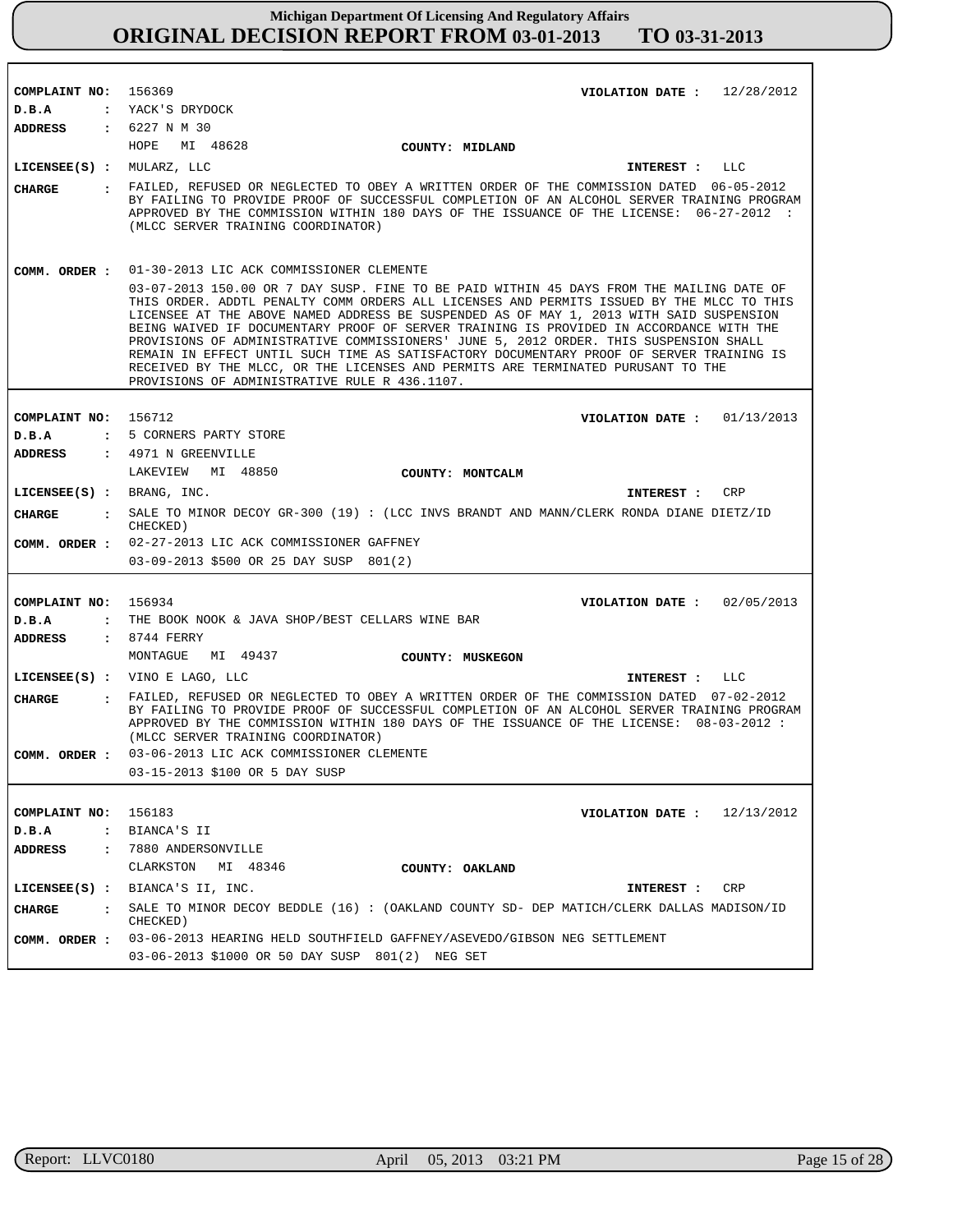| COMPLAINT NO:               | 156369<br>VIOLATION DATE: $12/28/2012$                                                                                                                                                                                                                                                                                                                                                                                                                                                                                                                                                                                                                                                                |  |
|-----------------------------|-------------------------------------------------------------------------------------------------------------------------------------------------------------------------------------------------------------------------------------------------------------------------------------------------------------------------------------------------------------------------------------------------------------------------------------------------------------------------------------------------------------------------------------------------------------------------------------------------------------------------------------------------------------------------------------------------------|--|
| D.B.A<br><b>ADDRESS</b>     | : YACK'S DRYDOCK<br>$: 6227 \text{ N} \text{ M} 30$                                                                                                                                                                                                                                                                                                                                                                                                                                                                                                                                                                                                                                                   |  |
|                             | HOPE MI 48628                                                                                                                                                                                                                                                                                                                                                                                                                                                                                                                                                                                                                                                                                         |  |
|                             | COUNTY: MIDLAND                                                                                                                                                                                                                                                                                                                                                                                                                                                                                                                                                                                                                                                                                       |  |
| $LICENSEE(S)$ : MULARZ, LLC | <b>INTEREST :</b><br>LLC                                                                                                                                                                                                                                                                                                                                                                                                                                                                                                                                                                                                                                                                              |  |
| CHARGE                      | . FAILED, REFUSED OR NEGLECTED TO OBEY A WRITTEN ORDER OF THE COMMISSION DATED 06-05-2012<br>BY FAILING TO PROVIDE PROOF OF SUCCESSFUL COMPLETION OF AN ALCOHOL SERVER TRAINING PROGRAM<br>APPROVED BY THE COMMISSION WITHIN 180 DAYS OF THE ISSUANCE OF THE LICENSE: 06-27-2012 :<br>(MLCC SERVER TRAINING COORDINATOR)                                                                                                                                                                                                                                                                                                                                                                              |  |
| COMM. ORDER :               | 01-30-2013 LIC ACK COMMISSIONER CLEMENTE                                                                                                                                                                                                                                                                                                                                                                                                                                                                                                                                                                                                                                                              |  |
|                             | 03-07-2013 150.00 OR 7 DAY SUSP. FINE TO BE PAID WITHIN 45 DAYS FROM THE MAILING DATE OF<br>THIS ORDER. ADDTL PENALTY COMM ORDERS ALL LICENSES AND PERMITS ISSUED BY THE MLCC TO THIS<br>LICENSEE AT THE ABOVE NAMED ADDRESS BE SUSPENDED AS OF MAY 1, 2013 WITH SAID SUSPENSION<br>BEING WAIVED IF DOCUMENTARY PROOF OF SERVER TRAINING IS PROVIDED IN ACCORDANCE WITH THE<br>PROVISIONS OF ADMINISTRATIVE COMMISSIONERS' JUNE 5, 2012 ORDER. THIS SUSPENSION SHALL<br>REMAIN IN EFFECT UNTIL SUCH TIME AS SATISFACTORY DOCUMENTARY PROOF OF SERVER TRAINING IS<br>RECEIVED BY THE MLCC, OR THE LICENSES AND PERMITS ARE TERMINATED PURUSANT TO THE<br>PROVISIONS OF ADMINISTRATIVE RULE R 436.1107. |  |
|                             |                                                                                                                                                                                                                                                                                                                                                                                                                                                                                                                                                                                                                                                                                                       |  |
| COMPLAINT NO:               | 156712<br>VIOLATION DATE: $01/13/2013$                                                                                                                                                                                                                                                                                                                                                                                                                                                                                                                                                                                                                                                                |  |
| D.B.A                       | : 5 CORNERS PARTY STORE                                                                                                                                                                                                                                                                                                                                                                                                                                                                                                                                                                                                                                                                               |  |
| <b>ADDRESS</b>              | : 4971 N GREENVILLE                                                                                                                                                                                                                                                                                                                                                                                                                                                                                                                                                                                                                                                                                   |  |
|                             | MI 48850<br>LAKEVIEW<br>COUNTY: MONTCALM                                                                                                                                                                                                                                                                                                                                                                                                                                                                                                                                                                                                                                                              |  |
| $LICENSEE(S)$ : BRANG, INC. | <b>CRP</b><br>INTEREST :                                                                                                                                                                                                                                                                                                                                                                                                                                                                                                                                                                                                                                                                              |  |
| CHARGE                      | : SALE TO MINOR DECOY GR-300 (19) : (LCC INVS BRANDT AND MANN/CLERK RONDA DIANE DIETZ/ID<br>CHECKED)                                                                                                                                                                                                                                                                                                                                                                                                                                                                                                                                                                                                  |  |
|                             | COMM. ORDER : 02-27-2013 LIC ACK COMMISSIONER GAFFNEY<br>03-09-2013 \$500 OR 25 DAY SUSP 801(2)                                                                                                                                                                                                                                                                                                                                                                                                                                                                                                                                                                                                       |  |
|                             |                                                                                                                                                                                                                                                                                                                                                                                                                                                                                                                                                                                                                                                                                                       |  |
| COMPLAINT NO:               | 156934<br>VIOLATION DATE: $02/05/2013$                                                                                                                                                                                                                                                                                                                                                                                                                                                                                                                                                                                                                                                                |  |
| D.B.A                       | : THE BOOK NOOK & JAVA SHOP/BEST CELLARS WINE BAR                                                                                                                                                                                                                                                                                                                                                                                                                                                                                                                                                                                                                                                     |  |
| <b>ADDRESS</b>              | $: 8744$ FERRY                                                                                                                                                                                                                                                                                                                                                                                                                                                                                                                                                                                                                                                                                        |  |
|                             | MI 49437<br>MONTAGUE<br>COUNTY: MUSKEGON                                                                                                                                                                                                                                                                                                                                                                                                                                                                                                                                                                                                                                                              |  |
|                             | LICENSEE(S) : VINO E LAGO, LLC<br>LLC<br>INTEREST :                                                                                                                                                                                                                                                                                                                                                                                                                                                                                                                                                                                                                                                   |  |
| <b>CHARGE</b>               | : FAILED, REFUSED OR NEGLECTED TO OBEY A WRITTEN ORDER OF THE COMMISSION DATED 07-02-2012<br>BY FAILING TO PROVIDE PROOF OF SUCCESSFUL COMPLETION OF AN ALCOHOL SERVER TRAINING PROGRAM<br>APPROVED BY THE COMMISSION WITHIN 180 DAYS OF THE ISSUANCE OF THE LICENSE: 08-03-2012 :<br>(MLCC SERVER TRAINING COORDINATOR)                                                                                                                                                                                                                                                                                                                                                                              |  |
| COMM. ORDER :               | 03-06-2013 LIC ACK COMMISSIONER CLEMENTE                                                                                                                                                                                                                                                                                                                                                                                                                                                                                                                                                                                                                                                              |  |
|                             | 03-15-2013 \$100 OR 5 DAY SUSP                                                                                                                                                                                                                                                                                                                                                                                                                                                                                                                                                                                                                                                                        |  |
|                             |                                                                                                                                                                                                                                                                                                                                                                                                                                                                                                                                                                                                                                                                                                       |  |
| COMPLAINT NO:               | 156183<br>12/13/2012<br>VIOLATION DATE :                                                                                                                                                                                                                                                                                                                                                                                                                                                                                                                                                                                                                                                              |  |
| D.B.A                       | : BIANCA'S II                                                                                                                                                                                                                                                                                                                                                                                                                                                                                                                                                                                                                                                                                         |  |
| ADDRESS                     | : 7880 ANDERSONVILLE                                                                                                                                                                                                                                                                                                                                                                                                                                                                                                                                                                                                                                                                                  |  |
|                             | CLARKSTON MI 48346<br>COUNTY: OAKLAND                                                                                                                                                                                                                                                                                                                                                                                                                                                                                                                                                                                                                                                                 |  |
|                             | LICENSEE(S) : BIANCA'S II, INC.<br>CRP<br>INTEREST :                                                                                                                                                                                                                                                                                                                                                                                                                                                                                                                                                                                                                                                  |  |
|                             |                                                                                                                                                                                                                                                                                                                                                                                                                                                                                                                                                                                                                                                                                                       |  |
| $\mathbf{r}$<br>CHARGE      | SALE TO MINOR DECOY BEDDLE (16) : (OAKLAND COUNTY SD- DEP MATICH/CLERK DALLAS MADISON/ID<br>CHECKED)                                                                                                                                                                                                                                                                                                                                                                                                                                                                                                                                                                                                  |  |
| COMM. ORDER :               | 03-06-2013 HEARING HELD SOUTHFIELD GAFFNEY/ASEVEDO/GIBSON NEG SETTLEMENT                                                                                                                                                                                                                                                                                                                                                                                                                                                                                                                                                                                                                              |  |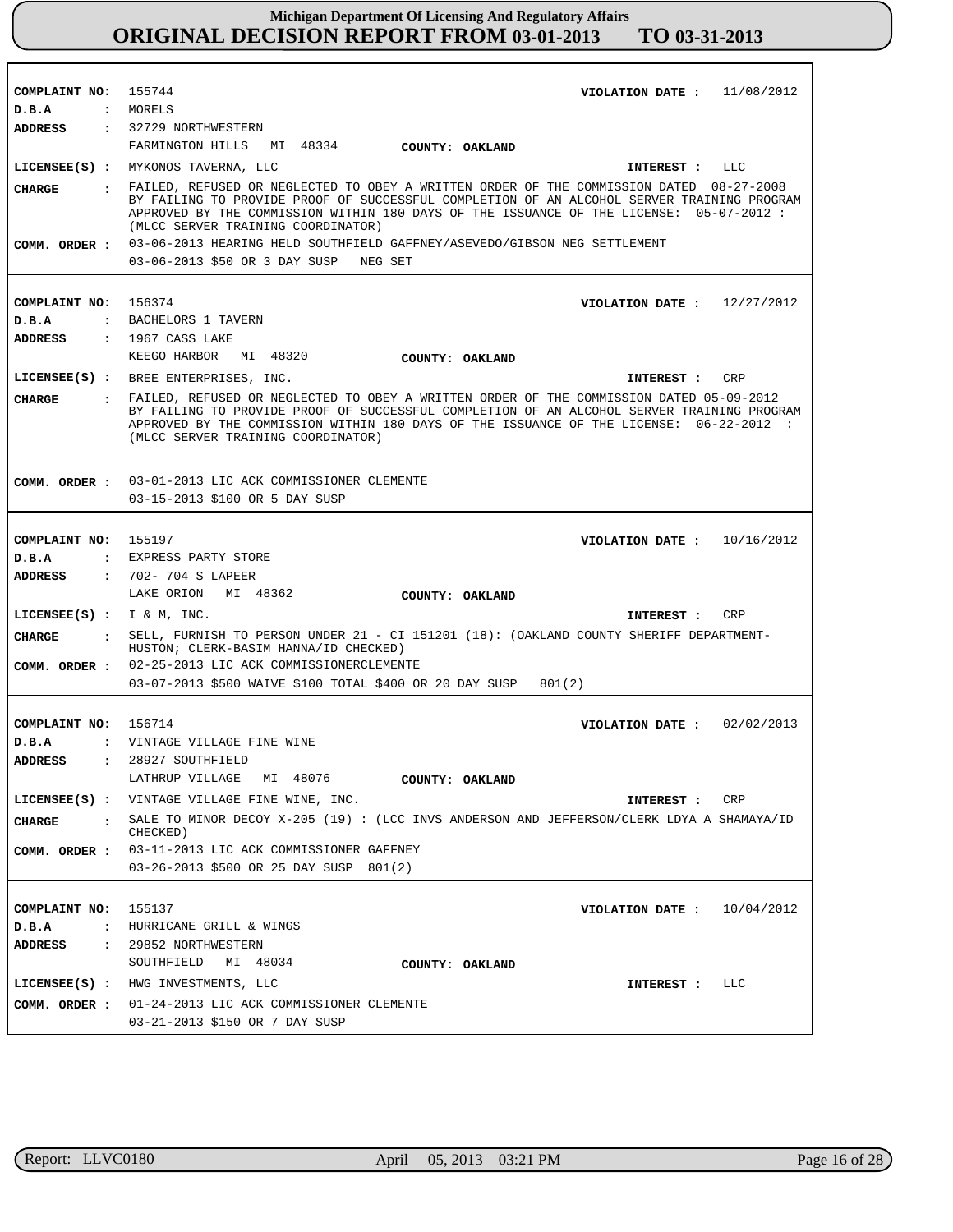| COMPLAINT NO: 155744          | VIOLATION DATE : $11/08/2012$                                                                                                                                                           |
|-------------------------------|-----------------------------------------------------------------------------------------------------------------------------------------------------------------------------------------|
| D.B.A                         | : MORELS                                                                                                                                                                                |
| ADDRESS                       | : 32729 NORTHWESTERN                                                                                                                                                                    |
|                               | FARMINGTON HILLS MI 48334 COUNTY: OAKLAND                                                                                                                                               |
|                               | LICENSEE(S) : MYKONOS TAVERNA, LLC<br>INTEREST : LLC                                                                                                                                    |
| CHARGE                        | : FAILED, REFUSED OR NEGLECTED TO OBEY A WRITTEN ORDER OF THE COMMISSION DATED 08-27-2008                                                                                               |
|                               | BY FAILING TO PROVIDE PROOF OF SUCCESSFUL COMPLETION OF AN ALCOHOL SERVER TRAINING PROGRAM                                                                                              |
|                               | APPROVED BY THE COMMISSION WITHIN 180 DAYS OF THE ISSUANCE OF THE LICENSE: 05-07-2012 :                                                                                                 |
|                               | (MLCC SERVER TRAINING COORDINATOR)                                                                                                                                                      |
|                               | COMM. ORDER : 03-06-2013 HEARING HELD SOUTHFIELD GAFFNEY/ASEVEDO/GIBSON NEG SETTLEMENT                                                                                                  |
|                               | 03-06-2013 \$50 OR 3 DAY SUSP NEG SET                                                                                                                                                   |
|                               |                                                                                                                                                                                         |
| COMPLAINT NO:                 | 156374<br>VIOLATION DATE: $12/27/2012$                                                                                                                                                  |
| D.B.A                         | : BACHELORS 1 TAVERN                                                                                                                                                                    |
| <b>ADDRESS</b>                | $: 1967$ CASS LAKE                                                                                                                                                                      |
|                               | KEEGO HARBOR MI 48320<br>COUNTY: OAKLAND                                                                                                                                                |
|                               | LICENSEE(S) : BREE ENTERPRISES, INC.<br>CRP<br>INTEREST:                                                                                                                                |
|                               |                                                                                                                                                                                         |
| CHARGE                        | . FAILED, REFUSED OR NEGLECTED TO OBEY A WRITTEN ORDER OF THE COMMISSION DATED 05-09-2012<br>BY FAILING TO PROVIDE PROOF OF SUCCESSFUL COMPLETION OF AN ALCOHOL SERVER TRAINING PROGRAM |
|                               | APPROVED BY THE COMMISSION WITHIN 180 DAYS OF THE ISSUANCE OF THE LICENSE: 06-22-2012 :                                                                                                 |
|                               | (MLCC SERVER TRAINING COORDINATOR)                                                                                                                                                      |
|                               |                                                                                                                                                                                         |
|                               | COMM. ORDER : 03-01-2013 LIC ACK COMMISSIONER CLEMENTE                                                                                                                                  |
|                               | 03-15-2013 \$100 OR 5 DAY SUSP                                                                                                                                                          |
|                               |                                                                                                                                                                                         |
|                               |                                                                                                                                                                                         |
| COMPLAINT NO: 155197          | VIOLATION DATE : $10/16/2012$                                                                                                                                                           |
| D.B.A                         | : EXPRESS PARTY STORE                                                                                                                                                                   |
| ADDRESS                       | : 702- 704 S LAPEER                                                                                                                                                                     |
|                               | LAKE ORION MI 48362<br>COUNTY: OAKLAND                                                                                                                                                  |
| LICENSEE(S) : $I \& M$ , INC. | INTEREST : CRP                                                                                                                                                                          |
| CHARGE                        | : SELL, FURNISH TO PERSON UNDER 21 - CI 151201 (18): (OAKLAND COUNTY SHERIFF DEPARTMENT-                                                                                                |
|                               | HUSTON; CLERK-BASIM HANNA/ID CHECKED)                                                                                                                                                   |
|                               | COMM. ORDER : 02-25-2013 LIC ACK COMMISSIONERCLEMENTE                                                                                                                                   |
|                               | 03-07-2013 \$500 WAIVE \$100 TOTAL \$400 OR 20 DAY SUSP<br>801(2)                                                                                                                       |
|                               |                                                                                                                                                                                         |
| COMPLAINT NO: 156714          | VIOLATION DATE: $02/02/2013$                                                                                                                                                            |
| D.B.A                         | : VINTAGE VILLAGE FINE WINE                                                                                                                                                             |
| <b>ADDRESS</b>                | : 28927 SOUTHFIELD                                                                                                                                                                      |
|                               | LATHRUP VILLAGE MI 48076                                                                                                                                                                |
|                               | COUNTY: OAKLAND                                                                                                                                                                         |
|                               | LICENSEE(S) : VINTAGE VILLAGE FINE WINE, INC.<br><b>INTEREST :</b><br>CRP                                                                                                               |
| CHARGE                        | : SALE TO MINOR DECOY X-205 (19) : (LCC INVS ANDERSON AND JEFFERSON/CLERK LDYA A SHAMAYA/ID                                                                                             |
|                               | CHECKED)                                                                                                                                                                                |
|                               | COMM. ORDER : 03-11-2013 LIC ACK COMMISSIONER GAFFNEY                                                                                                                                   |
|                               | 03-26-2013 \$500 OR 25 DAY SUSP 801(2)                                                                                                                                                  |
|                               |                                                                                                                                                                                         |
| COMPLAINT NO:                 | 155137<br>VIOLATION DATE: $10/04/2012$                                                                                                                                                  |
| D.B.A                         | : HURRICANE GRILL & WINGS                                                                                                                                                               |
| ADDRESS                       | : 29852 NORTHWESTERN                                                                                                                                                                    |
|                               | SOUTHFIELD MI 48034<br>COUNTY: OAKLAND                                                                                                                                                  |
|                               | LICENSEE(S) : HWG INVESTMENTS, LLC<br>INTEREST : LLC                                                                                                                                    |
|                               | COMM. ORDER: 01-24-2013 LIC ACK COMMISSIONER CLEMENTE                                                                                                                                   |
|                               |                                                                                                                                                                                         |
|                               | 03-21-2013 \$150 OR 7 DAY SUSP                                                                                                                                                          |

٦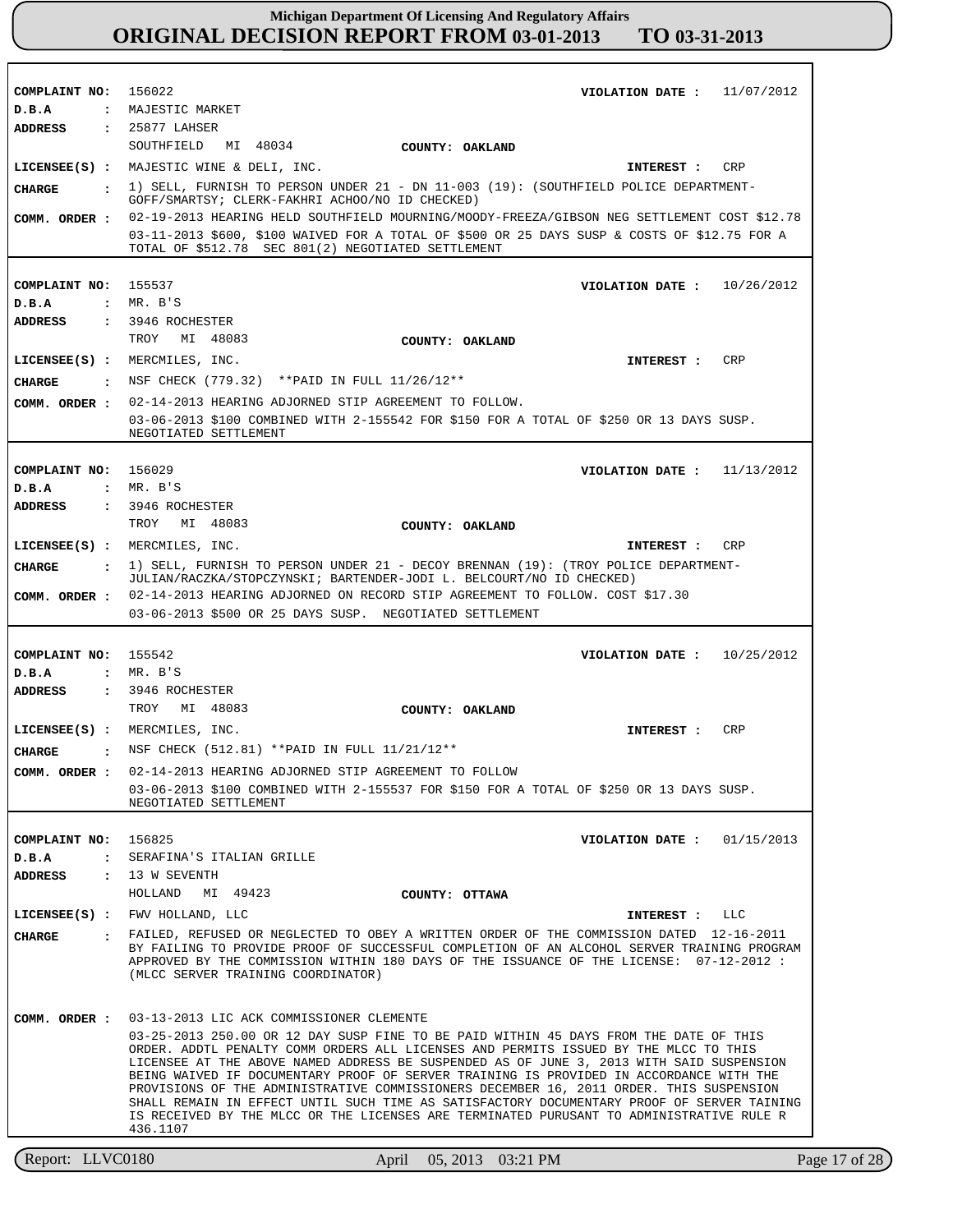Report: LLVC0180 April 05, 2013 03:21 PM **COMPLAINT NO: COMPLAINT NO: COMPLAINT NO: COMPLAINT NO:** 155542 **COMPLAINT NO:** 156022 155537 156029 156825 **VIOLATION DATE : VIOLATION DATE : VIOLATION DATE : VIOLATION DATE : VIOLATION DATE :** 11/07/2012 10/26/2012 11/13/2012 10/25/2012 01/15/2013 **D.B.A : D.B.A : D.B.A : D.B.A : D.B.A :** MAJESTIC MARKET MR. B'S MR. B'S MR. B'S SERAFINA'S ITALIAN GRILLE **ADDRESS : ADDRESS : ADDRESS : ADDRESS : ADDRESS :** 25877 LAHSER 3946 ROCHESTER 3946 ROCHESTER 3946 ROCHESTER 13 W SEVENTH SOUTHFIELD MI 48034 TROY MI 48083 TROY MI 48083 TROY MI 48083 HOLLAND MI 49423 02-19-2013 HEARING HELD SOUTHFIELD MOURNING/MOODY-FREEZA/GIBSON NEG SETTLEMENT COST \$12.78 03-11-2013 \$600, \$100 WAIVED FOR A TOTAL OF \$500 OR 25 DAYS SUSP & COSTS OF \$12.75 FOR A TOTAL OF \$512.78 SEC 801(2) NEGOTIATED SETTLEMENT 02-14-2013 HEARING ADJORNED STIP AGREEMENT TO FOLLOW. 03-06-2013 \$100 COMBINED WITH 2-155542 FOR \$150 FOR A TOTAL OF \$250 OR 13 DAYS SUSP. NEGOTIATED SETTLEMENT 02-14-2013 HEARING ADJORNED ON RECORD STIP AGREEMENT TO FOLLOW. COST \$17.30 03-06-2013 \$500 OR 25 DAYS SUSP. NEGOTIATED SETTLEMENT 02-14-2013 HEARING ADJORNED STIP AGREEMENT TO FOLLOW 03-06-2013 \$100 COMBINED WITH 2-155537 FOR \$150 FOR A TOTAL OF \$250 OR 13 DAYS SUSP. NEGOTIATED SETTLEMENT 03-13-2013 LIC ACK COMMISSIONER CLEMENTE 03-25-2013 250.00 OR 12 DAY SUSP FINE TO BE PAID WITHIN 45 DAYS FROM THE DATE OF THIS ORDER. ADDTL PENALTY COMM ORDERS ALL LICENSES AND PERMITS ISSUED BY THE MLCC TO THIS LICENSEE AT THE ABOVE NAMED ADDRESS BE SUSPENDED AS OF JUNE 3, 2013 WITH SAID SUSPENSION BEING WAIVED IF DOCUMENTARY PROOF OF SERVER TRAINING IS PROVIDED IN ACCORDANCE WITH THE PROVISIONS OF THE ADMINISTRATIVE COMMISSIONERS DECEMBER 16, 2011 ORDER. THIS SUSPENSION SHALL REMAIN IN EFFECT UNTIL SUCH TIME AS SATISFACTORY DOCUMENTARY PROOF OF SERVER TAINING IS RECEIVED BY THE MLCC OR THE LICENSES ARE TERMINATED PURUSANT TO ADMINISTRATIVE RULE R 436.1107 **LICENSEE(S) :** MAJESTIC WINE & DELI, INC. **LICENSEE(S) :** MERCMILES, INC. **LICENSEE(S) :** MERCMILES, INC. **LICENSEE(S) :** MERCMILES, INC. **LICENSEE(S) :** FWV HOLLAND, LLC CRP CRP CRP CRP LLC **CHARGE : CHARGE : CHARGE : CHARGE : CHARGE :** 1) SELL, FURNISH TO PERSON UNDER 21 - DN 11-003 (19): (SOUTHFIELD POLICE DEPARTMENT-GOFF/SMARTSY; CLERK-FAKHRI ACHOO/NO ID CHECKED) NSF CHECK (779.32) \*\*PAID IN FULL 11/26/12\*\* 1) SELL, FURNISH TO PERSON UNDER 21 - DECOY BRENNAN (19): (TROY POLICE DEPARTMENT-JULIAN/RACZKA/STOPCZYNSKI; BARTENDER-JODI L. BELCOURT/NO ID CHECKED) NSF CHECK (512.81) \*\*PAID IN FULL 11/21/12\*\* FAILED, REFUSED OR NEGLECTED TO OBEY A WRITTEN ORDER OF THE COMMISSION DATED 12-16-2011 BY FAILING TO PROVIDE PROOF OF SUCCESSFUL COMPLETION OF AN ALCOHOL SERVER TRAINING PROGRAM APPROVED BY THE COMMISSION WITHIN 180 DAYS OF THE ISSUANCE OF THE LICENSE: 07-12-2012 : (MLCC SERVER TRAINING COORDINATOR) **INTEREST : INTEREST : INTEREST : INTEREST : INTEREST : COMM. ORDER : COMM. ORDER : COMM. ORDER : COMM. ORDER : COMM. ORDER : COUNTY: OAKLAND COUNTY: OAKLAND COUNTY: OAKLAND COUNTY: OAKLAND COUNTY: OTTAWA**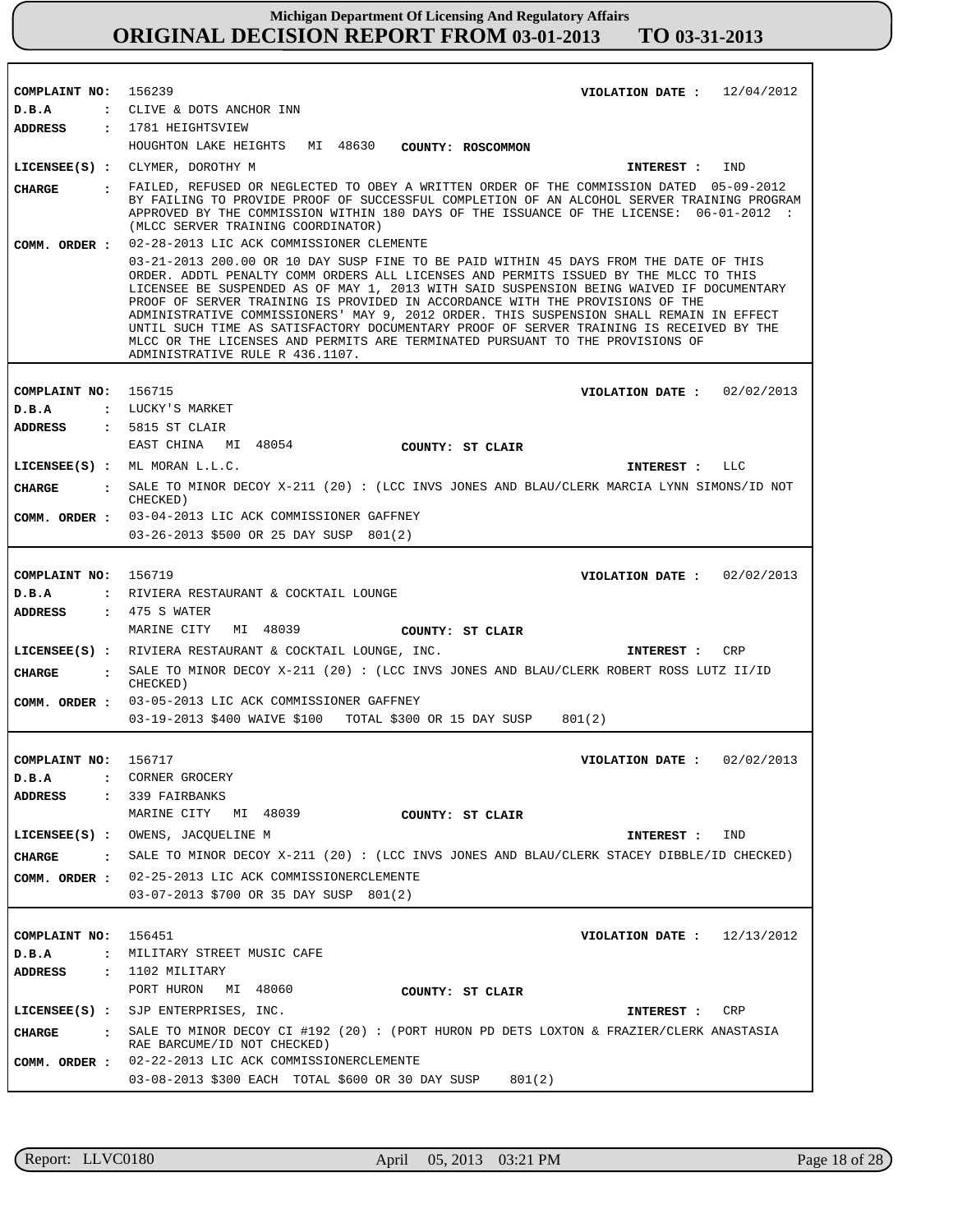| COMPLAINT NO: 156239                                     | VIOLATION DATE: $12/04/2012$                                                                                                                                                                                                                                                                                                                                                                                                                                                                                                                                                                                                                                                                                                   |
|----------------------------------------------------------|--------------------------------------------------------------------------------------------------------------------------------------------------------------------------------------------------------------------------------------------------------------------------------------------------------------------------------------------------------------------------------------------------------------------------------------------------------------------------------------------------------------------------------------------------------------------------------------------------------------------------------------------------------------------------------------------------------------------------------|
| D.B.A                                                    | : CLIVE & DOTS ANCHOR INN                                                                                                                                                                                                                                                                                                                                                                                                                                                                                                                                                                                                                                                                                                      |
| ADDRESS                                                  | : 1781 HEIGHTSVIEW                                                                                                                                                                                                                                                                                                                                                                                                                                                                                                                                                                                                                                                                                                             |
|                                                          | HOUGHTON LAKE HEIGHTS MI 48630<br>COUNTY: ROSCOMMON                                                                                                                                                                                                                                                                                                                                                                                                                                                                                                                                                                                                                                                                            |
|                                                          | LICENSEE(S) : CLYMER, DOROTHY M<br>INTEREST :<br>IND                                                                                                                                                                                                                                                                                                                                                                                                                                                                                                                                                                                                                                                                           |
| CHARGE                                                   | : FAILED, REFUSED OR NEGLECTED TO OBEY A WRITTEN ORDER OF THE COMMISSION DATED 05-09-2012<br>BY FAILING TO PROVIDE PROOF OF SUCCESSFUL COMPLETION OF AN ALCOHOL SERVER TRAINING PROGRAM<br>APPROVED BY THE COMMISSION WITHIN 180 DAYS OF THE ISSUANCE OF THE LICENSE: 06-01-2012 :<br>(MLCC SERVER TRAINING COORDINATOR)                                                                                                                                                                                                                                                                                                                                                                                                       |
|                                                          | COMM. ORDER : 02-28-2013 LIC ACK COMMISSIONER CLEMENTE<br>03-21-2013 200.00 OR 10 DAY SUSP FINE TO BE PAID WITHIN 45 DAYS FROM THE DATE OF THIS<br>ORDER. ADDTL PENALTY COMM ORDERS ALL LICENSES AND PERMITS ISSUED BY THE MLCC TO THIS<br>LICENSEE BE SUSPENDED AS OF MAY 1, 2013 WITH SAID SUSPENSION BEING WAIVED IF DOCUMENTARY<br>PROOF OF SERVER TRAINING IS PROVIDED IN ACCORDANCE WITH THE PROVISIONS OF THE<br>ADMINISTRATIVE COMMISSIONERS' MAY 9, 2012 ORDER. THIS SUSPENSION SHALL REMAIN IN EFFECT<br>UNTIL SUCH TIME AS SATISFACTORY DOCUMENTARY PROOF OF SERVER TRAINING IS RECEIVED BY THE<br>MLCC OR THE LICENSES AND PERMITS ARE TERMINATED PURSUANT TO THE PROVISIONS OF<br>ADMINISTRATIVE RULE R 436.1107. |
| COMPLAINT NO: 156715                                     | VIOLATION DATE: $02/02/2013$                                                                                                                                                                                                                                                                                                                                                                                                                                                                                                                                                                                                                                                                                                   |
| D.B.A                                                    | : LUCKY'S MARKET                                                                                                                                                                                                                                                                                                                                                                                                                                                                                                                                                                                                                                                                                                               |
|                                                          | ADDRESS : 5815 ST CLAIR                                                                                                                                                                                                                                                                                                                                                                                                                                                                                                                                                                                                                                                                                                        |
|                                                          | EAST CHINA MI 48054<br>COUNTY: ST CLAIR                                                                                                                                                                                                                                                                                                                                                                                                                                                                                                                                                                                                                                                                                        |
|                                                          | LICENSEE(S) : ML MORAN L.L.C.<br>LLC<br>INTEREST :                                                                                                                                                                                                                                                                                                                                                                                                                                                                                                                                                                                                                                                                             |
| CIIARGE                                                  | : SALE TO MINOR DECOY X-211 (20) : (LCC INVS JONES AND BLAU/CLERK MARCIA LYNN SIMONS/ID NOT<br>CHECKED)                                                                                                                                                                                                                                                                                                                                                                                                                                                                                                                                                                                                                        |
|                                                          | COMM. ORDER : 03-04-2013 LIC ACK COMMISSIONER GAFFNEY                                                                                                                                                                                                                                                                                                                                                                                                                                                                                                                                                                                                                                                                          |
|                                                          | 03-26-2013 \$500 OR 25 DAY SUSP 801(2)                                                                                                                                                                                                                                                                                                                                                                                                                                                                                                                                                                                                                                                                                         |
| COMPLAINT NO:<br>D.B.A<br>ADDRESS                        | 156719<br>VIOLATION DATE : $02/02/2013$<br>: RIVIERA RESTAURANT & COCKTAIL LOUNGE<br>$: 475 S$ WATER<br>MARINE CITY<br>MI 48039<br>COUNTY: ST CLAIR                                                                                                                                                                                                                                                                                                                                                                                                                                                                                                                                                                            |
|                                                          | LICENSEE(S) : RIVIERA RESTAURANT & COCKTAIL LOUNGE, INC.<br><b>CRP</b><br>INTEREST :                                                                                                                                                                                                                                                                                                                                                                                                                                                                                                                                                                                                                                           |
| CHARGE                                                   | : SALE TO MINOR DECOY X-211 (20) : (LCC INVS JONES AND BLAU/CLERK ROBERT ROSS LUTZ II/ID<br>CHECKED)                                                                                                                                                                                                                                                                                                                                                                                                                                                                                                                                                                                                                           |
|                                                          | COMM. ORDER : 03-05-2013 LIC ACK COMMISSIONER GAFFNEY                                                                                                                                                                                                                                                                                                                                                                                                                                                                                                                                                                                                                                                                          |
|                                                          | 03-19-2013 \$400 WAIVE \$100 TOTAL \$300 OR 15 DAY SUSP<br>801(2)                                                                                                                                                                                                                                                                                                                                                                                                                                                                                                                                                                                                                                                              |
| COMPLAINT NO: 156717<br>D.B.A                            | VIOLATION DATE : $02/02/2013$<br>CORNER GROCERY                                                                                                                                                                                                                                                                                                                                                                                                                                                                                                                                                                                                                                                                                |
| ADDRESS<br>$\mathbf{r}$                                  | 339 FAIRBANKS                                                                                                                                                                                                                                                                                                                                                                                                                                                                                                                                                                                                                                                                                                                  |
|                                                          | MARINE CITY MI 48039<br>COUNTY: ST CLAIR                                                                                                                                                                                                                                                                                                                                                                                                                                                                                                                                                                                                                                                                                       |
|                                                          | LICENSEE(S) : OWENS, JACQUELINE M<br>INTEREST : IND                                                                                                                                                                                                                                                                                                                                                                                                                                                                                                                                                                                                                                                                            |
|                                                          | CHARGE : SALE TO MINOR DECOY X-211 (20) : (LCC INVS JONES AND BLAU/CLERK STACEY DIBBLE/ID CHECKED)                                                                                                                                                                                                                                                                                                                                                                                                                                                                                                                                                                                                                             |
|                                                          | COMM. ORDER : 02-25-2013 LIC ACK COMMISSIONERCLEMENTE                                                                                                                                                                                                                                                                                                                                                                                                                                                                                                                                                                                                                                                                          |
|                                                          | 03-07-2013 \$700 OR 35 DAY SUSP 801(2)                                                                                                                                                                                                                                                                                                                                                                                                                                                                                                                                                                                                                                                                                         |
| COMPLAINT NO: 156451<br>D.B.A<br>$\mathbf{r}$<br>ADDRESS | VIOLATION DATE: $12/13/2012$<br>MILITARY STREET MUSIC CAFE<br>$: 1102$ MILITARY                                                                                                                                                                                                                                                                                                                                                                                                                                                                                                                                                                                                                                                |
|                                                          | PORT HURON MI 48060<br>COUNTY: ST CLAIR                                                                                                                                                                                                                                                                                                                                                                                                                                                                                                                                                                                                                                                                                        |
|                                                          | LICENSEE(S) : SJP ENTERPRISES, INC.<br>INTEREST : CRP                                                                                                                                                                                                                                                                                                                                                                                                                                                                                                                                                                                                                                                                          |
| CHARGE                                                   | . SALE TO MINOR DECOY CI #192 (20) : (PORT HURON PD DETS LOXTON & FRAZIER/CLERK ANASTASIA<br>RAE BARCUME/ID NOT CHECKED)                                                                                                                                                                                                                                                                                                                                                                                                                                                                                                                                                                                                       |
|                                                          | COMM. ORDER : 02-22-2013 LIC ACK COMMISSIONERCLEMENTE<br>03-08-2013 \$300 EACH TOTAL \$600 OR 30 DAY SUSP<br>801(2)                                                                                                                                                                                                                                                                                                                                                                                                                                                                                                                                                                                                            |

r

٦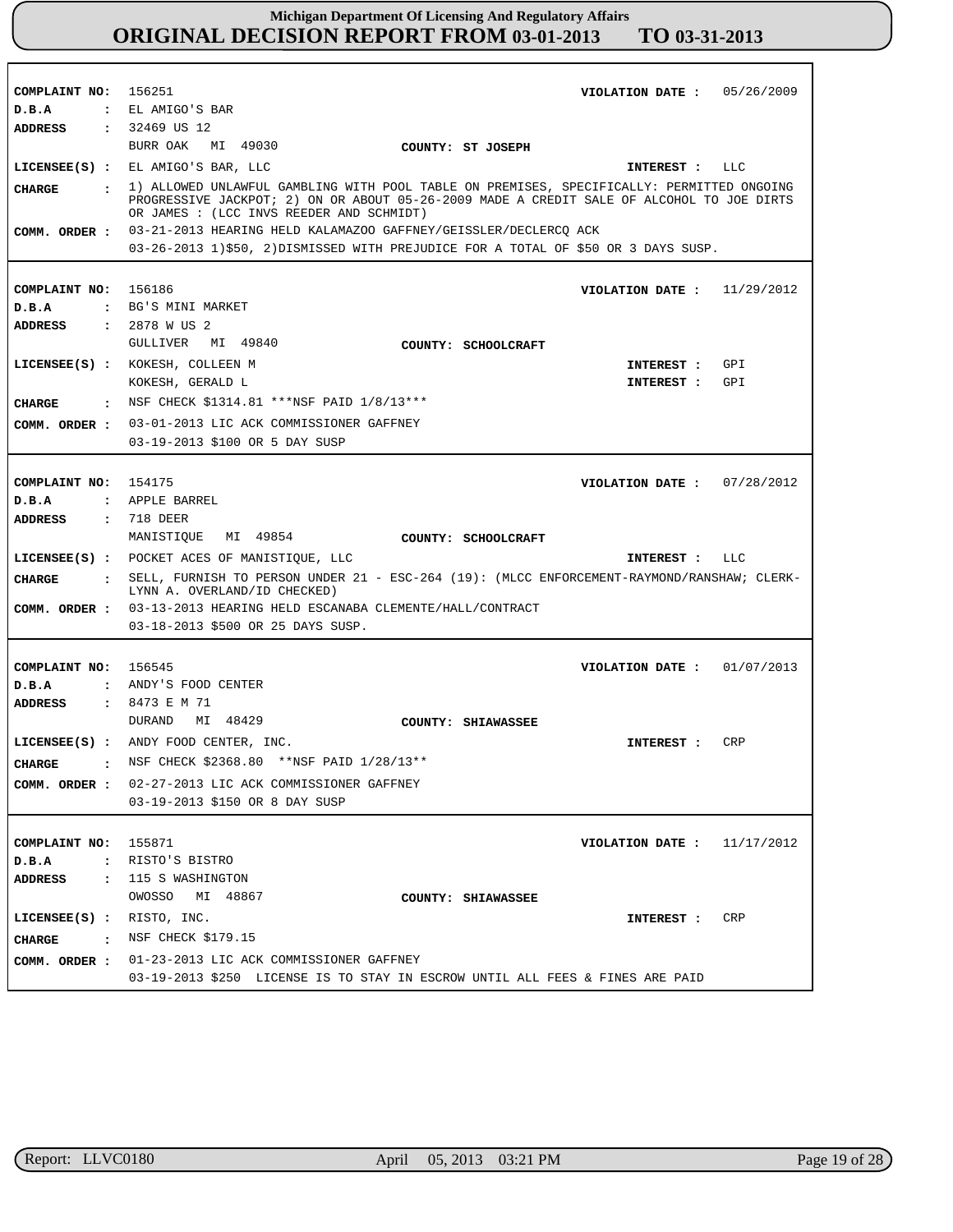| COMPLAINT NO: 156251         | VIOLATION DATE: $05/26/2009$                                                                                                                                                                                                         |
|------------------------------|--------------------------------------------------------------------------------------------------------------------------------------------------------------------------------------------------------------------------------------|
| D.B.A                        | : EL AMIGO'S BAR                                                                                                                                                                                                                     |
| <b>ADDRESS</b>               | : 32469 US 12                                                                                                                                                                                                                        |
|                              | BURR OAK MI 49030<br>COUNTY: ST JOSEPH                                                                                                                                                                                               |
|                              | LICENSEE(S) : EL AMIGO'S BAR, LLC<br>INTEREST : LLC                                                                                                                                                                                  |
| CHARGE                       | : 1) ALLOWED UNLAWFUL GAMBLING WITH POOL TABLE ON PREMISES, SPECIFICALLY: PERMITTED ONGOING<br>PROGRESSIVE JACKPOT; 2) ON OR ABOUT 05-26-2009 MADE A CREDIT SALE OF ALCOHOL TO JOE DIRTS<br>OR JAMES : (LCC INVS REEDER AND SCHMIDT) |
|                              | COMM. ORDER: 03-21-2013 HEARING HELD KALAMAZOO GAFFNEY/GEISSLER/DECLERCQ ACK                                                                                                                                                         |
|                              | 03-26-2013 1)\$50, 2)DISMISSED WITH PREJUDICE FOR A TOTAL OF \$50 OR 3 DAYS SUSP.                                                                                                                                                    |
|                              |                                                                                                                                                                                                                                      |
| COMPLAINT NO: 156186         | VIOLATION DATE: $11/29/2012$                                                                                                                                                                                                         |
| D.B.A                        | : BG'S MINI MARKET                                                                                                                                                                                                                   |
| <b>ADDRESS : 2878 W US 2</b> |                                                                                                                                                                                                                                      |
|                              | GULLIVER MI 49840                                                                                                                                                                                                                    |
|                              | COUNTY: SCHOOLCRAFT                                                                                                                                                                                                                  |
|                              | LICENSEE(S) : KOKESH, COLLEEN M<br><b>INTEREST :</b><br>GPI                                                                                                                                                                          |
|                              | KOKESH, GERALD L<br>GPI<br>INTEREST :                                                                                                                                                                                                |
| CIIARGE                      | . NSF CHECK \$1314.81 ***NSF PAID 1/8/13***                                                                                                                                                                                          |
|                              | COMM. ORDER : 03-01-2013 LIC ACK COMMISSIONER GAFFNEY                                                                                                                                                                                |
|                              | 03-19-2013 \$100 OR 5 DAY SUSP                                                                                                                                                                                                       |
|                              |                                                                                                                                                                                                                                      |
| COMPLAINT NO: 154175         | VIOLATION DATE: 07/28/2012                                                                                                                                                                                                           |
| D.B.A                        | : APPLE BARREL                                                                                                                                                                                                                       |
| <b>ADDRESS</b>               | : 718 DEER                                                                                                                                                                                                                           |
|                              | MANISTIQUE MI 49854                                                                                                                                                                                                                  |
|                              | COUNTY: SCHOOLCRAFT                                                                                                                                                                                                                  |
|                              | LICENSEE(S) : POCKET ACES OF MANISTIQUE, LLC<br>INTEREST : LLC                                                                                                                                                                       |
| CIIARGE                      | . SELL, FURNISH TO PERSON UNDER 21 - ESC-264 (19): (MLCC ENFORCEMENT-RAYMOND/RANSHAW; CLERK-<br>LYNN A. OVERLAND/ID CHECKED)                                                                                                         |
|                              | COMM. ORDER : 03-13-2013 HEARING HELD ESCANABA CLEMENTE/HALL/CONTRACT                                                                                                                                                                |
|                              | 03-18-2013 \$500 OR 25 DAYS SUSP.                                                                                                                                                                                                    |
|                              |                                                                                                                                                                                                                                      |
|                              |                                                                                                                                                                                                                                      |
| COMPLAINT NO: 156545         | VIOLATION DATE: $01/07/2013$                                                                                                                                                                                                         |
| D.B.A                        | : ANDY'S FOOD CENTER                                                                                                                                                                                                                 |
| <b>ADDRESS</b>               | : 8473 E M 71                                                                                                                                                                                                                        |
|                              | DURAND MI 48429<br>COUNTY: SHIAWASSEE                                                                                                                                                                                                |
|                              | LICENSEE(S) : ANDY FOOD CENTER, INC.<br>INTEREST : CRP                                                                                                                                                                               |
| <b>CHARGE</b>                | : NSF CHECK \$2368.80 ** NSF PAID 1/28/13 **                                                                                                                                                                                         |
|                              | COMM. ORDER : 02-27-2013 LIC ACK COMMISSIONER GAFFNEY                                                                                                                                                                                |
|                              | 03-19-2013 \$150 OR 8 DAY SUSP                                                                                                                                                                                                       |
|                              |                                                                                                                                                                                                                                      |
| COMPLAINT NO: 155871         | VIOLATION DATE: $11/17/2012$                                                                                                                                                                                                         |
| D.B.A                        | : RISTO'S BISTRO                                                                                                                                                                                                                     |
|                              | : 115 S WASHINGTON                                                                                                                                                                                                                   |
| ADDRESS                      |                                                                                                                                                                                                                                      |
|                              | OWOSSO MI 48867<br>COUNTY: SHIAWASSEE                                                                                                                                                                                                |
| LICENSE (S) : RISTO, INC.    | CRP<br><b>INTEREST :</b>                                                                                                                                                                                                             |
| CHARGE                       | : NSF CHECK \$179.15                                                                                                                                                                                                                 |
|                              |                                                                                                                                                                                                                                      |
|                              | COMM. ORDER : 01-23-2013 LIC ACK COMMISSIONER GAFFNEY                                                                                                                                                                                |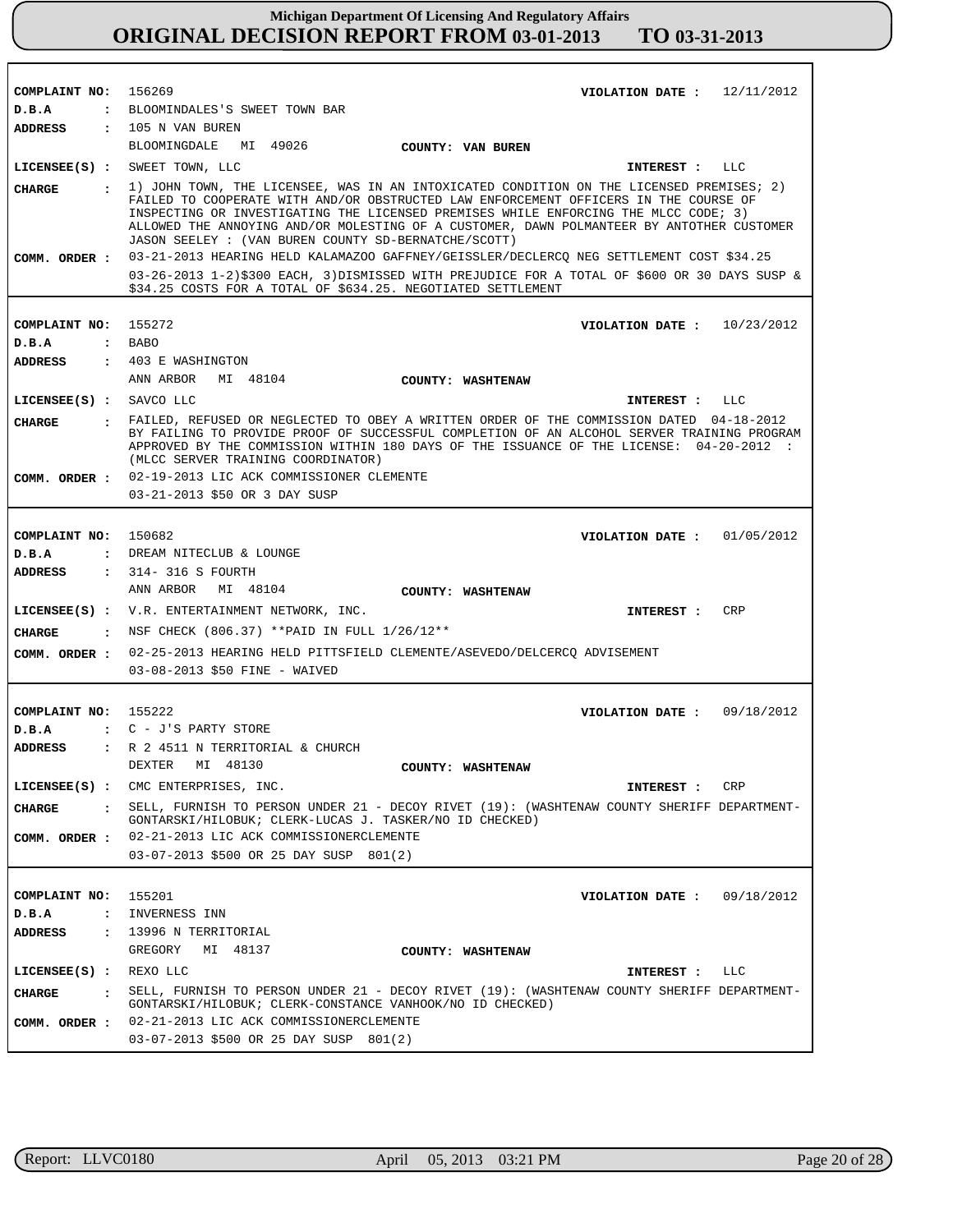| COMPLAINT NO: 156269                 |                                                                                                                                                                                                                                                                                                                                                                                                                                | VIOLATION DATE: $12/11/2012$ |            |
|--------------------------------------|--------------------------------------------------------------------------------------------------------------------------------------------------------------------------------------------------------------------------------------------------------------------------------------------------------------------------------------------------------------------------------------------------------------------------------|------------------------------|------------|
| D.B.A                                | : BLOOMINDALES'S SWEET TOWN BAR                                                                                                                                                                                                                                                                                                                                                                                                |                              |            |
| ADDRESS                              | $: 105$ N VAN BUREN                                                                                                                                                                                                                                                                                                                                                                                                            |                              |            |
|                                      | BLOOMINGDALE MI 49026<br>COUNTY: VAN BUREN                                                                                                                                                                                                                                                                                                                                                                                     |                              |            |
|                                      | LICENSEE(S) : SWEET TOWN, LLC                                                                                                                                                                                                                                                                                                                                                                                                  | INTEREST : LLC               |            |
| CHARGE                               | : 1) JOHN TOWN, THE LICENSEE, WAS IN AN INTOXICATED CONDITION ON THE LICENSED PREMISES; 2)<br>FAILED TO COOPERATE WITH AND/OR OBSTRUCTED LAW ENFORCEMENT OFFICERS IN THE COURSE OF<br>INSPECTING OR INVESTIGATING THE LICENSED PREMISES WHILE ENFORCING THE MLCC CODE; 3)<br>ALLOWED THE ANNOYING AND/OR MOLESTING OF A CUSTOMER, DAWN POLMANTEER BY ANTOTHER CUSTOMER<br>JASON SEELEY : (VAN BUREN COUNTY SD-BERNATCHE/SCOTT) |                              |            |
|                                      | COMM. ORDER : 03-21-2013 HEARING HELD KALAMAZOO GAFFNEY/GEISSLER/DECLERCQ NEG SETTLEMENT COST \$34.25                                                                                                                                                                                                                                                                                                                          |                              |            |
|                                      | 03-26-2013 1-2)\$300 EACH, 3)DISMISSED WITH PREJUDICE FOR A TOTAL OF \$600 OR 30 DAYS SUSP &<br>\$34.25 COSTS FOR A TOTAL OF \$634.25. NEGOTIATED SETTLEMENT                                                                                                                                                                                                                                                                   |                              |            |
|                                      |                                                                                                                                                                                                                                                                                                                                                                                                                                |                              |            |
| COMPLAINT NO: 155272                 |                                                                                                                                                                                                                                                                                                                                                                                                                                | VIOLATION DATE: $10/23/2012$ |            |
| D.B.A                                | $:$ BABO                                                                                                                                                                                                                                                                                                                                                                                                                       |                              |            |
| ADDRESS                              | : 403 E WASHINGTON                                                                                                                                                                                                                                                                                                                                                                                                             |                              |            |
|                                      | ANN ARBOR MI 48104<br>COUNTY: WASHTENAW                                                                                                                                                                                                                                                                                                                                                                                        |                              |            |
| LICENSEE(S) : SAVCO LLC              |                                                                                                                                                                                                                                                                                                                                                                                                                                | INTEREST : LLC               |            |
| CIIARGE                              | . FAILED, REFUSED OR NEGLECTED TO OBEY A WRITTEN ORDER OF THE COMMISSION DATED 04-18-2012<br>BY FAILING TO PROVIDE PROOF OF SUCCESSFUL COMPLETION OF AN ALCOHOL SERVER TRAINING PROGRAM<br>APPROVED BY THE COMMISSION WITHIN 180 DAYS OF THE ISSUANCE OF THE LICENSE: 04-20-2012 :<br>(MLCC SERVER TRAINING COORDINATOR)                                                                                                       |                              |            |
|                                      | COMM. ORDER : 02-19-2013 LIC ACK COMMISSIONER CLEMENTE                                                                                                                                                                                                                                                                                                                                                                         |                              |            |
|                                      | 03-21-2013 \$50 OR 3 DAY SUSP                                                                                                                                                                                                                                                                                                                                                                                                  |                              |            |
|                                      |                                                                                                                                                                                                                                                                                                                                                                                                                                |                              |            |
| COMPLAINT NO: 150682                 |                                                                                                                                                                                                                                                                                                                                                                                                                                | VIOLATION DATE: $01/05/2012$ |            |
| D.B.A                                | : DREAM NITECLUB & LOUNGE                                                                                                                                                                                                                                                                                                                                                                                                      |                              |            |
| ADDRESS                              | $: 314-316$ S FOURTH                                                                                                                                                                                                                                                                                                                                                                                                           |                              |            |
|                                      | ANN ARBOR MI 48104<br><b>COUNTY: WASHTENAW</b>                                                                                                                                                                                                                                                                                                                                                                                 |                              |            |
|                                      | LICENSEE(S) : V.R. ENTERTAINMENT NETWORK, INC.                                                                                                                                                                                                                                                                                                                                                                                 | <b>INTEREST :</b>            | CRP        |
|                                      | : NSF CHECK (806.37) ** PAID IN FULL $1/26/12**$                                                                                                                                                                                                                                                                                                                                                                               |                              |            |
| CHARGE                               |                                                                                                                                                                                                                                                                                                                                                                                                                                |                              |            |
|                                      | COMM. ORDER : 02-25-2013 HEARING HELD PITTSFIELD CLEMENTE/ASEVEDO/DELCERCQ ADVISEMENT<br>03-08-2013 \$50 FINE - WAIVED                                                                                                                                                                                                                                                                                                         |                              |            |
|                                      |                                                                                                                                                                                                                                                                                                                                                                                                                                |                              |            |
| COMPLAINT NO: 155222                 |                                                                                                                                                                                                                                                                                                                                                                                                                                | VIOLATION DATE: 09/18/2012   |            |
| D.B.A                                | : C - J'S PARTY STORE                                                                                                                                                                                                                                                                                                                                                                                                          |                              |            |
| <b>ADDRESS</b>                       | : R 2 4511 N TERRITORIAL & CHURCH                                                                                                                                                                                                                                                                                                                                                                                              |                              |            |
|                                      | DEXTER MI 48130<br>COUNTY: WASHTENAW                                                                                                                                                                                                                                                                                                                                                                                           |                              |            |
|                                      | LICENSEE(S) : CMC ENTERPRISES, INC.                                                                                                                                                                                                                                                                                                                                                                                            | INTEREST :                   | CRP        |
| CHARGE<br>$\mathbf{r}$               | SELL, FURNISH TO PERSON UNDER 21 - DECOY RIVET (19): (WASHTENAW COUNTY SHERIFF DEPARTMENT-<br>GONTARSKI/HILOBUK; CLERK-LUCAS J. TASKER/NO ID CHECKED)                                                                                                                                                                                                                                                                          |                              |            |
|                                      | COMM. ORDER : 02-21-2013 LIC ACK COMMISSIONERCLEMENTE                                                                                                                                                                                                                                                                                                                                                                          |                              |            |
|                                      | 03-07-2013 \$500 OR 25 DAY SUSP 801(2)                                                                                                                                                                                                                                                                                                                                                                                         |                              |            |
|                                      |                                                                                                                                                                                                                                                                                                                                                                                                                                |                              |            |
|                                      |                                                                                                                                                                                                                                                                                                                                                                                                                                |                              |            |
| COMPLAINT NO:                        | 155201                                                                                                                                                                                                                                                                                                                                                                                                                         | VIOLATION DATE :             | 09/18/2012 |
| D.B.A                                | : INVERNESS INN                                                                                                                                                                                                                                                                                                                                                                                                                |                              |            |
| ADDRESS                              | : 13996 N TERRITORIAL                                                                                                                                                                                                                                                                                                                                                                                                          |                              |            |
|                                      | GREGORY<br>MI 48137<br>COUNTY: WASHTENAW                                                                                                                                                                                                                                                                                                                                                                                       |                              |            |
| LICENSE (S) : REXO LLC               |                                                                                                                                                                                                                                                                                                                                                                                                                                | INTEREST :                   | LLC        |
| <b>CHARGE</b><br>$\ddot{\mathbf{r}}$ | SELL, FURNISH TO PERSON UNDER 21 - DECOY RIVET (19): (WASHTENAW COUNTY SHERIFF DEPARTMENT-<br>GONTARSKI/HILOBUK; CLERK-CONSTANCE VANHOOK/NO ID CHECKED)                                                                                                                                                                                                                                                                        |                              |            |
| COMM. ORDER :                        | 02-21-2013 LIC ACK COMMISSIONERCLEMENTE                                                                                                                                                                                                                                                                                                                                                                                        |                              |            |
|                                      | 03-07-2013 \$500 OR 25 DAY SUSP 801(2)                                                                                                                                                                                                                                                                                                                                                                                         |                              |            |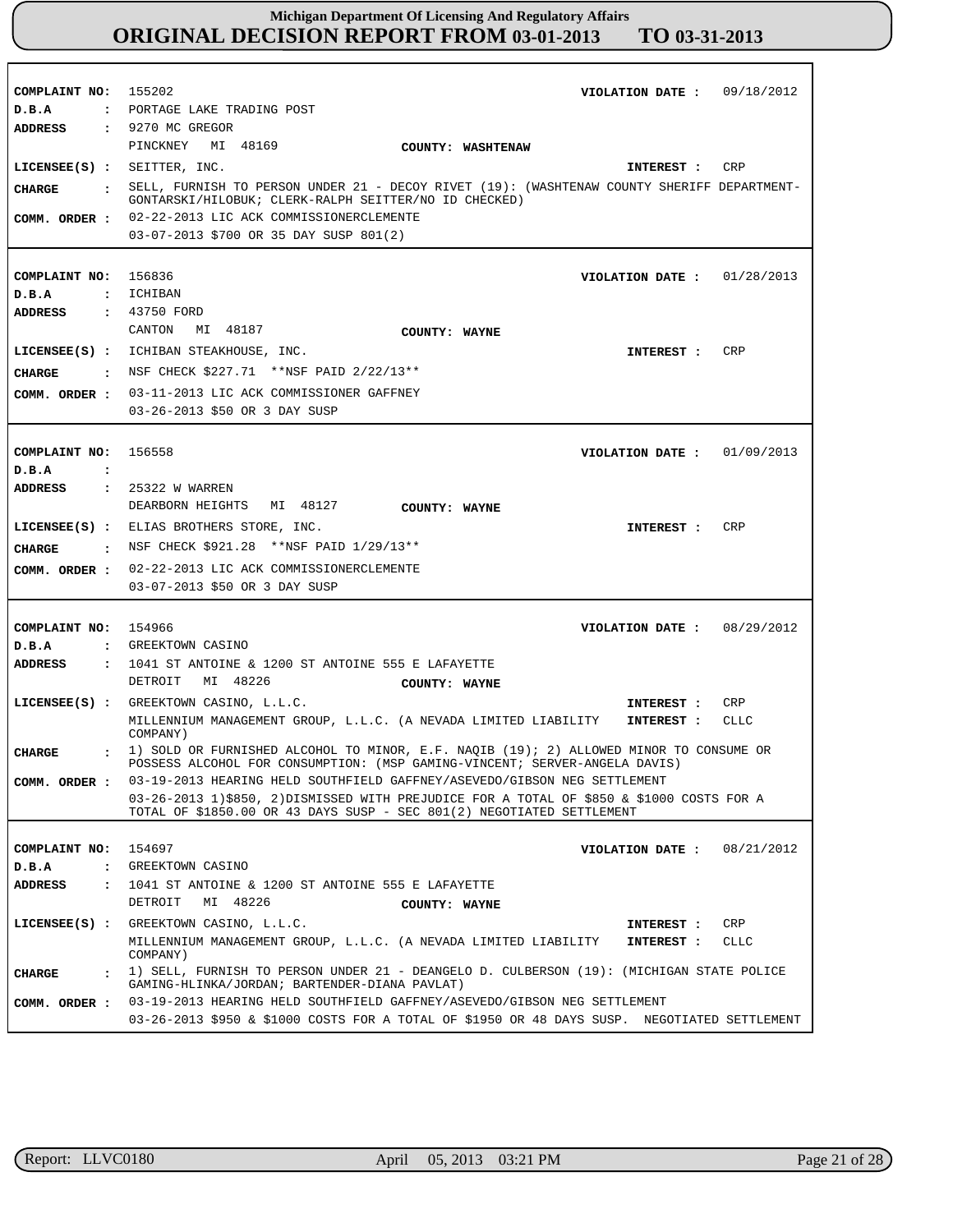| COMPLAINT NO: 155202<br>D.B.A         | VIOLATION DATE: 09/18/2012<br>: PORTAGE LAKE TRADING POST                                                                                                            |
|---------------------------------------|----------------------------------------------------------------------------------------------------------------------------------------------------------------------|
| ADDRESS                               | $: 9270$ MC GREGOR<br>PINCKNEY MI 48169<br>COUNTY: WASHTENAW                                                                                                         |
| LICENSEE(S) : SEITTER, INC.           | CRP<br>INTEREST :                                                                                                                                                    |
| CHARGE                                | . SELL, FURNISH TO PERSON UNDER 21 - DECOY RIVET (19): (WASHTENAW COUNTY SHERIFF DEPARTMENT-<br>GONTARSKI/HILOBUK; CLERK-RALPH SEITTER/NO ID CHECKED)                |
| COMM. ORDER :                         | 02-22-2013 LIC ACK COMMISSIONERCLEMENTE<br>03-07-2013 \$700 OR 35 DAY SUSP 801(2)                                                                                    |
|                                       |                                                                                                                                                                      |
| COMPLAINT NO: 156836                  | VIOLATION DATE: $01/28/2013$                                                                                                                                         |
| D.B.A                                 | : ICHIBAN                                                                                                                                                            |
| ADDRESS                               | : 43750 FORD                                                                                                                                                         |
|                                       | MI 48187<br>CANTON<br>COUNTY: WAYNE                                                                                                                                  |
|                                       | CRP<br>LICENSEE(S) : ICHIBAN STEAKHOUSE, INC.<br>INTEREST :                                                                                                          |
|                                       | <b>CHARGE</b> : NSF CHECK $$227.71$ **NSF PAID $2/22/13$ **                                                                                                          |
| COMM. ORDER :                         | 03-11-2013 LIC ACK COMMISSIONER GAFFNEY                                                                                                                              |
|                                       | 03-26-2013 \$50 OR 3 DAY SUSP                                                                                                                                        |
|                                       |                                                                                                                                                                      |
| COMPLAINT NO: 156558                  | VIOLATION DATE: $01/09/2013$                                                                                                                                         |
| D.B.A<br>$\cdot$ :                    |                                                                                                                                                                      |
| <b>ADDRESS</b>                        | : 25322 W WARREN                                                                                                                                                     |
|                                       | DEARBORN HEIGHTS<br>MI 48127<br>COUNTY: WAYNE                                                                                                                        |
|                                       | LICENSEE(S) : ELIAS BROTHERS STORE, INC.<br>CRP<br>INTEREST :                                                                                                        |
| CHARGE                                | : NSF CHECK \$921.28 **NSF PAID 1/29/13**                                                                                                                            |
| COMM. ORDER :                         | 02-22-2013 LIC ACK COMMISSIONERCLEMENTE                                                                                                                              |
|                                       | 03-07-2013 \$50 OR 3 DAY SUSP                                                                                                                                        |
|                                       |                                                                                                                                                                      |
| COMPLAINT NO: 154966                  | VIOLATION DATE: 08/29/2012                                                                                                                                           |
| D.B.A                                 | : GREEKTOWN CASINO                                                                                                                                                   |
| ADDRESS                               | $\,$ : 1041 ST ANTOINE & 1200 ST ANTOINE 555 E LAFAYETTE                                                                                                             |
|                                       | MI 48226<br>DETROIT<br>COUNTY: WAYNE                                                                                                                                 |
|                                       | LICENSEE(S) : GREEKTOWN CASINO, L.L.C.<br>CRP<br>INTEREST :                                                                                                          |
|                                       | MILLENNIUM MANAGEMENT GROUP, L.L.C. (A NEVADA LIMITED LIABILITY<br>CLLC<br>INTEREST :<br>COMPANY)                                                                    |
| <b>CHARGE</b>                         | 1) SOLD OR FURNISHED ALCOHOL TO MINOR, E.F. NAQIB (19); 2) ALLOWED MINOR TO CONSUME OR<br>POSSESS ALCOHOL FOR CONSUMPTION: (MSP GAMING-VINCENT; SERVER-ANGELA DAVIS) |
| COMM. ORDER :                         | 03-19-2013 HEARING HELD SOUTHFIELD GAFFNEY/ASEVEDO/GIBSON NEG SETTLEMENT                                                                                             |
|                                       | 03-26-2013 1)\$850, 2)DISMISSED WITH PREJUDICE FOR A TOTAL OF \$850 & \$1000 COSTS FOR A<br>TOTAL OF \$1850.00 OR 43 DAYS SUSP - SEC 801(2) NEGOTIATED SETTLEMENT    |
|                                       | 154697<br>08/21/2012                                                                                                                                                 |
| COMPLAINT NO:<br>D.B.A                | VIOLATION DATE :<br>: GREEKTOWN CASINO                                                                                                                               |
| ADDRESS<br>$\mathbf{r}$               | 1041 ST ANTOINE & 1200 ST ANTOINE 555 E LAFAYETTE                                                                                                                    |
|                                       | DETROIT<br>MI 48226<br>COUNTY: WAYNE                                                                                                                                 |
|                                       | LICENSEE(S) : GREEKTOWN CASINO, L.L.C.<br>CRP<br>INTEREST :                                                                                                          |
|                                       | MILLENNIUM MANAGEMENT GROUP, L.L.C. (A NEVADA LIMITED LIABILITY<br><b>CLLC</b><br>INTEREST :<br>COMPANY)                                                             |
| <b>CHARGE</b><br>$\ddot{\phantom{a}}$ | 1) SELL, FURNISH TO PERSON UNDER 21 - DEANGELO D. CULBERSON (19): (MICHIGAN STATE POLICE<br>GAMING-HLINKA/JORDAN; BARTENDER-DIANA PAVLAT)                            |
| COMM. ORDER :                         | 03-19-2013 HEARING HELD SOUTHFIELD GAFFNEY/ASEVEDO/GIBSON NEG SETTLEMENT                                                                                             |
|                                       | 03-26-2013 \$950 & \$1000 COSTS FOR A TOTAL OF \$1950 OR 48 DAYS SUSP. NEGOTIATED SETTLEMENT                                                                         |

r

٦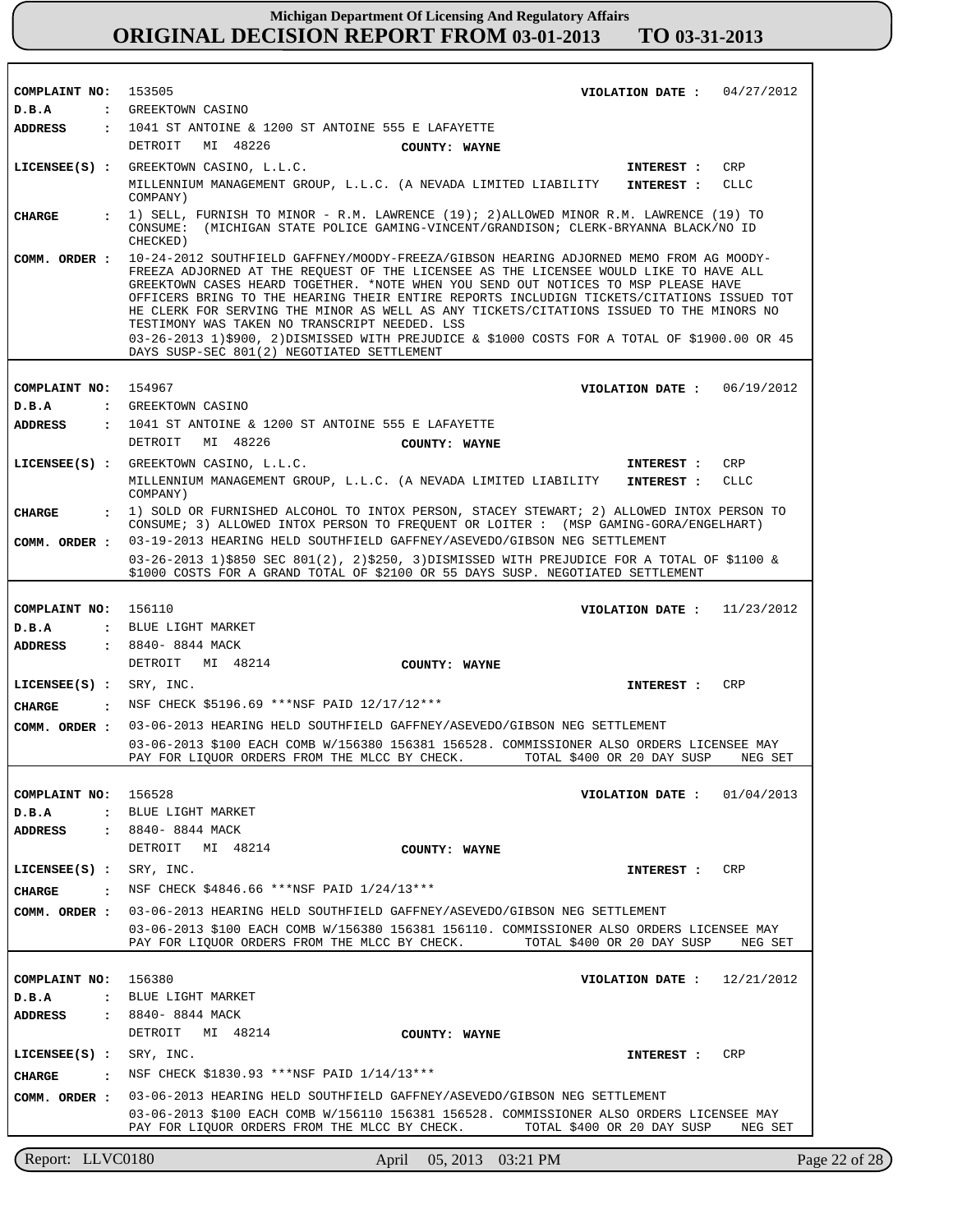T.

| COMPLAINT NO: 153505      |                      |                                                                                                                                                                                                                                                                                                                                                                                                                                                                                                                                                                                                                                                              | VIOLATION DATE : $04/27/2012$ |               |
|---------------------------|----------------------|--------------------------------------------------------------------------------------------------------------------------------------------------------------------------------------------------------------------------------------------------------------------------------------------------------------------------------------------------------------------------------------------------------------------------------------------------------------------------------------------------------------------------------------------------------------------------------------------------------------------------------------------------------------|-------------------------------|---------------|
| D.B.A                     |                      | : GREEKTOWN CASINO                                                                                                                                                                                                                                                                                                                                                                                                                                                                                                                                                                                                                                           |                               |               |
| ADDRESS                   |                      | : 1041 ST ANTOINE & 1200 ST ANTOINE 555 E LAFAYETTE                                                                                                                                                                                                                                                                                                                                                                                                                                                                                                                                                                                                          |                               |               |
|                           |                      | MI 48226<br>DETROIT<br>COUNTY: WAYNE                                                                                                                                                                                                                                                                                                                                                                                                                                                                                                                                                                                                                         |                               |               |
|                           |                      | LICENSEE(S) : GREEKTOWN CASINO, L.L.C.                                                                                                                                                                                                                                                                                                                                                                                                                                                                                                                                                                                                                       | INTEREST :                    | CRP           |
|                           |                      | MILLENNIUM MANAGEMENT GROUP, L.L.C. (A NEVADA LIMITED LIABILITY<br>COMPANY)                                                                                                                                                                                                                                                                                                                                                                                                                                                                                                                                                                                  | INTEREST :                    | CLLC          |
| <b>CHARGE</b>             |                      | : 1) SELL, FURNISH TO MINOR - R.M. LAWRENCE (19); 2) ALLOWED MINOR R.M. LAWRENCE (19) TO<br>CONSUME: (MICHIGAN STATE POLICE GAMING-VINCENT/GRANDISON; CLERK-BRYANNA BLACK/NO ID<br>CHECKED)                                                                                                                                                                                                                                                                                                                                                                                                                                                                  |                               |               |
| COMM. ORDER :             |                      | -10-24-2012 SOUTHFIELD GAFFNEY/MOODY-FREEZA/GIBSON HEARING ADJORNED MEMO FROM AG MOODY<br>FREEZA ADJORNED AT THE REQUEST OF THE LICENSEE AS THE LICENSEE WOULD LIKE TO HAVE ALL<br>GREEKTOWN CASES HEARD TOGETHER. *NOTE WHEN YOU SEND OUT NOTICES TO MSP PLEASE HAVE<br>OFFICERS BRING TO THE HEARING THEIR ENTIRE REPORTS INCLUDIGN TICKETS/CITATIONS ISSUED TOT<br>HE CLERK FOR SERVING THE MINOR AS WELL AS ANY TICKETS/CITATIONS ISSUED TO THE MINORS NO<br>TESTIMONY WAS TAKEN NO TRANSCRIPT NEEDED. LSS<br>03-26-2013 1)\$900, 2)DISMISSED WITH PREJUDICE & \$1000 COSTS FOR A TOTAL OF \$1900.00 OR 45<br>DAYS SUSP-SEC 801(2) NEGOTIATED SETTLEMENT |                               |               |
|                           |                      |                                                                                                                                                                                                                                                                                                                                                                                                                                                                                                                                                                                                                                                              |                               |               |
| COMPLAINT NO:             |                      | 154967                                                                                                                                                                                                                                                                                                                                                                                                                                                                                                                                                                                                                                                       | VIOLATION DATE : $06/19/2012$ |               |
| D.B.A                     |                      | : GREEKTOWN CASINO                                                                                                                                                                                                                                                                                                                                                                                                                                                                                                                                                                                                                                           |                               |               |
| ADDRESS                   |                      | : 1041 ST ANTOINE & 1200 ST ANTOINE 555 E LAFAYETTE                                                                                                                                                                                                                                                                                                                                                                                                                                                                                                                                                                                                          |                               |               |
|                           |                      | MI 48226<br>DETROIT<br>COUNTY: WAYNE                                                                                                                                                                                                                                                                                                                                                                                                                                                                                                                                                                                                                         |                               |               |
|                           |                      | LICENSEE(S) : GREEKTOWN CASINO, L.L.C.                                                                                                                                                                                                                                                                                                                                                                                                                                                                                                                                                                                                                       | INTEREST :                    | CRP           |
|                           |                      | MILLENNIUM MANAGEMENT GROUP, L.L.C. (A NEVADA LIMITED LIABILITY<br>COMPANY)                                                                                                                                                                                                                                                                                                                                                                                                                                                                                                                                                                                  | <b>INTEREST :</b>             | <b>CLLC</b>   |
| <b>CHARGE</b>             |                      | : 1) SOLD OR FURNISHED ALCOHOL TO INTOX PERSON, STACEY STEWART; 2) ALLOWED INTOX PERSON TO<br>CONSUME; 3) ALLOWED INTOX PERSON TO FREQUENT OR LOITER : (MSP GAMING-GORA/ENGELHART)                                                                                                                                                                                                                                                                                                                                                                                                                                                                           |                               |               |
|                           |                      | COMM. ORDER : 03-19-2013 HEARING HELD SOUTHFIELD GAFFNEY/ASEVEDO/GIBSON NEG SETTLEMENT                                                                                                                                                                                                                                                                                                                                                                                                                                                                                                                                                                       |                               |               |
|                           |                      | 03-26-2013 1)\$850 SEC 801(2), 2)\$250, 3)DISMISSED WITH PREJUDICE FOR A TOTAL OF \$1100 &<br>\$1000 COSTS FOR A GRAND TOTAL OF \$2100 OR 55 DAYS SUSP. NEGOTIATED SETTLEMENT                                                                                                                                                                                                                                                                                                                                                                                                                                                                                |                               |               |
|                           |                      |                                                                                                                                                                                                                                                                                                                                                                                                                                                                                                                                                                                                                                                              |                               |               |
| COMPLAINT NO: 156110      |                      |                                                                                                                                                                                                                                                                                                                                                                                                                                                                                                                                                                                                                                                              | VIOLATION DATE: $11/23/2012$  |               |
| D.B.A                     |                      | : BLUE LIGHT MARKET                                                                                                                                                                                                                                                                                                                                                                                                                                                                                                                                                                                                                                          |                               |               |
| ADDRESS                   |                      | : 8840- 8844 MACK                                                                                                                                                                                                                                                                                                                                                                                                                                                                                                                                                                                                                                            |                               |               |
|                           |                      | DETROIT MI 48214<br>COUNTY: WAYNE                                                                                                                                                                                                                                                                                                                                                                                                                                                                                                                                                                                                                            |                               |               |
| $LICENSEE(S) :$ SRY, INC. |                      |                                                                                                                                                                                                                                                                                                                                                                                                                                                                                                                                                                                                                                                              | <b>INTEREST :</b>             | CRP           |
| CHARGE                    |                      | . NSF CHECK \$5196.69 ***NSF PAID $12/17/12$ ***                                                                                                                                                                                                                                                                                                                                                                                                                                                                                                                                                                                                             |                               |               |
|                           |                      |                                                                                                                                                                                                                                                                                                                                                                                                                                                                                                                                                                                                                                                              |                               |               |
|                           |                      | COMM. ORDER : 03-06-2013 HEARING HELD SOUTHFIELD GAFFNEY/ASEVEDO/GIBSON NEG SETTLEMENT                                                                                                                                                                                                                                                                                                                                                                                                                                                                                                                                                                       |                               |               |
|                           |                      | 03-06-2013 \$100 EACH COMB W/156380 156381 156528. COMMISSIONER ALSO ORDERS LICENSEE MAY<br>PAY FOR LIQUOR ORDERS FROM THE MLCC BY CHECK.                                                                                                                                                                                                                                                                                                                                                                                                                                                                                                                    | TOTAL \$400 OR 20 DAY SUSP    | NEG SET       |
|                           |                      |                                                                                                                                                                                                                                                                                                                                                                                                                                                                                                                                                                                                                                                              |                               |               |
| COMPLAINT NO:             |                      | 156528                                                                                                                                                                                                                                                                                                                                                                                                                                                                                                                                                                                                                                                       | VIOLATION DATE :              | 01/04/2013    |
| D.B.A                     | $\mathbf{r}$         | BLUE LIGHT MARKET                                                                                                                                                                                                                                                                                                                                                                                                                                                                                                                                                                                                                                            |                               |               |
| ADDRESS                   |                      | : 8840- 8844 MACK                                                                                                                                                                                                                                                                                                                                                                                                                                                                                                                                                                                                                                            |                               |               |
|                           |                      | DETROIT<br>MI 48214<br>COUNTY: WAYNE                                                                                                                                                                                                                                                                                                                                                                                                                                                                                                                                                                                                                         |                               |               |
| LICENSE (S) :             |                      | SRY, INC.                                                                                                                                                                                                                                                                                                                                                                                                                                                                                                                                                                                                                                                    | INTEREST :                    | CRP           |
| <b>CHARGE</b>             | $\mathbf{r}$         | NSF CHECK \$4846.66 ***NSF PAID 1/24/13***                                                                                                                                                                                                                                                                                                                                                                                                                                                                                                                                                                                                                   |                               |               |
| COMM. ORDER :             |                      | 03-06-2013 HEARING HELD SOUTHFIELD GAFFNEY/ASEVEDO/GIBSON NEG SETTLEMENT                                                                                                                                                                                                                                                                                                                                                                                                                                                                                                                                                                                     |                               |               |
|                           |                      | 03-06-2013 \$100 EACH COMB W/156380 156381 156110. COMMISSIONER ALSO ORDERS LICENSEE MAY<br>PAY FOR LIQUOR ORDERS FROM THE MLCC BY CHECK.                                                                                                                                                                                                                                                                                                                                                                                                                                                                                                                    | TOTAL \$400 OR 20 DAY SUSP    | NEG SET       |
|                           |                      |                                                                                                                                                                                                                                                                                                                                                                                                                                                                                                                                                                                                                                                              |                               |               |
| COMPLAINT NO:             |                      | 156380                                                                                                                                                                                                                                                                                                                                                                                                                                                                                                                                                                                                                                                       | VIOLATION DATE :              | 12/21/2012    |
| D.B.A                     | $\ddot{\phantom{a}}$ | BLUE LIGHT MARKET                                                                                                                                                                                                                                                                                                                                                                                                                                                                                                                                                                                                                                            |                               |               |
| <b>ADDRESS</b>            |                      | : 8840- 8844 MACK                                                                                                                                                                                                                                                                                                                                                                                                                                                                                                                                                                                                                                            |                               |               |
|                           |                      |                                                                                                                                                                                                                                                                                                                                                                                                                                                                                                                                                                                                                                                              |                               |               |
|                           |                      | DETROIT MI 48214<br>COUNTY: WAYNE                                                                                                                                                                                                                                                                                                                                                                                                                                                                                                                                                                                                                            |                               |               |
| $LICENSEE(S)$ :           |                      | SRY, INC.                                                                                                                                                                                                                                                                                                                                                                                                                                                                                                                                                                                                                                                    | INTEREST :                    | CRP           |
| <b>CHARGE</b>             |                      | NSF CHECK \$1830.93 ***NSF PAID 1/14/13***                                                                                                                                                                                                                                                                                                                                                                                                                                                                                                                                                                                                                   |                               |               |
| COMM. ORDER :             |                      | 03-06-2013 HEARING HELD SOUTHFIELD GAFFNEY/ASEVEDO/GIBSON NEG SETTLEMENT                                                                                                                                                                                                                                                                                                                                                                                                                                                                                                                                                                                     |                               |               |
|                           |                      | 03-06-2013 \$100 EACH COMB W/156110 156381 156528. COMMISSIONER ALSO ORDERS LICENSEE MAY                                                                                                                                                                                                                                                                                                                                                                                                                                                                                                                                                                     |                               |               |
|                           |                      | PAY FOR LIQUOR ORDERS FROM THE MLCC BY CHECK.                                                                                                                                                                                                                                                                                                                                                                                                                                                                                                                                                                                                                | TOTAL \$400 OR 20 DAY SUSP    | NEG SET       |
| Report: LLVC0180          |                      |                                                                                                                                                                                                                                                                                                                                                                                                                                                                                                                                                                                                                                                              |                               | Page 22 of 28 |
|                           |                      | April                                                                                                                                                                                                                                                                                                                                                                                                                                                                                                                                                                                                                                                        | 05, 2013 03:21 PM             |               |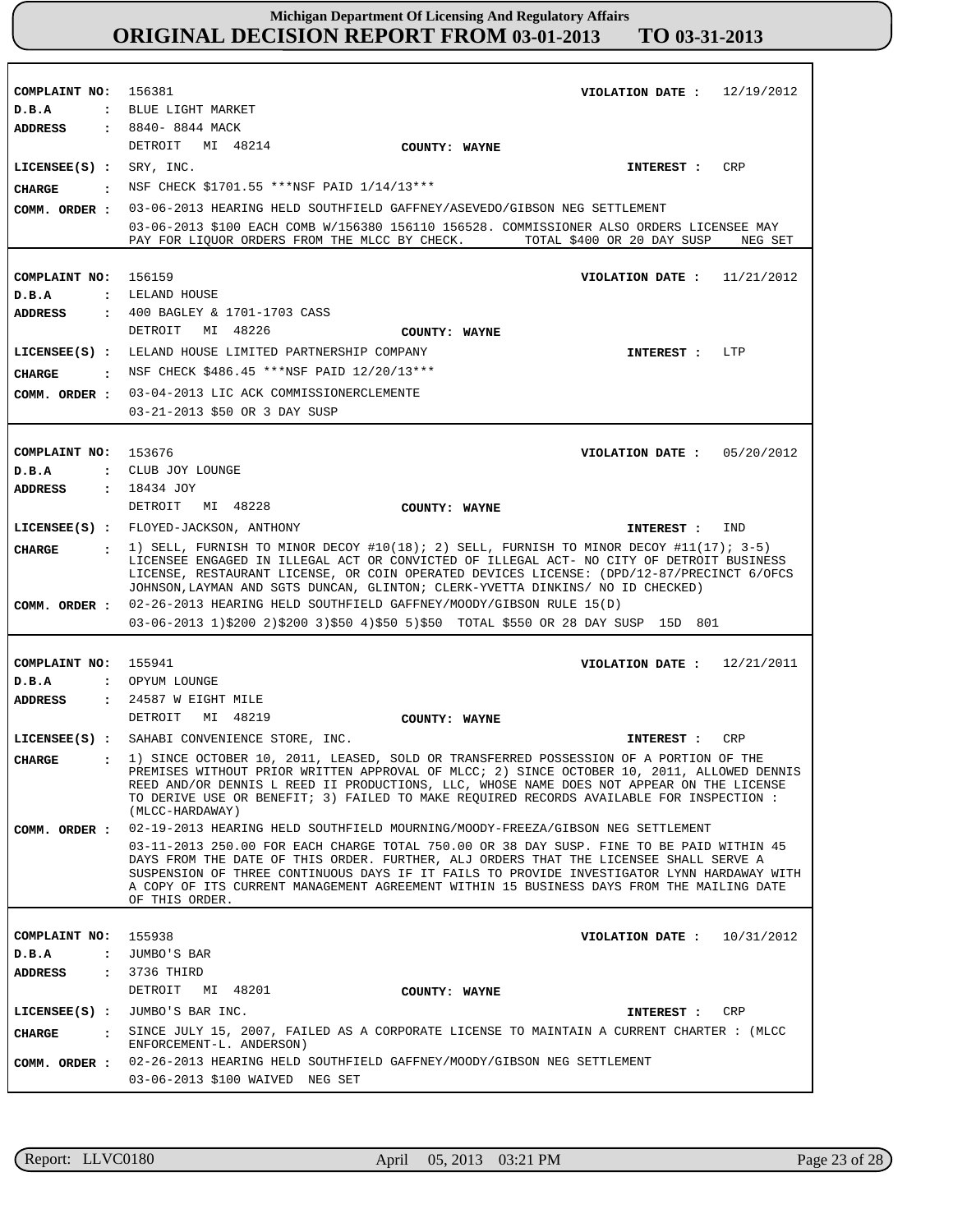**COMPLAINT NO: COMPLAINT NO:** 156159 **COMPLAINT NO: COMPLAINT NO:** 155941 **COMPLAINT NO:** 156381 153676 155938 **VIOLATION DATE : VIOLATION DATE : VIOLATION DATE : VIOLATION DATE : VIOLATION DATE :** 12/19/2012 11/21/2012 05/20/2012 12/21/2011 10/31/2012 **D.B.A : D.B.A : D.B.A : D.B.A : D.B.A :** BLUE LIGHT MARKET LELAND HOUSE CLUB JOY LOUNGE OPYUM LOUNGE JUMBO'S BAR **ADDRESS : ADDRESS : ADDRESS : ADDRESS : ADDRESS :** 8840- 8844 MACK 400 BAGLEY & 1701-1703 CASS 18434 JOY 24587 W EIGHT MILE 3736 THIRD DETROIT MI 48214 DETROIT MI 48226 DETROIT MI 48228 DETROIT MI 48219 DETROIT MI 48201 03-06-2013 HEARING HELD SOUTHFIELD GAFFNEY/ASEVEDO/GIBSON NEG SETTLEMENT 03-06-2013 \$100 EACH COMB W/156380 156110 156528. COMMISSIONER ALSO ORDERS LICENSEE MAY PAY FOR LIQUOR ORDERS FROM THE MLCC BY CHECK. TOTAL \$400 OR 20 DAY SUSP NEG SET 03-04-2013 LIC ACK COMMISSIONERCLEMENTE 03-21-2013 \$50 OR 3 DAY SUSP 02-26-2013 HEARING HELD SOUTHFIELD GAFFNEY/MOODY/GIBSON RULE 15(D) 03-06-2013 1)\$200 2)\$200 3)\$50 4)\$50 5)\$50 TOTAL \$550 OR 28 DAY SUSP 15D 801 02-19-2013 HEARING HELD SOUTHFIELD MOURNING/MOODY-FREEZA/GIBSON NEG SETTLEMENT 03-11-2013 250.00 FOR EACH CHARGE TOTAL 750.00 OR 38 DAY SUSP. FINE TO BE PAID WITHIN 45 DAYS FROM THE DATE OF THIS ORDER. FURTHER, ALJ ORDERS THAT THE LICENSEE SHALL SERVE A SUSPENSION OF THREE CONTINUOUS DAYS IF IT FAILS TO PROVIDE INVESTIGATOR LYNN HARDAWAY WITH A COPY OF ITS CURRENT MANAGEMENT AGREEMENT WITHIN 15 BUSINESS DAYS FROM THE MAILING DATE OF THIS ORDER. 02-26-2013 HEARING HELD SOUTHFIELD GAFFNEY/MOODY/GIBSON NEG SETTLEMENT 03-06-2013 \$100 WAIVED NEG SET **LICENSEE(S) : LICENSEE(S) :** LELAND HOUSE LIMITED PARTNERSHIP COMPANY **LICENSEE(S) :** FLOYED-JACKSON, ANTHONY **LICENSEE(S) :** SAHABI CONVENIENCE STORE, INC. **LICENSEE(S) :** JUMBO'S BAR INC. SRY, INC. CRP LTP IND CRP CRP **CHARGE : CHARGE : CHARGE : CHARGE : CHARGE :** NSF CHECK \$1701.55 \*\*\*NSF PAID 1/14/13\*\*\* : NSF CHECK \$486.45 \*\*\*NSF PAID 12/20/13\*\*\* 1) SELL, FURNISH TO MINOR DECOY #10(18); 2) SELL, FURNISH TO MINOR DECOY #11(17); 3-5) LICENSEE ENGAGED IN ILLEGAL ACT OR CONVICTED OF ILLEGAL ACT- NO CITY OF DETROIT BUSINESS LICENSE, RESTAURANT LICENSE, OR COIN OPERATED DEVICES LICENSE: (DPD/12-87/PRECINCT 6/OFCS JOHNSON,LAYMAN AND SGTS DUNCAN, GLINTON; CLERK-YVETTA DINKINS/ NO ID CHECKED) 1) SINCE OCTOBER 10, 2011, LEASED, SOLD OR TRANSFERRED POSSESSION OF A PORTION OF THE PREMISES WITHOUT PRIOR WRITTEN APPROVAL OF MLCC; 2) SINCE OCTOBER 10, 2011, ALLOWED DENNIS REED AND/OR DENNIS L REED II PRODUCTIONS, LLC, WHOSE NAME DOES NOT APPEAR ON THE LICENSE TO DERIVE USE OR BENEFIT; 3) FAILED TO MAKE REQUIRED RECORDS AVAILABLE FOR INSPECTION : (MLCC-HARDAWAY) SINCE JULY 15, 2007, FAILED AS A CORPORATE LICENSE TO MAINTAIN A CURRENT CHARTER : (MLCC ENFORCEMENT-L. ANDERSON) **INTEREST : INTEREST : INTEREST : INTEREST : INTEREST : COMM. ORDER : COMM. ORDER : COMM. ORDER : COMM. ORDER : COMM. ORDER : COUNTY: WAYNE COUNTY: WAYNE COUNTY: WAYNE COUNTY: WAYNE COUNTY: WAYNE**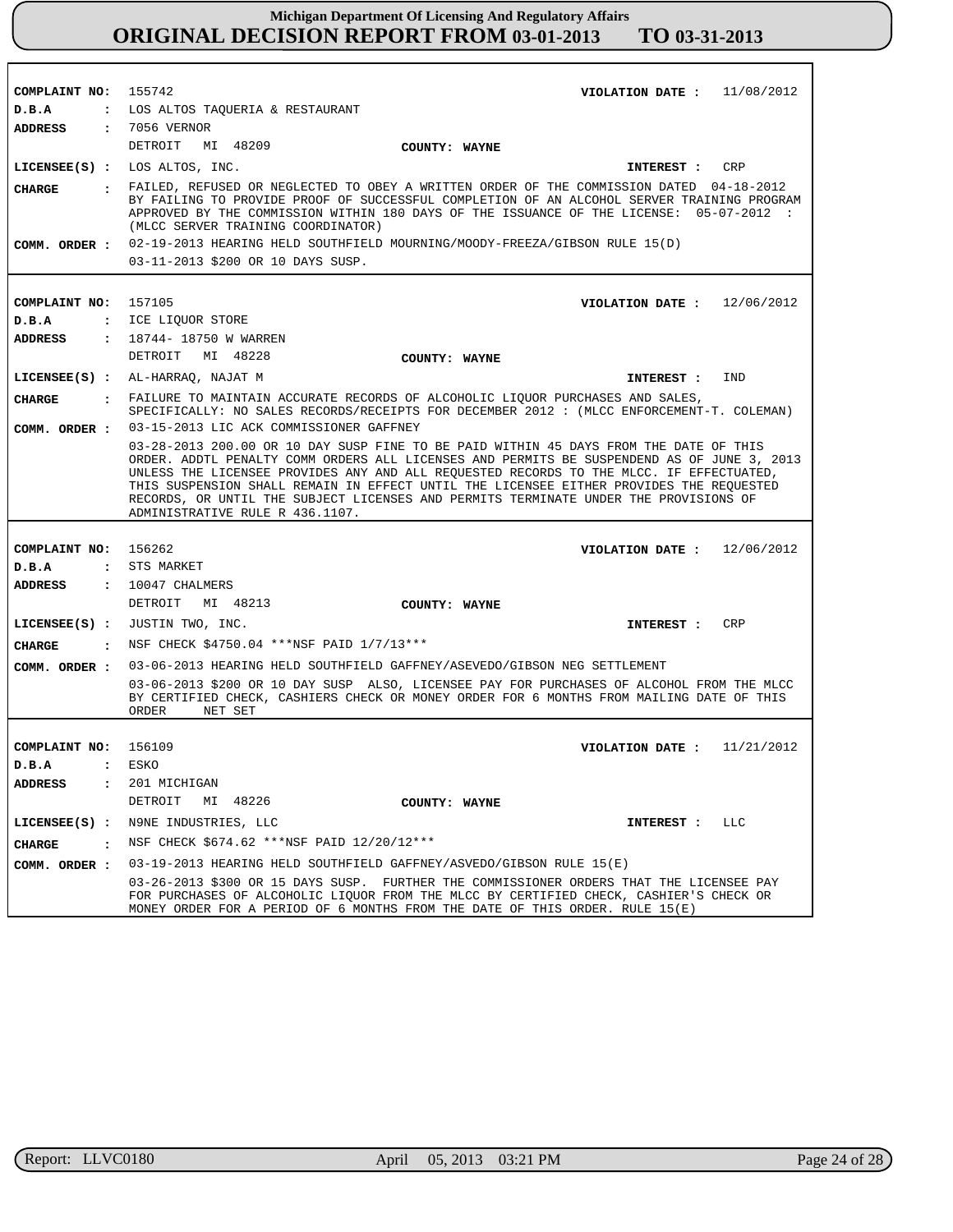| COMPLAINT NO: 155742      | VIOLATION DATE : $11/08/2012$                                                                                                                                                                                                                                                                                                                                                                                                                                                                        |
|---------------------------|------------------------------------------------------------------------------------------------------------------------------------------------------------------------------------------------------------------------------------------------------------------------------------------------------------------------------------------------------------------------------------------------------------------------------------------------------------------------------------------------------|
| D.B.A                     | : LOS ALTOS TAQUERIA & RESTAURANT                                                                                                                                                                                                                                                                                                                                                                                                                                                                    |
| <b>ADDRESS</b>            | : 7056 VERNOR                                                                                                                                                                                                                                                                                                                                                                                                                                                                                        |
|                           | DETROIT<br>MI 48209<br>COUNTY: WAYNE                                                                                                                                                                                                                                                                                                                                                                                                                                                                 |
|                           | LICENSEE(S) : LOS ALTOS, INC.<br>CRP<br>INTEREST :                                                                                                                                                                                                                                                                                                                                                                                                                                                   |
| <b>CHARGE</b>             | : FAILED, REFUSED OR NEGLECTED TO OBEY A WRITTEN ORDER OF THE COMMISSION DATED 04-18-2012<br>BY FAILING TO PROVIDE PROOF OF SUCCESSFUL COMPLETION OF AN ALCOHOL SERVER TRAINING PROGRAM<br>APPROVED BY THE COMMISSION WITHIN 180 DAYS OF THE ISSUANCE OF THE LICENSE: 05-07-2012 :<br>(MLCC SERVER TRAINING COORDINATOR)                                                                                                                                                                             |
|                           | COMM. ORDER : 02-19-2013 HEARING HELD SOUTHFIELD MOURNING/MOODY-FREEZA/GIBSON RULE 15(D)                                                                                                                                                                                                                                                                                                                                                                                                             |
|                           | 03-11-2013 \$200 OR 10 DAYS SUSP.                                                                                                                                                                                                                                                                                                                                                                                                                                                                    |
|                           |                                                                                                                                                                                                                                                                                                                                                                                                                                                                                                      |
| COMPLAINT NO:             | 157105<br>VIOLATION DATE: $12/06/2012$                                                                                                                                                                                                                                                                                                                                                                                                                                                               |
| D.B.A                     | : ICE LIQUOR STORE                                                                                                                                                                                                                                                                                                                                                                                                                                                                                   |
| ADDRESS                   | : 18744- 18750 W WARREN                                                                                                                                                                                                                                                                                                                                                                                                                                                                              |
|                           | DETROIT MI 48228<br>COUNTY: WAYNE                                                                                                                                                                                                                                                                                                                                                                                                                                                                    |
|                           | LICENSEE(S) : AL-HARRAQ, NAJAT M<br>IND<br>INTEREST :                                                                                                                                                                                                                                                                                                                                                                                                                                                |
| CIIARGE                   | . FAILURE TO MAINTAIN ACCURATE RECORDS OF ALCOHOLIC LIQUOR PURCHASES AND SALES,                                                                                                                                                                                                                                                                                                                                                                                                                      |
|                           | SPECIFICALLY: NO SALES RECORDS/RECEIPTS FOR DECEMBER 2012 : (MLCC ENFORCEMENT-T. COLEMAN)                                                                                                                                                                                                                                                                                                                                                                                                            |
|                           | COMM. ORDER : 03-15-2013 LIC ACK COMMISSIONER GAFFNEY                                                                                                                                                                                                                                                                                                                                                                                                                                                |
|                           | 03-28-2013 200.00 OR 10 DAY SUSP FINE TO BE PAID WITHIN 45 DAYS FROM THE DATE OF THIS<br>ORDER. ADDTL PENALTY COMM ORDERS ALL LICENSES AND PERMITS BE SUSPENDEND AS OF JUNE 3, 2013<br>UNLESS THE LICENSEE PROVIDES ANY AND ALL REQUESTED RECORDS TO THE MLCC. IF EFFECTUATED,<br>THIS SUSPENSION SHALL REMAIN IN EFFECT UNTIL THE LICENSEE EITHER PROVIDES THE REQUESTED<br>RECORDS, OR UNTIL THE SUBJECT LICENSES AND PERMITS TERMINATE UNDER THE PROVISIONS OF<br>ADMINISTRATIVE RULE R 436.1107. |
|                           |                                                                                                                                                                                                                                                                                                                                                                                                                                                                                                      |
| COMPLAINT NO: 156262      | VIOLATION DATE: $12/06/2012$                                                                                                                                                                                                                                                                                                                                                                                                                                                                         |
| D.B.A                     | : STS MARKET                                                                                                                                                                                                                                                                                                                                                                                                                                                                                         |
| <b>ADDRESS</b>            | : 10047 CHALMERS                                                                                                                                                                                                                                                                                                                                                                                                                                                                                     |
|                           | DETROIT MI 48213<br>COUNTY: WAYNE                                                                                                                                                                                                                                                                                                                                                                                                                                                                    |
|                           | LICENSEE(S) : JUSTIN TWO, INC.<br><b>CRP</b><br>INTEREST :                                                                                                                                                                                                                                                                                                                                                                                                                                           |
| <b>CHARGE</b>             | : NSF CHECK \$4750.04 *** NSF PAID 1/7/13 ***                                                                                                                                                                                                                                                                                                                                                                                                                                                        |
| COMM. ORDER :             | 03-06-2013 HEARING HELD SOUTHFIELD GAFFNEY/ASEVEDO/GIBSON NEG SETTLEMENT                                                                                                                                                                                                                                                                                                                                                                                                                             |
|                           | 03-06-2013 \$200 OR 10 DAY SUSP ALSO, LICENSEE PAY FOR PURCHASES OF ALCOHOL FROM THE MLCC<br>BY CERTIFIED CHECK, CASHIERS CHECK OR MONEY ORDER FOR 6 MONTHS FROM MAILING DATE OF THIS<br>ORDER<br>NET SET                                                                                                                                                                                                                                                                                            |
|                           |                                                                                                                                                                                                                                                                                                                                                                                                                                                                                                      |
| COMPLAINT NO: 156109      | VIOLATION DATE: $11/21/2012$                                                                                                                                                                                                                                                                                                                                                                                                                                                                         |
| D.B.A<br>$\ddot{\cdot}$   | ESKO                                                                                                                                                                                                                                                                                                                                                                                                                                                                                                 |
| <b>ADDRESS</b><br>$\cdot$ | 201 MICHIGAN                                                                                                                                                                                                                                                                                                                                                                                                                                                                                         |
|                           | DETROIT<br>MI 48226<br>COUNTY: WAYNE                                                                                                                                                                                                                                                                                                                                                                                                                                                                 |
| $LICENSEE(S)$ :           | N9NE INDUSTRIES, LLC<br>INTEREST : LLC                                                                                                                                                                                                                                                                                                                                                                                                                                                               |
| <b>CHARGE</b><br>$\cdot$  | NSF CHECK \$674.62 ***NSF PAID 12/20/12***                                                                                                                                                                                                                                                                                                                                                                                                                                                           |
| COMM. ORDER :             | 03-19-2013 HEARING HELD SOUTHFIELD GAFFNEY/ASVEDO/GIBSON RULE 15(E)                                                                                                                                                                                                                                                                                                                                                                                                                                  |
|                           | 03-26-2013 \$300 OR 15 DAYS SUSP. FURTHER THE COMMISSIONER ORDERS THAT THE LICENSEE PAY<br>FOR PURCHASES OF ALCOHOLIC LIOUOR FROM THE MLCC BY CERTIFIED CHECK, CASHIER'S CHECK OR<br>MONEY ORDER FOR A PERIOD OF 6 MONTHS FROM THE DATE OF THIS ORDER. RULE 15(E)                                                                                                                                                                                                                                    |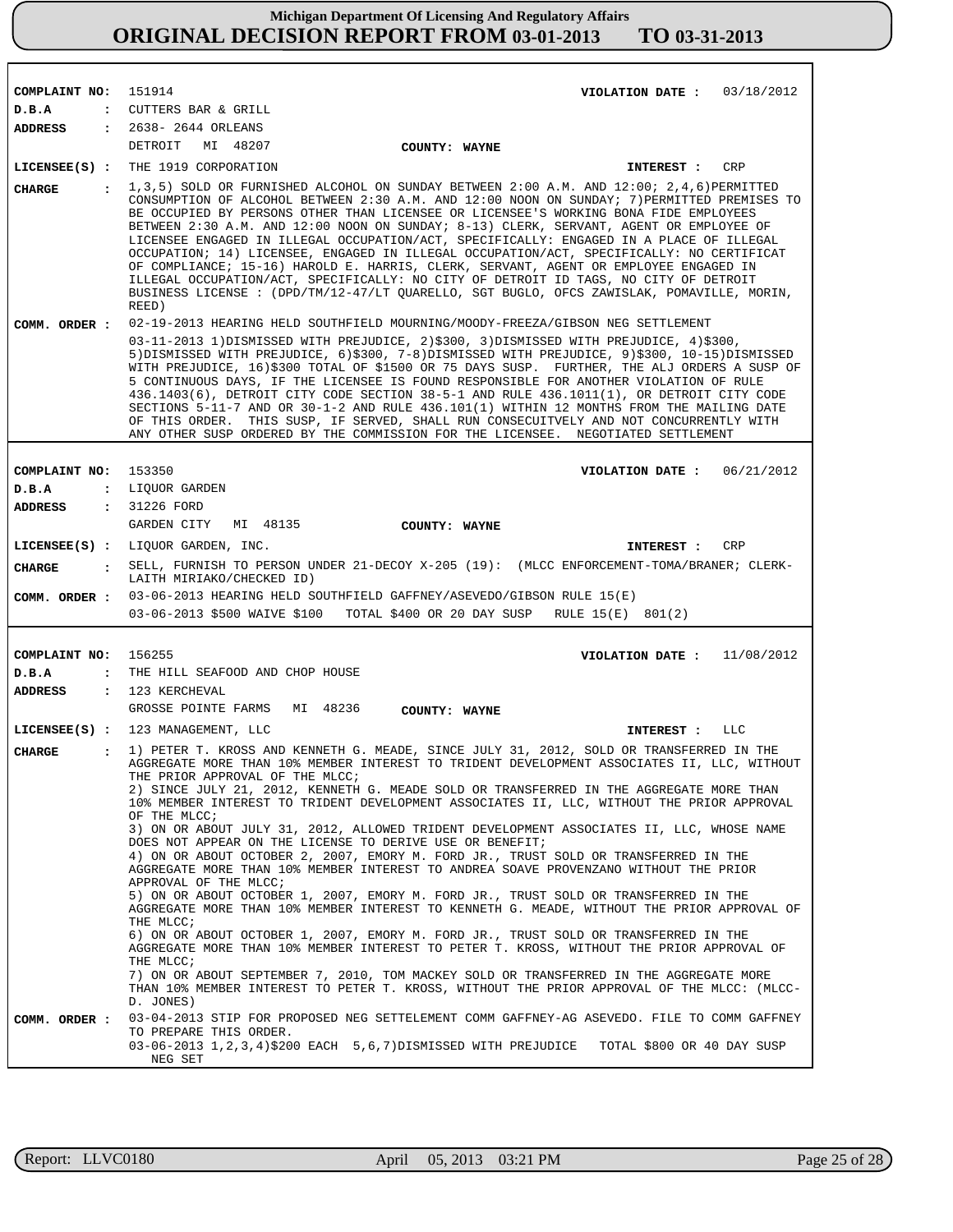| COMPLAINT NO:                 | 151914<br>VIOLATION DATE: $03/18/2012$                                                                                                                                                                                                                                                                                                                                                                                                                                                                                                                                                                                                                                                                                                                                                                                                                                                                                                                              |
|-------------------------------|---------------------------------------------------------------------------------------------------------------------------------------------------------------------------------------------------------------------------------------------------------------------------------------------------------------------------------------------------------------------------------------------------------------------------------------------------------------------------------------------------------------------------------------------------------------------------------------------------------------------------------------------------------------------------------------------------------------------------------------------------------------------------------------------------------------------------------------------------------------------------------------------------------------------------------------------------------------------|
| D.B.A                         | : CUTTERS BAR & GRILL                                                                                                                                                                                                                                                                                                                                                                                                                                                                                                                                                                                                                                                                                                                                                                                                                                                                                                                                               |
| ADDRESS                       | : 2638- 2644 ORLEANS                                                                                                                                                                                                                                                                                                                                                                                                                                                                                                                                                                                                                                                                                                                                                                                                                                                                                                                                                |
|                               | DETROIT MI 48207<br>COUNTY: WAYNE                                                                                                                                                                                                                                                                                                                                                                                                                                                                                                                                                                                                                                                                                                                                                                                                                                                                                                                                   |
|                               | LICENSEE(S) : THE 1919 CORPORATION<br>CRP<br><b>INTEREST :</b>                                                                                                                                                                                                                                                                                                                                                                                                                                                                                                                                                                                                                                                                                                                                                                                                                                                                                                      |
| <b>CHARGE</b><br>$\mathbf{r}$ | $1,3,5$ ) SOLD OR FURNISHED ALCOHOL ON SUNDAY BETWEEN 2:00 A.M. AND $12:00$ ; 2,4,6) PERMITTED<br>CONSUMPTION OF ALCOHOL BETWEEN 2:30 A.M. AND 12:00 NOON ON SUNDAY; 7) PERMITTED PREMISES TO<br>BE OCCUPIED BY PERSONS OTHER THAN LICENSEE OR LICENSEE'S WORKING BONA FIDE EMPLOYEES<br>BETWEEN 2:30 A.M. AND 12:00 NOON ON SUNDAY; 8-13) CLERK, SERVANT, AGENT OR EMPLOYEE OF<br>LICENSEE ENGAGED IN ILLEGAL OCCUPATION/ACT, SPECIFICALLY: ENGAGED IN A PLACE OF ILLEGAL<br>OCCUPATION; 14) LICENSEE, ENGAGED IN ILLEGAL OCCUPATION/ACT, SPECIFICALLY: NO CERTIFICAT<br>OF COMPLIANCE; 15-16) HAROLD E. HARRIS, CLERK, SERVANT, AGENT OR EMPLOYEE ENGAGED IN<br>ILLEGAL OCCUPATION/ACT, SPECIFICALLY: NO CITY OF DETROIT ID TAGS, NO CITY OF DETROIT<br>BUSINESS LICENSE : (DPD/TM/12-47/LT QUARELLO, SGT BUGLO, OFCS ZAWISLAK, POMAVILLE, MORIN,<br>REED)                                                                                                        |
| COMM. ORDER :                 | 02-19-2013 HEARING HELD SOUTHFIELD MOURNING/MOODY-FREEZA/GIBSON NEG SETTLEMENT                                                                                                                                                                                                                                                                                                                                                                                                                                                                                                                                                                                                                                                                                                                                                                                                                                                                                      |
|                               | 03-11-2013 1)DISMISSED WITH PREJUDICE, 2)\$300, 3)DISMISSED WITH PREJUDICE, 4)\$300,<br>5) DISMISSED WITH PREJUDICE, 6) \$300, 7-8) DISMISSED WITH PREJUDICE, 9) \$300, 10-15) DISMISSED<br>WITH PREJUDICE, 16)\$300 TOTAL OF \$1500 OR 75 DAYS SUSP. FURTHER, THE ALJ ORDERS A SUSP OF<br>5 CONTINUOUS DAYS, IF THE LICENSEE IS FOUND RESPONSIBLE FOR ANOTHER VIOLATION OF RULE<br>436.1403(6), DETROIT CITY CODE SECTION 38-5-1 AND RULE 436.1011(1), OR DETROIT CITY CODE<br>SECTIONS 5-11-7 AND OR 30-1-2 AND RULE 436.101(1) WITHIN 12 MONTHS FROM THE MAILING DATE<br>OF THIS ORDER. THIS SUSP, IF SERVED, SHALL RUN CONSECUITVELY AND NOT CONCURRENTLY WITH<br>ANY OTHER SUSP ORDERED BY THE COMMISSION FOR THE LICENSEE. NEGOTIATED SETTLEMENT                                                                                                                                                                                                              |
|                               |                                                                                                                                                                                                                                                                                                                                                                                                                                                                                                                                                                                                                                                                                                                                                                                                                                                                                                                                                                     |
| COMPLAINT NO:                 | 153350<br>VIOLATION DATE: $06/21/2012$                                                                                                                                                                                                                                                                                                                                                                                                                                                                                                                                                                                                                                                                                                                                                                                                                                                                                                                              |
| D.B.A                         | : LIQUOR GARDEN                                                                                                                                                                                                                                                                                                                                                                                                                                                                                                                                                                                                                                                                                                                                                                                                                                                                                                                                                     |
| <b>ADDRESS</b>                | : 31226 FORD<br>GARDEN CITY<br>MI 48135                                                                                                                                                                                                                                                                                                                                                                                                                                                                                                                                                                                                                                                                                                                                                                                                                                                                                                                             |
|                               | COUNTY: WAYNE                                                                                                                                                                                                                                                                                                                                                                                                                                                                                                                                                                                                                                                                                                                                                                                                                                                                                                                                                       |
|                               | LICENSEE(S) : LIQUOR GARDEN, INC.<br>INTEREST :<br>CRP                                                                                                                                                                                                                                                                                                                                                                                                                                                                                                                                                                                                                                                                                                                                                                                                                                                                                                              |
| CHARGE                        | : SELL, FURNISH TO PERSON UNDER 21-DECOY X-205 (19): (MLCC ENFORCEMENT-TOMA/BRANER; CLERK-<br>LAITH MIRIAKO/CHECKED ID)                                                                                                                                                                                                                                                                                                                                                                                                                                                                                                                                                                                                                                                                                                                                                                                                                                             |
| COMM. ORDER :                 | 03-06-2013 HEARING HELD SOUTHFIELD GAFFNEY/ASEVEDO/GIBSON RULE 15(E)                                                                                                                                                                                                                                                                                                                                                                                                                                                                                                                                                                                                                                                                                                                                                                                                                                                                                                |
|                               | 03-06-2013 \$500 WAIVE \$100 TOTAL \$400 OR 20 DAY SUSP RULE 15(E) 801(2)                                                                                                                                                                                                                                                                                                                                                                                                                                                                                                                                                                                                                                                                                                                                                                                                                                                                                           |
|                               |                                                                                                                                                                                                                                                                                                                                                                                                                                                                                                                                                                                                                                                                                                                                                                                                                                                                                                                                                                     |
| COMPLAINT NO:                 | 156255<br>VIOLATION DATE: $11/08/2012$                                                                                                                                                                                                                                                                                                                                                                                                                                                                                                                                                                                                                                                                                                                                                                                                                                                                                                                              |
| D.B.A                         | : THE HILL SEAFOOD AND CHOP HOUSE                                                                                                                                                                                                                                                                                                                                                                                                                                                                                                                                                                                                                                                                                                                                                                                                                                                                                                                                   |
| <b>ADDRESS</b>                | : 123 KERCHEVAL                                                                                                                                                                                                                                                                                                                                                                                                                                                                                                                                                                                                                                                                                                                                                                                                                                                                                                                                                     |
|                               | GROSSE POINTE FARMS<br>MI 48236<br>COUNTY: WAYNE                                                                                                                                                                                                                                                                                                                                                                                                                                                                                                                                                                                                                                                                                                                                                                                                                                                                                                                    |
|                               | LICENSEE(S) : 123 MANAGEMENT, LLC<br>INTEREST : LLC                                                                                                                                                                                                                                                                                                                                                                                                                                                                                                                                                                                                                                                                                                                                                                                                                                                                                                                 |
| <b>CHARGE</b><br>$\mathbf{r}$ | 1) PETER T. KROSS AND KENNETH G. MEADE, SINCE JULY 31, 2012, SOLD OR TRANSFERRED IN THE<br>AGGREGATE MORE THAN 10% MEMBER INTEREST TO TRIDENT DEVELOPMENT ASSOCIATES II, LLC, WITHOUT<br>THE PRIOR APPROVAL OF THE MLCC;<br>2) SINCE JULY 21, 2012, KENNETH G. MEADE SOLD OR TRANSFERRED IN THE AGGREGATE MORE THAN<br>10% MEMBER INTEREST TO TRIDENT DEVELOPMENT ASSOCIATES II, LLC, WITHOUT THE PRIOR APPROVAL<br>OF THE MLCC;                                                                                                                                                                                                                                                                                                                                                                                                                                                                                                                                    |
|                               | 3) ON OR ABOUT JULY 31, 2012, ALLOWED TRIDENT DEVELOPMENT ASSOCIATES II, LLC, WHOSE NAME<br>DOES NOT APPEAR ON THE LICENSE TO DERIVE USE OR BENEFIT;<br>4) ON OR ABOUT OCTOBER 2, 2007, EMORY M. FORD JR., TRUST SOLD OR TRANSFERRED IN THE<br>AGGREGATE MORE THAN 10% MEMBER INTEREST TO ANDREA SOAVE PROVENZANO WITHOUT THE PRIOR<br>APPROVAL OF THE MLCC;<br>5) ON OR ABOUT OCTOBER 1, 2007, EMORY M. FORD JR., TRUST SOLD OR TRANSFERRED IN THE<br>AGGREGATE MORE THAN 10% MEMBER INTEREST TO KENNETH G. MEADE, WITHOUT THE PRIOR APPROVAL OF<br>THE MLCC;<br>6) ON OR ABOUT OCTOBER 1, 2007, EMORY M. FORD JR., TRUST SOLD OR TRANSFERRED IN THE<br>AGGREGATE MORE THAN 10% MEMBER INTEREST TO PETER T. KROSS, WITHOUT THE PRIOR APPROVAL OF<br>THE MLCC;<br>7) ON OR ABOUT SEPTEMBER 7, 2010, TOM MACKEY SOLD OR TRANSFERRED IN THE AGGREGATE MORE<br>THAN 10% MEMBER INTEREST TO PETER T. KROSS, WITHOUT THE PRIOR APPROVAL OF THE MLCC: (MLCC-<br>D. JONES) |
| COMM. ORDER :                 | 03-04-2013 STIP FOR PROPOSED NEG SETTELEMENT COMM GAFFNEY-AG ASEVEDO. FILE TO COMM GAFFNEY<br>TO PREPARE THIS ORDER.<br>03-06-2013 1,2,3,4)\$200 EACH 5,6,7)DISMISSED WITH PREJUDICE TOTAL \$800 OR 40 DAY SUSP<br>NEG SET                                                                                                                                                                                                                                                                                                                                                                                                                                                                                                                                                                                                                                                                                                                                          |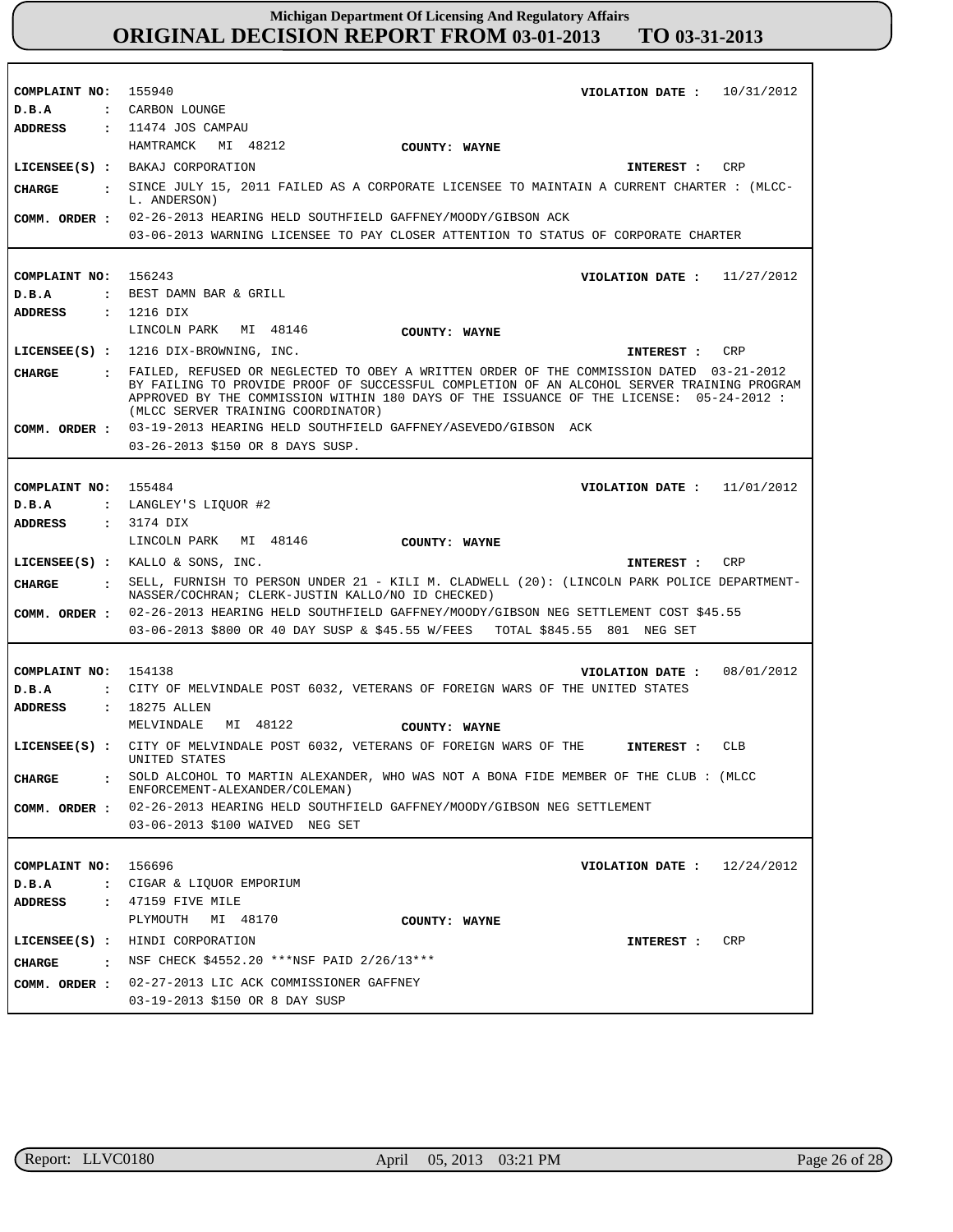| COMPLAINT NO: 155940            | VIOLATION DATE: $10/31/2012$                                                                                                                                                                                                                                                                                             |
|---------------------------------|--------------------------------------------------------------------------------------------------------------------------------------------------------------------------------------------------------------------------------------------------------------------------------------------------------------------------|
| D.B.A                           | : CARBON LOUNGE                                                                                                                                                                                                                                                                                                          |
| ADDRESS                         | : 11474 JOS CAMPAU                                                                                                                                                                                                                                                                                                       |
|                                 | HAMTRAMCK MI 48212<br>COUNTY: WAYNE                                                                                                                                                                                                                                                                                      |
|                                 | LICENSEE(S) : BAKAJ CORPORATION<br>CRP<br>INTEREST :                                                                                                                                                                                                                                                                     |
| CHARGE                          | . SINCE JULY 15, 2011 FAILED AS A CORPORATE LICENSEE TO MAINTAIN A CURRENT CHARTER : (MLCC-<br>L. ANDERSON)                                                                                                                                                                                                              |
|                                 | COMM. ORDER : 02-26-2013 HEARING HELD SOUTHFIELD GAFFNEY/MOODY/GIBSON ACK                                                                                                                                                                                                                                                |
|                                 | 03-06-2013 WARNING LICENSEE TO PAY CLOSER ATTENTION TO STATUS OF CORPORATE CHARTER                                                                                                                                                                                                                                       |
|                                 |                                                                                                                                                                                                                                                                                                                          |
| COMPLAINT NO: 156243            | VIOLATION DATE: $11/27/2012$                                                                                                                                                                                                                                                                                             |
| D.B.A                           | : BEST DAMN BAR & GRILL                                                                                                                                                                                                                                                                                                  |
| <b>ADDRESS</b>                  | : 1216 DIX                                                                                                                                                                                                                                                                                                               |
|                                 | LINCOLN PARK<br>MI 48146<br>COUNTY: WAYNE                                                                                                                                                                                                                                                                                |
|                                 | $LICENSEE(S) : 1216 DIX-BROWNING, INC.$<br>CRP<br>INTEREST :                                                                                                                                                                                                                                                             |
| CHARGE                          | . FAILED, REFUSED OR NEGLECTED TO OBEY A WRITTEN ORDER OF THE COMMISSION DATED 03-21-2012<br>BY FAILING TO PROVIDE PROOF OF SUCCESSFUL COMPLETION OF AN ALCOHOL SERVER TRAINING PROGRAM<br>APPROVED BY THE COMMISSION WITHIN 180 DAYS OF THE ISSUANCE OF THE LICENSE: 05-24-2012 :<br>(MLCC SERVER TRAINING COORDINATOR) |
|                                 | COMM. ORDER : 03-19-2013 HEARING HELD SOUTHFIELD GAFFNEY/ASEVEDO/GIBSON ACK                                                                                                                                                                                                                                              |
|                                 | 03-26-2013 \$150 OR 8 DAYS SUSP.                                                                                                                                                                                                                                                                                         |
|                                 |                                                                                                                                                                                                                                                                                                                          |
| COMPLAINT NO: 155484            | VIOLATION DATE: $11/01/2012$                                                                                                                                                                                                                                                                                             |
| D.B.A                           | : LANGLEY'S LIOUOR #2                                                                                                                                                                                                                                                                                                    |
| ADDRESS                         | : 3174 DIX                                                                                                                                                                                                                                                                                                               |
|                                 | LINCOLN PARK MI 48146<br>COUNTY: WAYNE                                                                                                                                                                                                                                                                                   |
|                                 | LICENSEE(S) : KALLO & SONS, INC.<br>CRP<br>INTEREST :                                                                                                                                                                                                                                                                    |
| CHARGE                          | . SELL, FURNISH TO PERSON UNDER 21 - KILI M. CLADWELL (20): (LINCOLN PARK POLICE DEPARTMENT-<br>NASSER/COCHRAN; CLERK-JUSTIN KALLO/NO ID CHECKED)                                                                                                                                                                        |
|                                 | COMM. ORDER : 02-26-2013 HEARING HELD SOUTHFIELD GAFFNEY/MOODY/GIBSON NEG SETTLEMENT COST \$45.55                                                                                                                                                                                                                        |
|                                 | 03-06-2013 \$800 OR 40 DAY SUSP & \$45.55 W/FEES TOTAL \$845.55 801 NEG SET                                                                                                                                                                                                                                              |
|                                 |                                                                                                                                                                                                                                                                                                                          |
| COMPLAINT NO: 154138            | 08/01/2012<br>VIOLATION DATE :                                                                                                                                                                                                                                                                                           |
| D.B.A                           | : CITY OF MELVINDALE POST 6032, VETERANS OF FOREIGN WARS OF THE UNITED STATES                                                                                                                                                                                                                                            |
| ADDRESS                         | : 18275 ALLEN                                                                                                                                                                                                                                                                                                            |
|                                 | MELVINDALE<br>MI 48122<br>COUNTY: WAYNE                                                                                                                                                                                                                                                                                  |
|                                 | LICENSEE(S) : CITY OF MELVINDALE POST 6032, VETERANS OF FOREIGN WARS OF THE<br>CLB<br>INTEREST :<br>UNITED STATES                                                                                                                                                                                                        |
| <b>CHARGE</b>                   | SOLD ALCOHOL TO MARTIN ALEXANDER, WHO WAS NOT A BONA FIDE MEMBER OF THE CLUB: (MLCC<br>ENFORCEMENT-ALEXANDER/COLEMAN)                                                                                                                                                                                                    |
| COMM. ORDER :                   | 02-26-2013 HEARING HELD SOUTHFIELD GAFFNEY/MOODY/GIBSON NEG SETTLEMENT                                                                                                                                                                                                                                                   |
|                                 | 03-06-2013 \$100 WAIVED NEG SET                                                                                                                                                                                                                                                                                          |
|                                 |                                                                                                                                                                                                                                                                                                                          |
| COMPLAINT NO:                   | 156696<br>VIOLATION DATE : $12/24/2012$                                                                                                                                                                                                                                                                                  |
| D.B.A                           | : CIGAR & LIQUOR EMPORIUM                                                                                                                                                                                                                                                                                                |
| <b>ADDRESS</b>                  | : 47159 FIVE MILE                                                                                                                                                                                                                                                                                                        |
|                                 | PLYMOUTH<br>MI 48170<br>COUNTY: WAYNE                                                                                                                                                                                                                                                                                    |
| $LICENSEE(S)$ :                 | HINDI CORPORATION<br>CRP<br>INTEREST :                                                                                                                                                                                                                                                                                   |
| <b>CHARGE</b><br>$\ddot{\cdot}$ | NSF CHECK \$4552.20 *** NSF PAID 2/26/13 ***                                                                                                                                                                                                                                                                             |
| COMM. ORDER :                   | 02-27-2013 LIC ACK COMMISSIONER GAFFNEY                                                                                                                                                                                                                                                                                  |
|                                 | 03-19-2013 \$150 OR 8 DAY SUSP                                                                                                                                                                                                                                                                                           |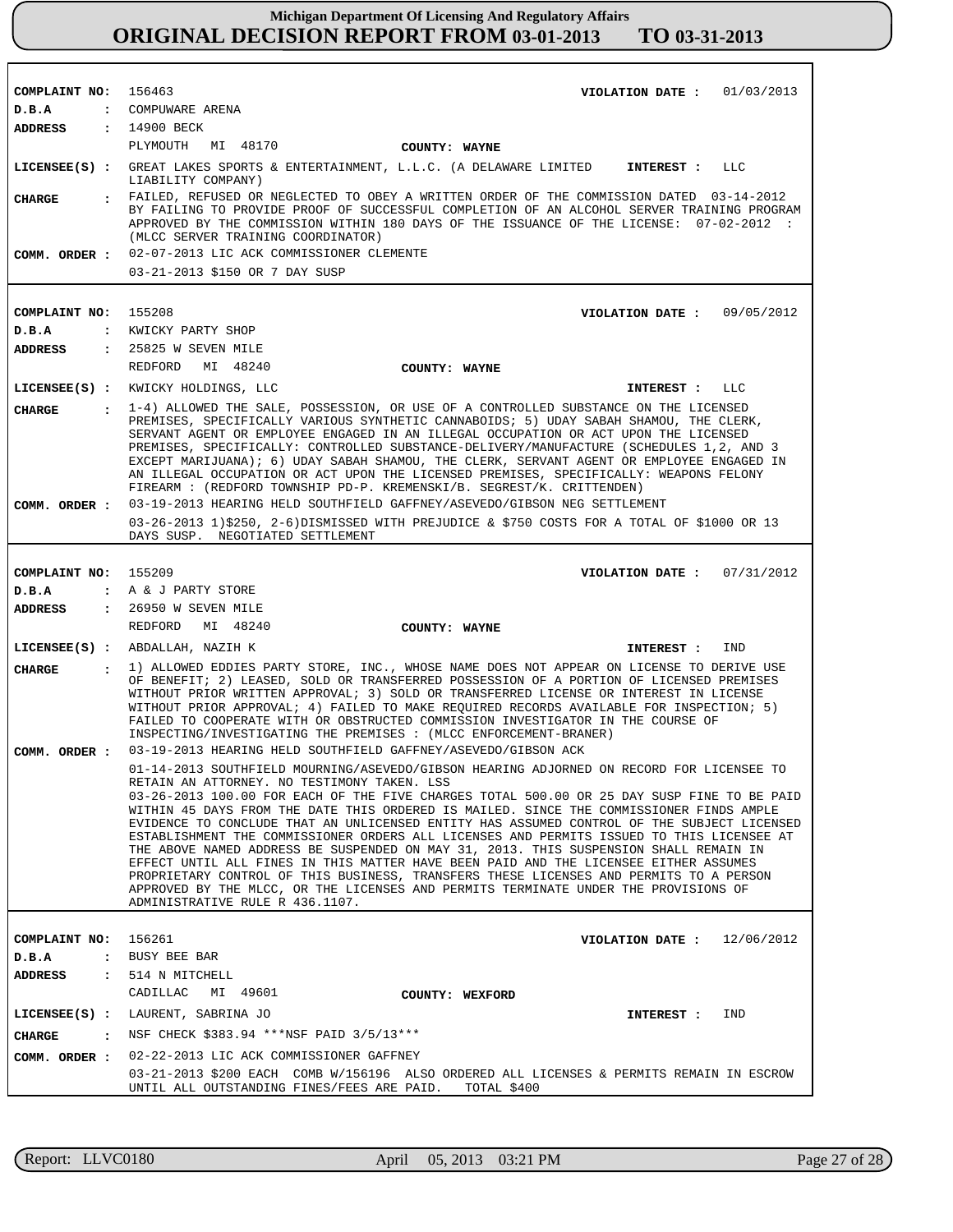| COMPLAINT NO: 156463 |                | VIOLATION DATE: $01/03/2013$                                                                                                                                                                                                                                                                                                                                                                                                                                                                                                                                                                                                                                                                                                                                                                                                                                                                                                     |
|----------------------|----------------|----------------------------------------------------------------------------------------------------------------------------------------------------------------------------------------------------------------------------------------------------------------------------------------------------------------------------------------------------------------------------------------------------------------------------------------------------------------------------------------------------------------------------------------------------------------------------------------------------------------------------------------------------------------------------------------------------------------------------------------------------------------------------------------------------------------------------------------------------------------------------------------------------------------------------------|
| D.B.A                |                | : COMPUWARE ARENA                                                                                                                                                                                                                                                                                                                                                                                                                                                                                                                                                                                                                                                                                                                                                                                                                                                                                                                |
| ADDRESS              |                | : 14900 BECK<br>PLYMOUTH<br>MI 48170                                                                                                                                                                                                                                                                                                                                                                                                                                                                                                                                                                                                                                                                                                                                                                                                                                                                                             |
|                      |                | COUNTY: WAYNE<br>LICENSEE(S) : GREAT LAKES SPORTS & ENTERTAINMENT, L.L.C. (A DELAWARE LIMITED<br>INTEREST : LLC                                                                                                                                                                                                                                                                                                                                                                                                                                                                                                                                                                                                                                                                                                                                                                                                                  |
|                      |                | LIABILITY COMPANY)                                                                                                                                                                                                                                                                                                                                                                                                                                                                                                                                                                                                                                                                                                                                                                                                                                                                                                               |
| CHARGE               |                | : FAILED, REFUSED OR NEGLECTED TO OBEY A WRITTEN ORDER OF THE COMMISSION DATED 03-14-2012<br>BY FAILING TO PROVIDE PROOF OF SUCCESSFUL COMPLETION OF AN ALCOHOL SERVER TRAINING PROGRAM<br>APPROVED BY THE COMMISSION WITHIN 180 DAYS OF THE ISSUANCE OF THE LICENSE: 07-02-2012 :<br>(MLCC SERVER TRAINING COORDINATOR)                                                                                                                                                                                                                                                                                                                                                                                                                                                                                                                                                                                                         |
|                      |                | COMM. ORDER : 02-07-2013 LIC ACK COMMISSIONER CLEMENTE<br>03-21-2013 \$150 OR 7 DAY SUSP                                                                                                                                                                                                                                                                                                                                                                                                                                                                                                                                                                                                                                                                                                                                                                                                                                         |
| COMPLAINT NO: 155208 |                | VIOLATION DATE: 09/05/2012                                                                                                                                                                                                                                                                                                                                                                                                                                                                                                                                                                                                                                                                                                                                                                                                                                                                                                       |
| D.B.A                |                | : KWICKY PARTY SHOP                                                                                                                                                                                                                                                                                                                                                                                                                                                                                                                                                                                                                                                                                                                                                                                                                                                                                                              |
|                      |                | ADDRESS : 25825 W SEVEN MILE                                                                                                                                                                                                                                                                                                                                                                                                                                                                                                                                                                                                                                                                                                                                                                                                                                                                                                     |
|                      |                | REDFORD MI 48240<br>COUNTY: WAYNE                                                                                                                                                                                                                                                                                                                                                                                                                                                                                                                                                                                                                                                                                                                                                                                                                                                                                                |
|                      |                | LICENSEE(S) : KWICKY HOLDINGS, LLC<br>INTEREST : LLC                                                                                                                                                                                                                                                                                                                                                                                                                                                                                                                                                                                                                                                                                                                                                                                                                                                                             |
| <b>CHARGE</b>        |                | : 1-4) ALLOWED THE SALE, POSSESSION, OR USE OF A CONTROLLED SUBSTANCE ON THE LICENSED                                                                                                                                                                                                                                                                                                                                                                                                                                                                                                                                                                                                                                                                                                                                                                                                                                            |
|                      |                | PREMISES, SPECIFICALLY VARIOUS SYNTHETIC CANNABOIDS; 5) UDAY SABAH SHAMOU, THE CLERK,<br>SERVANT AGENT OR EMPLOYEE ENGAGED IN AN ILLEGAL OCCUPATION OR ACT UPON THE LICENSED<br>PREMISES, SPECIFICALLY: CONTROLLED SUBSTANCE-DELIVERY/MANUFACTURE (SCHEDULES 1, 2, AND 3<br>EXCEPT MARIJUANA); 6) UDAY SABAH SHAMOU, THE CLERK, SERVANT AGENT OR EMPLOYEE ENGAGED IN<br>AN ILLEGAL OCCUPATION OR ACT UPON THE LICENSED PREMISES, SPECIFICALLY: WEAPONS FELONY<br>FIREARM : (REDFORD TOWNSHIP PD-P. KREMENSKI/B. SEGREST/K. CRITTENDEN)                                                                                                                                                                                                                                                                                                                                                                                           |
| COMM. ORDER :        |                | 03-19-2013 HEARING HELD SOUTHFIELD GAFFNEY/ASEVEDO/GIBSON NEG SETTLEMENT                                                                                                                                                                                                                                                                                                                                                                                                                                                                                                                                                                                                                                                                                                                                                                                                                                                         |
|                      |                | 03-26-2013 1)\$250, 2-6)DISMISSED WITH PREJUDICE & \$750 COSTS FOR A TOTAL OF \$1000 OR 13<br>DAYS SUSP. NEGOTIATED SETTLEMENT                                                                                                                                                                                                                                                                                                                                                                                                                                                                                                                                                                                                                                                                                                                                                                                                   |
|                      |                |                                                                                                                                                                                                                                                                                                                                                                                                                                                                                                                                                                                                                                                                                                                                                                                                                                                                                                                                  |
| COMPLAINT NO: 155209 |                | VIOLATION DATE: $07/31/2012$                                                                                                                                                                                                                                                                                                                                                                                                                                                                                                                                                                                                                                                                                                                                                                                                                                                                                                     |
| D.B.A                |                | : A & J PARTY STORE<br>ADDRESS : 26950 W SEVEN MILE                                                                                                                                                                                                                                                                                                                                                                                                                                                                                                                                                                                                                                                                                                                                                                                                                                                                              |
|                      |                | REDFORD MI 48240<br>COUNTY: WAYNE                                                                                                                                                                                                                                                                                                                                                                                                                                                                                                                                                                                                                                                                                                                                                                                                                                                                                                |
|                      |                | LICENSEE(S) : ABDALLAH, NAZIH K<br>IND<br>INTEREST :                                                                                                                                                                                                                                                                                                                                                                                                                                                                                                                                                                                                                                                                                                                                                                                                                                                                             |
|                      |                | . 1) ALLOWED EDDIES PARTY STORE, INC., WHOSE NAME DOES NOT APPEAR ON LICENSE TO DERIVE USE                                                                                                                                                                                                                                                                                                                                                                                                                                                                                                                                                                                                                                                                                                                                                                                                                                       |
| CHARGE               |                | OF BENEFIT; 2) LEASED, SOLD OR TRANSFERRED POSSESSION OF A PORTION OF LICENSED PREMISES<br>WITHOUT PRIOR WRITTEN APPROVAL; 3) SOLD OR TRANSFERRED LICENSE OR INTEREST IN LICENSE<br>WITHOUT PRIOR APPROVAL; 4) FAILED TO MAKE REOUIRED RECORDS AVAILABLE FOR INSPECTION; 5)<br>FAILED TO COOPERATE WITH OR OBSTRUCTED COMMISSION INVESTIGATOR IN THE COURSE OF<br>INSPECTING/INVESTIGATING THE PREMISES : (MLCC ENFORCEMENT-BRANER)                                                                                                                                                                                                                                                                                                                                                                                                                                                                                              |
|                      |                | COMM. ORDER : 03-19-2013 HEARING HELD SOUTHFIELD GAFFNEY/ASEVEDO/GIBSON ACK                                                                                                                                                                                                                                                                                                                                                                                                                                                                                                                                                                                                                                                                                                                                                                                                                                                      |
|                      |                | 01-14-2013 SOUTHFIELD MOURNING/ASEVEDO/GIBSON HEARING ADJORNED ON RECORD FOR LICENSEE TO<br>RETAIN AN ATTORNEY. NO TESTIMONY TAKEN. LSS<br>03-26-2013 100.00 FOR EACH OF THE FIVE CHARGES TOTAL 500.00 OR 25 DAY SUSP FINE TO BE PAID<br>WITHIN 45 DAYS FROM THE DATE THIS ORDERED IS MAILED. SINCE THE COMMISSIONER FINDS AMPLE<br>EVIDENCE TO CONCLUDE THAT AN UNLICENSED ENTITY HAS ASSUMED CONTROL OF THE SUBJECT LICENSED<br>ESTABLISHMENT THE COMMISSIONER ORDERS ALL LICENSES AND PERMITS ISSUED TO THIS LICENSEE AT<br>THE ABOVE NAMED ADDRESS BE SUSPENDED ON MAY 31, 2013. THIS SUSPENSION SHALL REMAIN IN<br>EFFECT UNTIL ALL FINES IN THIS MATTER HAVE BEEN PAID AND THE LICENSEE EITHER ASSUMES<br>PROPRIETARY CONTROL OF THIS BUSINESS, TRANSFERS THESE LICENSES AND PERMITS TO A PERSON<br>APPROVED BY THE MLCC, OR THE LICENSES AND PERMITS TERMINATE UNDER THE PROVISIONS OF<br>ADMINISTRATIVE RULE R 436.1107. |
| COMPLAINT NO:        |                | 156261<br>12/06/2012<br>VIOLATION DATE :                                                                                                                                                                                                                                                                                                                                                                                                                                                                                                                                                                                                                                                                                                                                                                                                                                                                                         |
| D.B.A                | $\ddot{\cdot}$ | BUSY BEE BAR                                                                                                                                                                                                                                                                                                                                                                                                                                                                                                                                                                                                                                                                                                                                                                                                                                                                                                                     |
| ADDRESS              | $\ddot{\cdot}$ | 514 N MITCHELL                                                                                                                                                                                                                                                                                                                                                                                                                                                                                                                                                                                                                                                                                                                                                                                                                                                                                                                   |
|                      |                | CADILLAC<br>MI 49601<br>COUNTY: WEXFORD                                                                                                                                                                                                                                                                                                                                                                                                                                                                                                                                                                                                                                                                                                                                                                                                                                                                                          |
| $LICENSEE(S)$ :      |                | LAURENT, SABRINA JO<br>IND<br>INTEREST :                                                                                                                                                                                                                                                                                                                                                                                                                                                                                                                                                                                                                                                                                                                                                                                                                                                                                         |
| CHARGE               | $\mathbf{r}$   | NSF CHECK \$383.94 ***NSF PAID 3/5/13***                                                                                                                                                                                                                                                                                                                                                                                                                                                                                                                                                                                                                                                                                                                                                                                                                                                                                         |
| COMM. ORDER :        |                | 02-22-2013 LIC ACK COMMISSIONER GAFFNEY                                                                                                                                                                                                                                                                                                                                                                                                                                                                                                                                                                                                                                                                                                                                                                                                                                                                                          |
|                      |                | 03-21-2013 \$200 EACH COMB W/156196 ALSO ORDERED ALL LICENSES & PERMITS REMAIN IN ESCROW                                                                                                                                                                                                                                                                                                                                                                                                                                                                                                                                                                                                                                                                                                                                                                                                                                         |
|                      |                | UNTIL ALL OUTSTANDING FINES/FEES ARE PAID.<br>TOTAL \$400                                                                                                                                                                                                                                                                                                                                                                                                                                                                                                                                                                                                                                                                                                                                                                                                                                                                        |